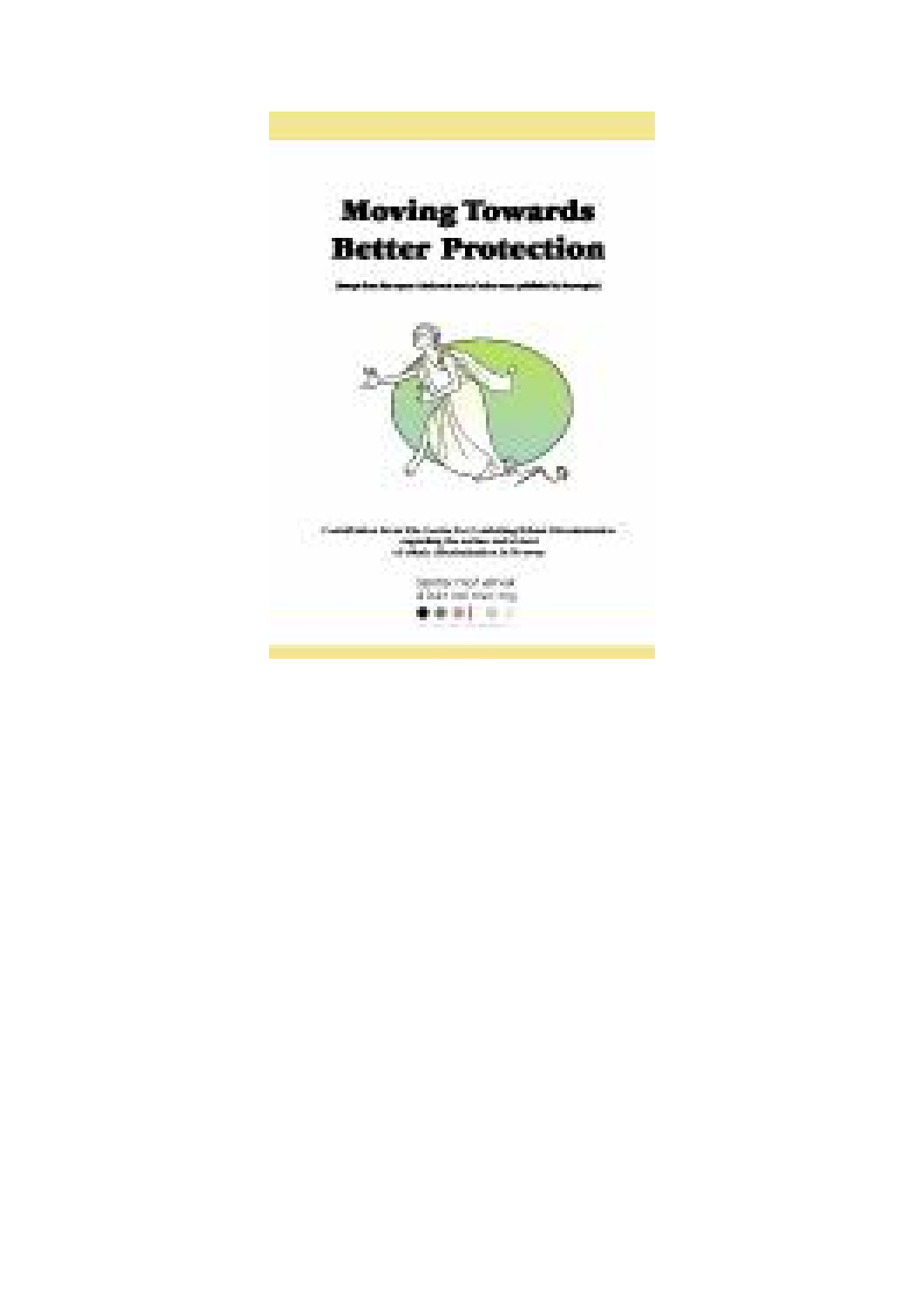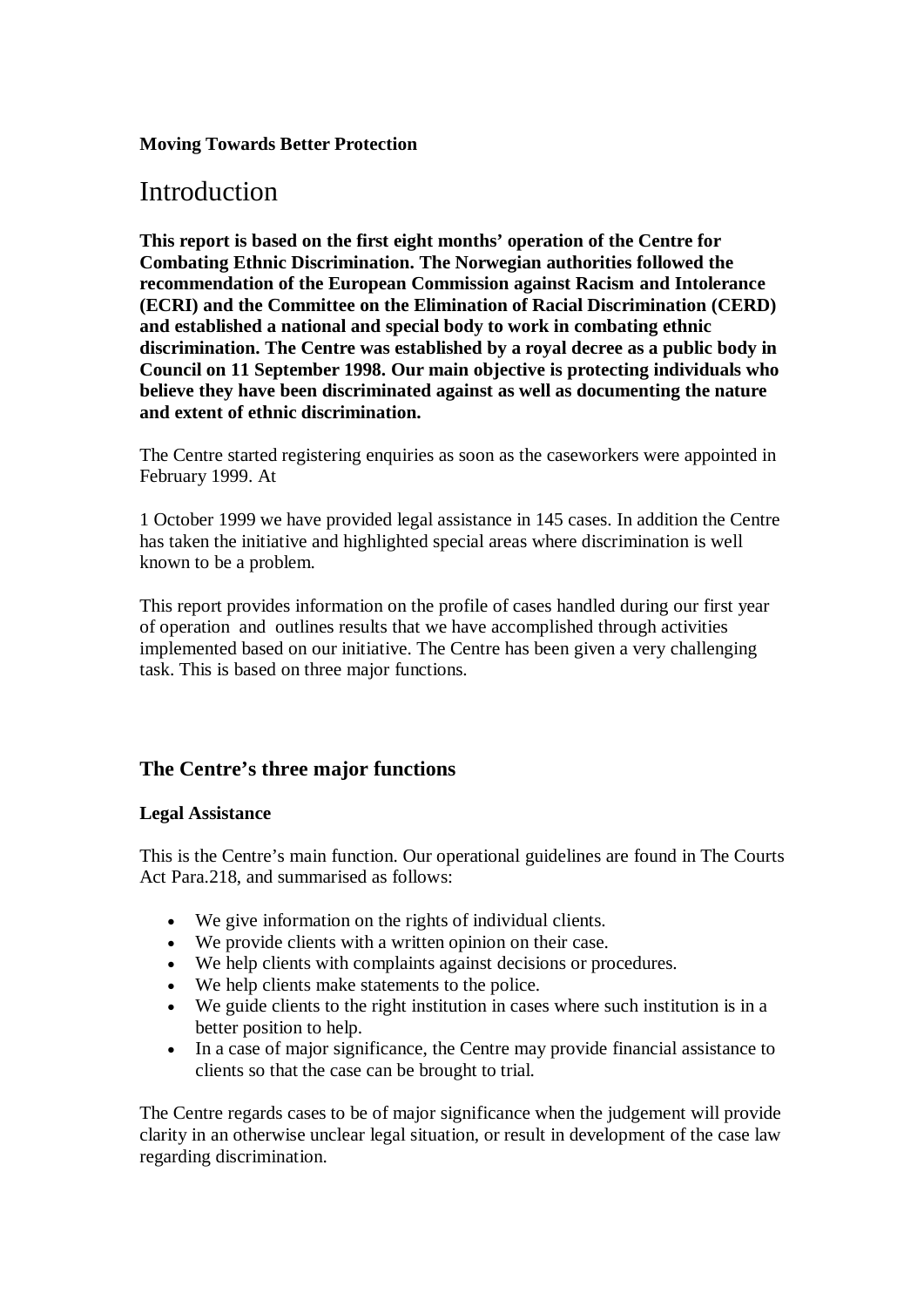#### **Moving Towards Better Protection**

## Introduction

**This report is based on the first eight months' operation of the Centre for Combating Ethnic Discrimination. The Norwegian authorities followed the recommendation of the European Commission against Racism and Intolerance (ECRI) and the Committee on the Elimination of Racial Discrimination (CERD) and established a national and special body to work in combating ethnic discrimination. The Centre was established by a royal decree as a public body in Council on 11 September 1998. Our main objective is protecting individuals who believe they have been discriminated against as well as documenting the nature and extent of ethnic discrimination.**

The Centre started registering enquiries as soon as the caseworkers were appointed in February 1999. At

1 October 1999 we have provided legal assistance in 145 cases. In addition the Centre has taken the initiative and highlighted special areas where discrimination is well known to be a problem.

This report provides information on the profile of cases handled during our first year of operation and outlines results that we have accomplished through activities implemented based on our initiative. The Centre has been given a very challenging task. This is based on three major functions.

### **The Centre's three major functions**

#### **Legal Assistance**

This is the Centre's main function. Our operational guidelines are found in The Courts Act Para.218, and summarised as follows:

- · We give information on the rights of individual clients.
- · We provide clients with a written opinion on their case.
- We help clients with complaints against decisions or procedures.
- · We help clients make statements to the police.
- · We guide clients to the right institution in cases where such institution is in a better position to help.
- · In a case of major significance, the Centre may provide financial assistance to clients so that the case can be brought to trial.

The Centre regards cases to be of major significance when the judgement will provide clarity in an otherwise unclear legal situation, or result in development of the case law regarding discrimination.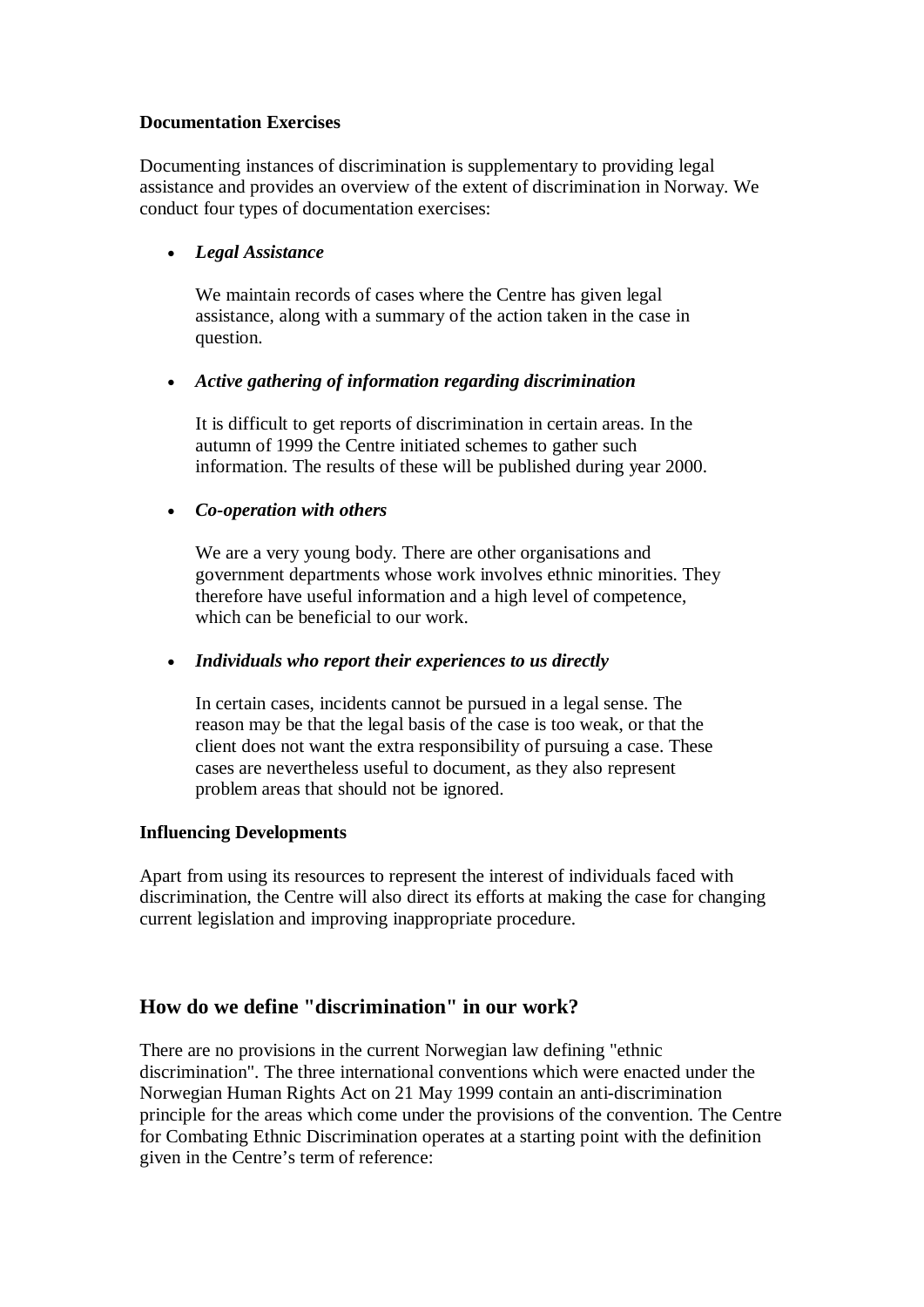### **Documentation Exercises**

Documenting instances of discrimination is supplementary to providing legal assistance and provides an overview of the extent of discrimination in Norway. We conduct four types of documentation exercises:

### · *Legal Assistance*

We maintain records of cases where the Centre has given legal assistance, along with a summary of the action taken in the case in question.

### · *Active gathering of information regarding discrimination*

It is difficult to get reports of discrimination in certain areas. In the autumn of 1999 the Centre initiated schemes to gather such information. The results of these will be published during year 2000.

### · *Co-operation with others*

We are a very young body. There are other organisations and government departments whose work involves ethnic minorities. They therefore have useful information and a high level of competence, which can be beneficial to our work.

#### · *Individuals who report their experiences to us directly*

In certain cases, incidents cannot be pursued in a legal sense. The reason may be that the legal basis of the case is too weak, or that the client does not want the extra responsibility of pursuing a case. These cases are nevertheless useful to document, as they also represent problem areas that should not be ignored.

#### **Influencing Developments**

Apart from using its resources to represent the interest of individuals faced with discrimination, the Centre will also direct its efforts at making the case for changing current legislation and improving inappropriate procedure.

### **How do we define "discrimination" in our work?**

There are no provisions in the current Norwegian law defining "ethnic discrimination". The three international conventions which were enacted under the Norwegian Human Rights Act on 21 May 1999 contain an anti-discrimination principle for the areas which come under the provisions of the convention. The Centre for Combating Ethnic Discrimination operates at a starting point with the definition given in the Centre's term of reference: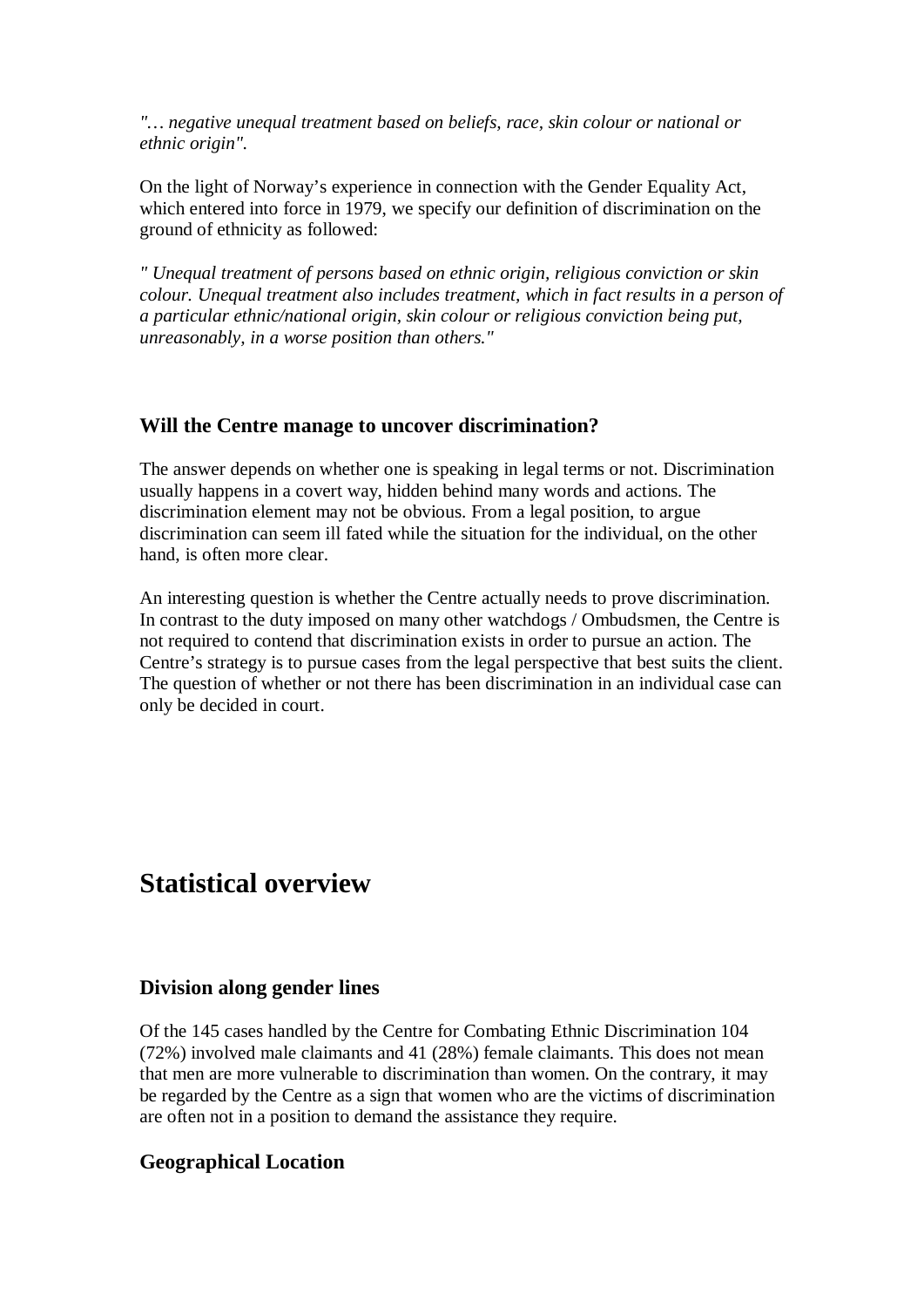*"… negative unequal treatment based on beliefs, race, skin colour or national or ethnic origin".*

On the light of Norway's experience in connection with the Gender Equality Act, which entered into force in 1979, we specify our definition of discrimination on the ground of ethnicity as followed:

*" Unequal treatment of persons based on ethnic origin, religious conviction or skin colour. Unequal treatment also includes treatment, which in fact results in a person of a particular ethnic/national origin, skin colour or religious conviction being put, unreasonably, in a worse position than others."*

### **Will the Centre manage to uncover discrimination?**

The answer depends on whether one is speaking in legal terms or not. Discrimination usually happens in a covert way, hidden behind many words and actions. The discrimination element may not be obvious. From a legal position, to argue discrimination can seem ill fated while the situation for the individual, on the other hand, is often more clear.

An interesting question is whether the Centre actually needs to prove discrimination. In contrast to the duty imposed on many other watchdogs / Ombudsmen, the Centre is not required to contend that discrimination exists in order to pursue an action. The Centre's strategy is to pursue cases from the legal perspective that best suits the client. The question of whether or not there has been discrimination in an individual case can only be decided in court.

### **Statistical overview**

#### **Division along gender lines**

Of the 145 cases handled by the Centre for Combating Ethnic Discrimination 104 (72%) involved male claimants and 41 (28%) female claimants. This does not mean that men are more vulnerable to discrimination than women. On the contrary, it may be regarded by the Centre as a sign that women who are the victims of discrimination are often not in a position to demand the assistance they require.

### **Geographical Location**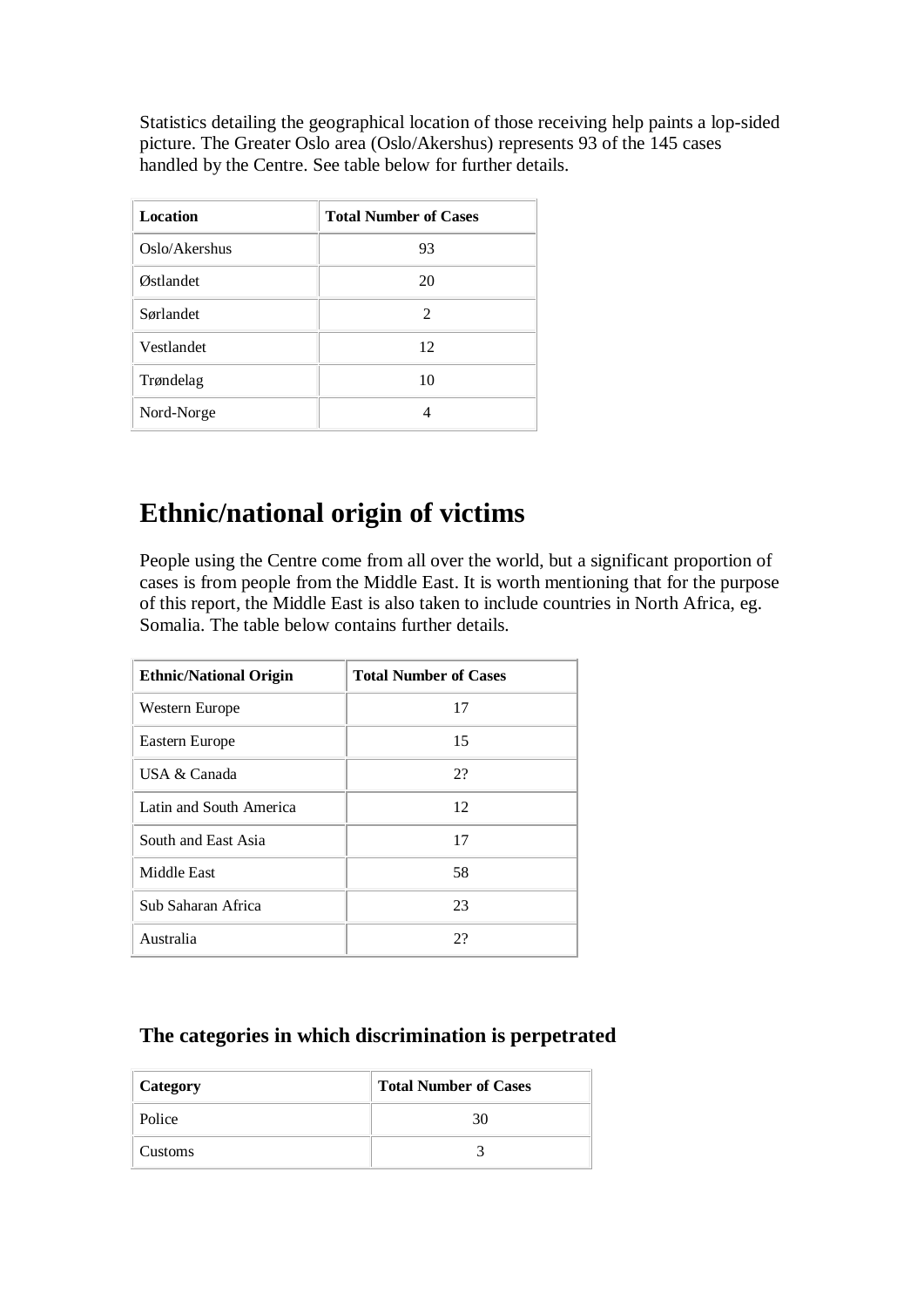Statistics detailing the geographical location of those receiving help paints a lop-sided picture. The Greater Oslo area (Oslo/Akershus) represents 93 of the 145 cases handled by the Centre. See table below for further details.

| <b>Location</b> | <b>Total Number of Cases</b> |
|-----------------|------------------------------|
| Oslo/Akershus   | 93                           |
| Østlandet       | 20                           |
| Sørlandet       | 2                            |
| Vestlandet      | 12                           |
| Trøndelag       | 10                           |
| Nord-Norge      |                              |

# **Ethnic/national origin of victims**

People using the Centre come from all over the world, but a significant proportion of cases is from people from the Middle East. It is worth mentioning that for the purpose of this report, the Middle East is also taken to include countries in North Africa, eg. Somalia. The table below contains further details.

| <b>Ethnic/National Origin</b> | <b>Total Number of Cases</b> |
|-------------------------------|------------------------------|
| Western Europe                | 17                           |
| Eastern Europe                | 15                           |
| USA & Canada                  | 2?                           |
| Latin and South America       | 12                           |
| South and East Asia           | 17                           |
| Middle East                   | 58                           |
| Sub Saharan Africa            | 23                           |
| Australia                     | 2?                           |

### **The categories in which discrimination is perpetrated**

| <b>Category</b> | <b>Total Number of Cases</b> |  |
|-----------------|------------------------------|--|
| Police          | 30                           |  |
| Customs         |                              |  |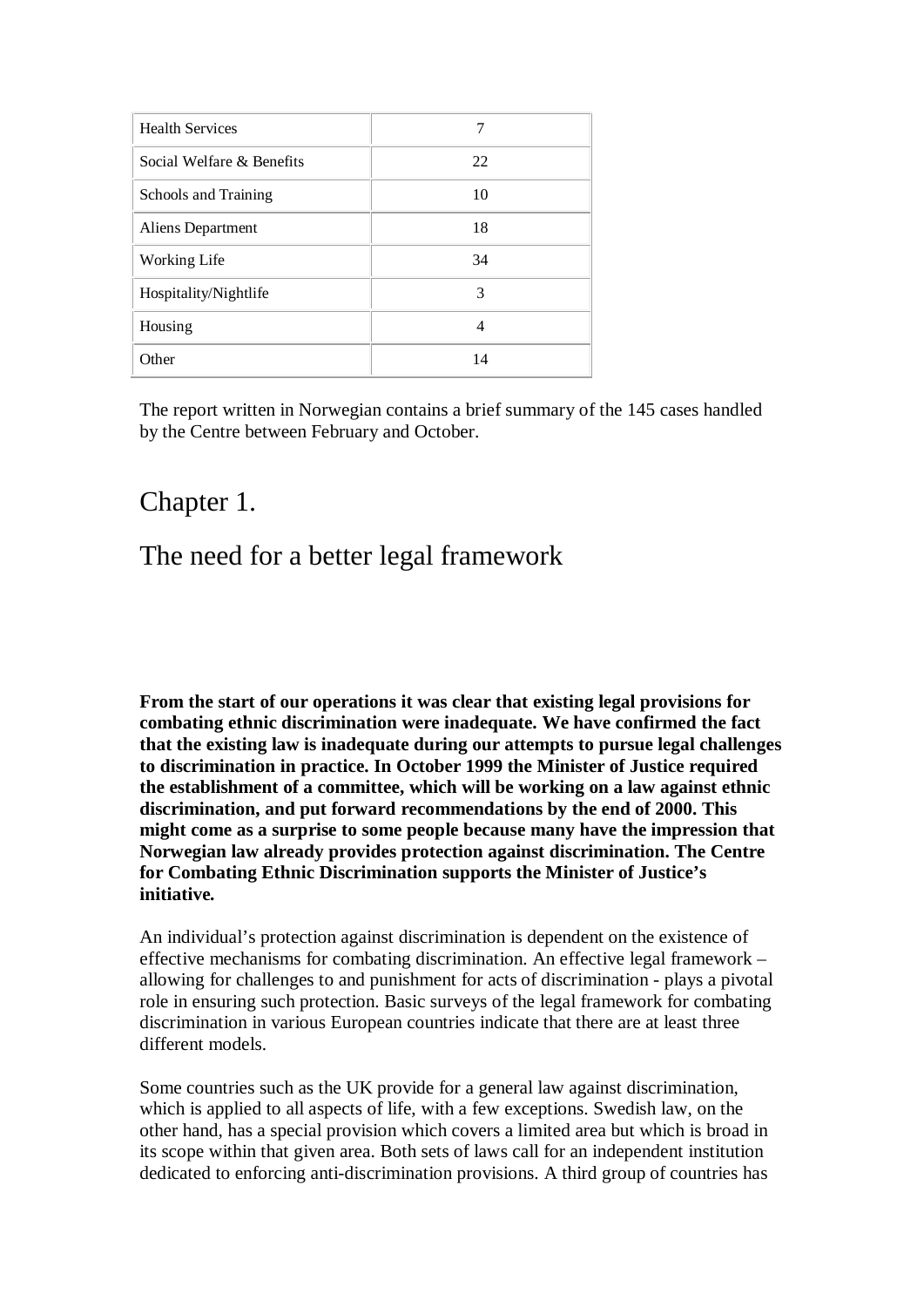| <b>Health Services</b>    | 7  |
|---------------------------|----|
| Social Welfare & Benefits | 22 |
| Schools and Training      | 10 |
| Aliens Department         | 18 |
| Working Life              | 34 |
| Hospitality/Nightlife     | 3  |
| Housing                   | 4  |
| Other                     | 14 |

The report written in Norwegian contains a brief summary of the 145 cases handled by the Centre between February and October.

## Chapter 1.

# The need for a better legal framework

**From the start of our operations it was clear that existing legal provisions for combating ethnic discrimination were inadequate. We have confirmed the fact that the existing law is inadequate during our attempts to pursue legal challenges to discrimination in practice. In October 1999 the Minister of Justice required the establishment of a committee, which will be working on a law against ethnic discrimination, and put forward recommendations by the end of 2000. This might come as a surprise to some people because many have the impression that Norwegian law already provides protection against discrimination. The Centre for Combating Ethnic Discrimination supports the Minister of Justice's initiative.**

An individual's protection against discrimination is dependent on the existence of effective mechanisms for combating discrimination. An effective legal framework – allowing for challenges to and punishment for acts of discrimination - plays a pivotal role in ensuring such protection. Basic surveys of the legal framework for combating discrimination in various European countries indicate that there are at least three different models.

Some countries such as the UK provide for a general law against discrimination, which is applied to all aspects of life, with a few exceptions. Swedish law, on the other hand, has a special provision which covers a limited area but which is broad in its scope within that given area. Both sets of laws call for an independent institution dedicated to enforcing anti-discrimination provisions. A third group of countries has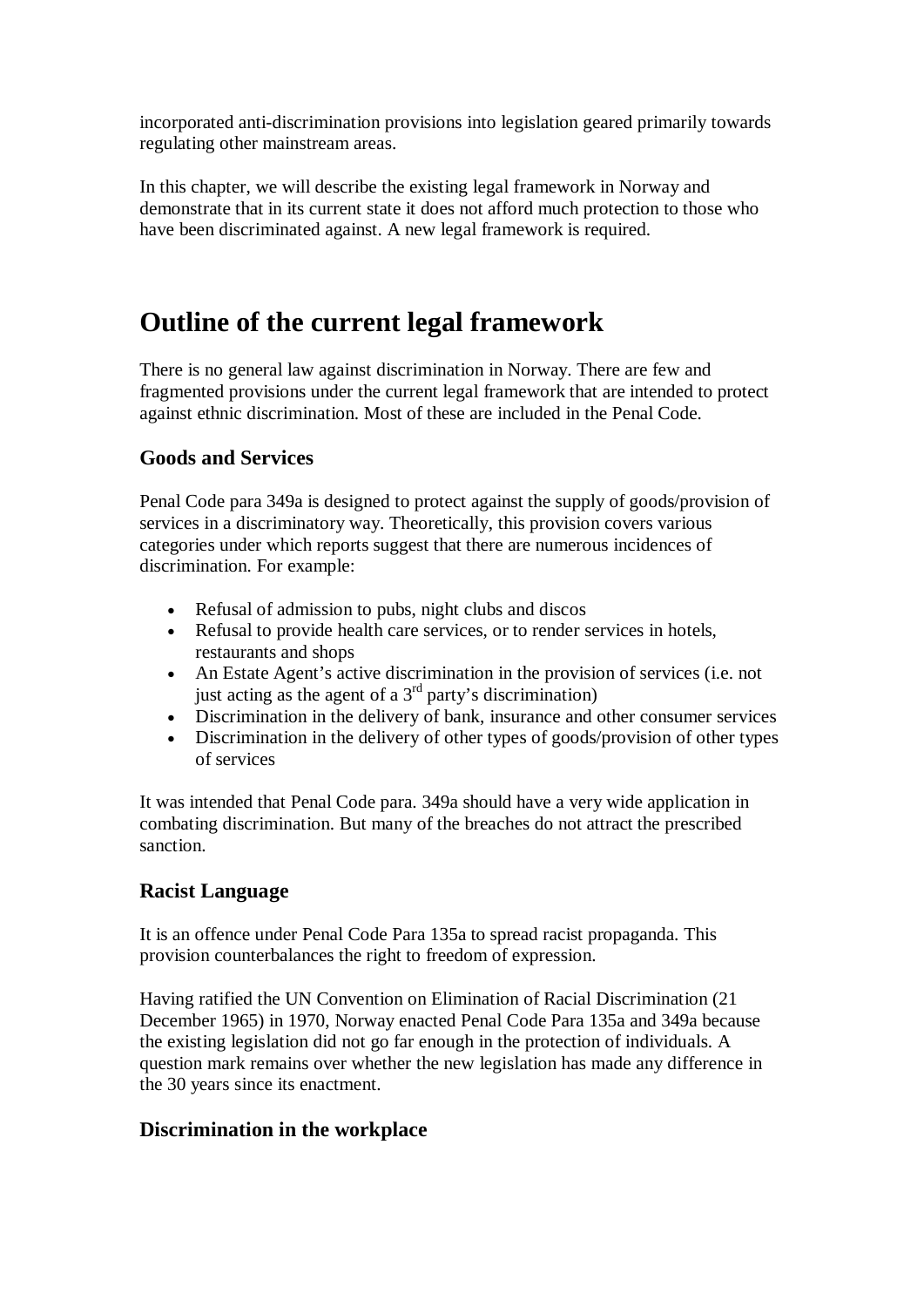incorporated anti-discrimination provisions into legislation geared primarily towards regulating other mainstream areas.

In this chapter, we will describe the existing legal framework in Norway and demonstrate that in its current state it does not afford much protection to those who have been discriminated against. A new legal framework is required.

# **Outline of the current legal framework**

There is no general law against discrimination in Norway. There are few and fragmented provisions under the current legal framework that are intended to protect against ethnic discrimination. Most of these are included in the Penal Code.

### **Goods and Services**

Penal Code para 349a is designed to protect against the supply of goods/provision of services in a discriminatory way. Theoretically, this provision covers various categories under which reports suggest that there are numerous incidences of discrimination. For example:

- · Refusal of admission to pubs, night clubs and discos
- Refusal to provide health care services, or to render services in hotels, restaurants and shops
- · An Estate Agent's active discrimination in the provision of services (i.e. not just acting as the agent of a  $3<sup>rd</sup>$  party's discrimination)
- · Discrimination in the delivery of bank, insurance and other consumer services
- Discrimination in the delivery of other types of goods/provision of other types of services

It was intended that Penal Code para. 349a should have a very wide application in combating discrimination. But many of the breaches do not attract the prescribed sanction.

### **Racist Language**

It is an offence under Penal Code Para 135a to spread racist propaganda. This provision counterbalances the right to freedom of expression.

Having ratified the UN Convention on Elimination of Racial Discrimination (21 December 1965) in 1970, Norway enacted Penal Code Para 135a and 349a because the existing legislation did not go far enough in the protection of individuals. A question mark remains over whether the new legislation has made any difference in the 30 years since its enactment.

### **Discrimination in the workplace**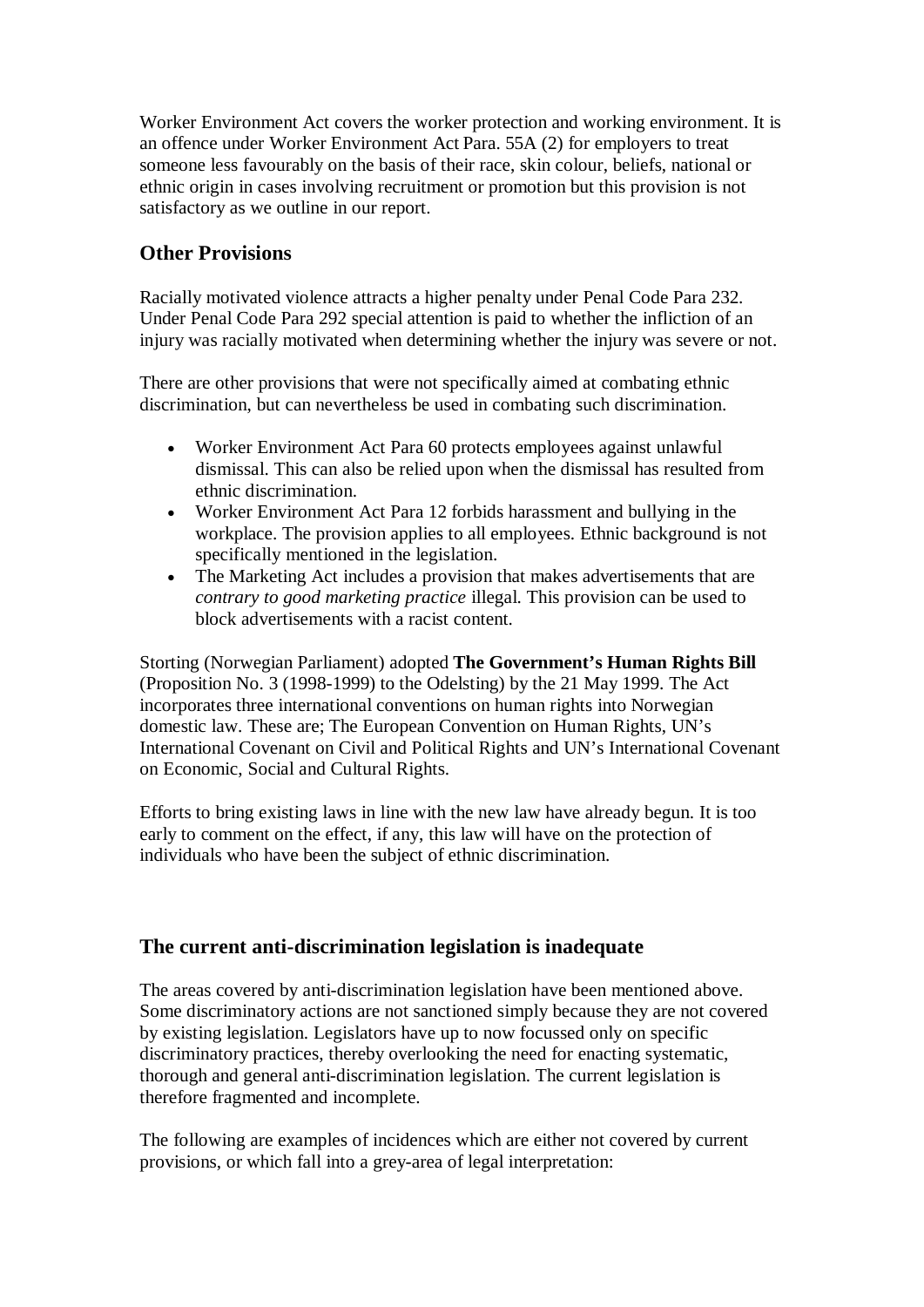Worker Environment Act covers the worker protection and working environment. It is an offence under Worker Environment Act Para. 55A (2) for employers to treat someone less favourably on the basis of their race, skin colour, beliefs, national or ethnic origin in cases involving recruitment or promotion but this provision is not satisfactory as we outline in our report.

### **Other Provisions**

Racially motivated violence attracts a higher penalty under Penal Code Para 232. Under Penal Code Para 292 special attention is paid to whether the infliction of an injury was racially motivated when determining whether the injury was severe or not.

There are other provisions that were not specifically aimed at combating ethnic discrimination, but can nevertheless be used in combating such discrimination.

- · Worker Environment Act Para 60 protects employees against unlawful dismissal. This can also be relied upon when the dismissal has resulted from ethnic discrimination.
- · Worker Environment Act Para 12 forbids harassment and bullying in the workplace. The provision applies to all employees. Ethnic background is not specifically mentioned in the legislation.
- The Marketing Act includes a provision that makes advertisements that are *contrary to good marketing practice* illegal. This provision can be used to block advertisements with a racist content.

Storting (Norwegian Parliament) adopted **The Government's Human Rights Bill**  (Proposition No. 3 (1998-1999) to the Odelsting) by the 21 May 1999. The Act incorporates three international conventions on human rights into Norwegian domestic law. These are; The European Convention on Human Rights, UN's International Covenant on Civil and Political Rights and UN's International Covenant on Economic, Social and Cultural Rights.

Efforts to bring existing laws in line with the new law have already begun. It is too early to comment on the effect, if any, this law will have on the protection of individuals who have been the subject of ethnic discrimination.

### **The current anti-discrimination legislation is inadequate**

The areas covered by anti-discrimination legislation have been mentioned above. Some discriminatory actions are not sanctioned simply because they are not covered by existing legislation. Legislators have up to now focussed only on specific discriminatory practices, thereby overlooking the need for enacting systematic, thorough and general anti-discrimination legislation. The current legislation is therefore fragmented and incomplete.

The following are examples of incidences which are either not covered by current provisions, or which fall into a grey-area of legal interpretation: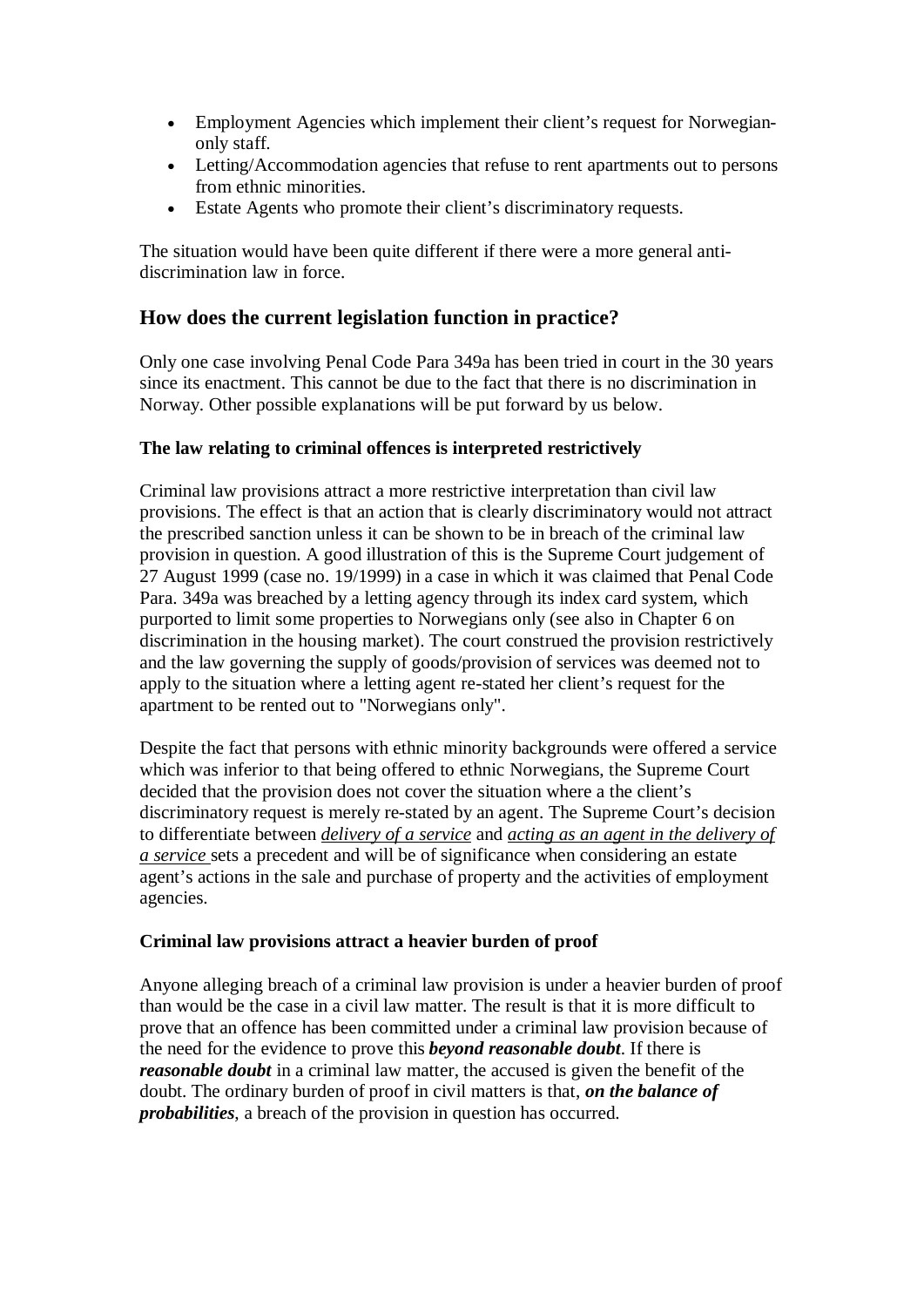- Employment Agencies which implement their client's request for Norwegianonly staff.
- · Letting/Accommodation agencies that refuse to rent apartments out to persons from ethnic minorities.
- Estate Agents who promote their client's discriminatory requests.

The situation would have been quite different if there were a more general antidiscrimination law in force.

### **How does the current legislation function in practice?**

Only one case involving Penal Code Para 349a has been tried in court in the 30 years since its enactment. This cannot be due to the fact that there is no discrimination in Norway. Other possible explanations will be put forward by us below.

### **The law relating to criminal offences is interpreted restrictively**

Criminal law provisions attract a more restrictive interpretation than civil law provisions. The effect is that an action that is clearly discriminatory would not attract the prescribed sanction unless it can be shown to be in breach of the criminal law provision in question. A good illustration of this is the Supreme Court judgement of 27 August 1999 (case no. 19/1999) in a case in which it was claimed that Penal Code Para. 349a was breached by a letting agency through its index card system, which purported to limit some properties to Norwegians only (see also in Chapter 6 on discrimination in the housing market). The court construed the provision restrictively and the law governing the supply of goods/provision of services was deemed not to apply to the situation where a letting agent re-stated her client's request for the apartment to be rented out to "Norwegians only".

Despite the fact that persons with ethnic minority backgrounds were offered a service which was inferior to that being offered to ethnic Norwegians, the Supreme Court decided that the provision does not cover the situation where a the client's discriminatory request is merely re-stated by an agent. The Supreme Court's decision to differentiate between *delivery of a service* and *acting as an agent in the delivery of a service* sets a precedent and will be of significance when considering an estate agent's actions in the sale and purchase of property and the activities of employment agencies.

#### **Criminal law provisions attract a heavier burden of proof**

Anyone alleging breach of a criminal law provision is under a heavier burden of proof than would be the case in a civil law matter. The result is that it is more difficult to prove that an offence has been committed under a criminal law provision because of the need for the evidence to prove this *beyond reasonable doubt*. If there is *reasonable doubt* in a criminal law matter, the accused is given the benefit of the doubt. The ordinary burden of proof in civil matters is that, *on the balance of probabilities*, a breach of the provision in question has occurred.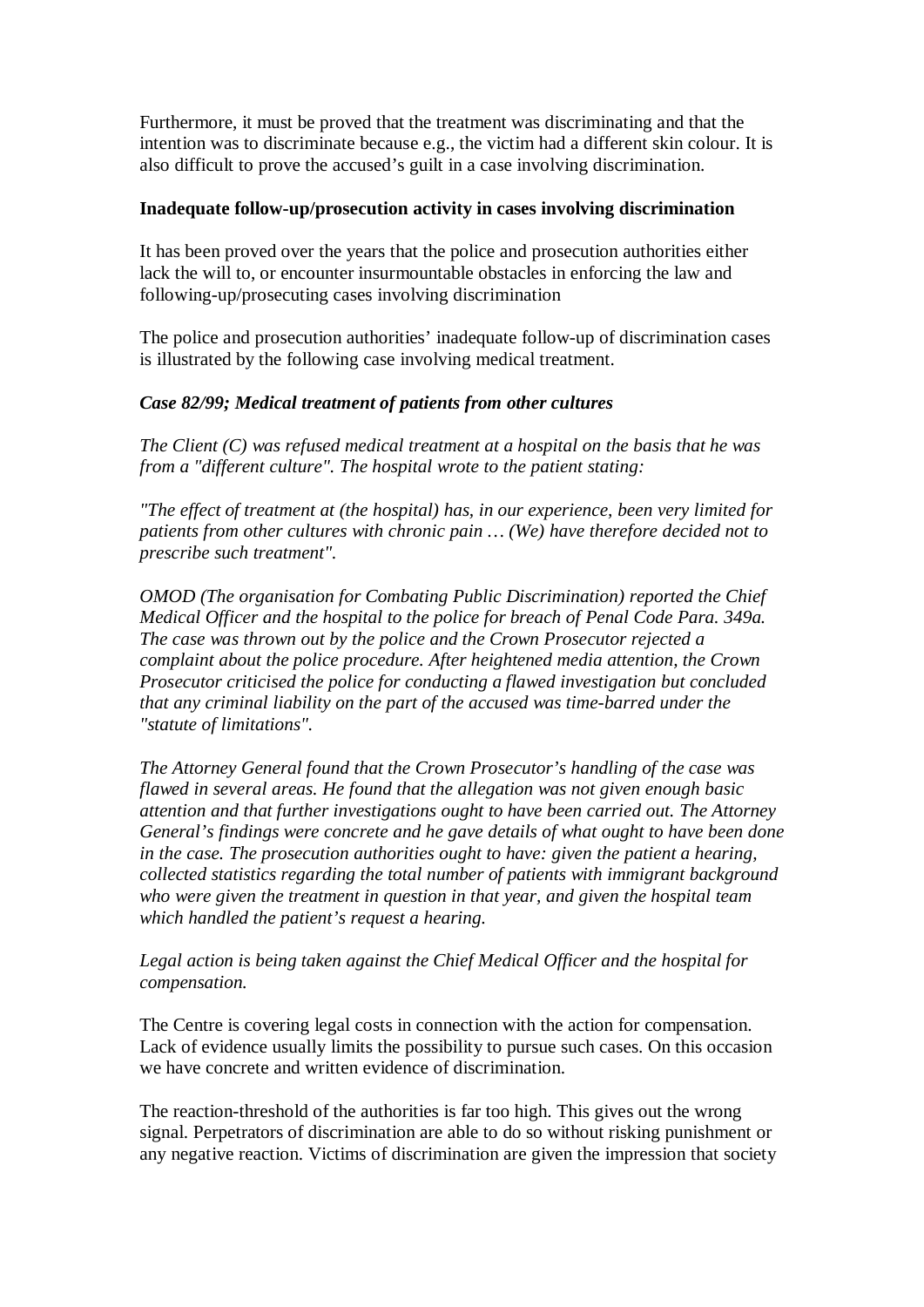Furthermore, it must be proved that the treatment was discriminating and that the intention was to discriminate because e.g., the victim had a different skin colour. It is also difficult to prove the accused's guilt in a case involving discrimination.

#### **Inadequate follow-up/prosecution activity in cases involving discrimination**

It has been proved over the years that the police and prosecution authorities either lack the will to, or encounter insurmountable obstacles in enforcing the law and following-up/prosecuting cases involving discrimination

The police and prosecution authorities' inadequate follow-up of discrimination cases is illustrated by the following case involving medical treatment.

### *Case 82/99; Medical treatment of patients from other cultures*

*The Client (C) was refused medical treatment at a hospital on the basis that he was from a "different culture". The hospital wrote to the patient stating:*

*"The effect of treatment at (the hospital) has, in our experience, been very limited for patients from other cultures with chronic pain … (We) have therefore decided not to prescribe such treatment".*

*OMOD (The organisation for Combating Public Discrimination) reported the Chief Medical Officer and the hospital to the police for breach of Penal Code Para. 349a. The case was thrown out by the police and the Crown Prosecutor rejected a complaint about the police procedure. After heightened media attention, the Crown Prosecutor criticised the police for conducting a flawed investigation but concluded that any criminal liability on the part of the accused was time-barred under the "statute of limitations".*

*The Attorney General found that the Crown Prosecutor's handling of the case was flawed in several areas. He found that the allegation was not given enough basic attention and that further investigations ought to have been carried out. The Attorney General's findings were concrete and he gave details of what ought to have been done in the case. The prosecution authorities ought to have: given the patient a hearing, collected statistics regarding the total number of patients with immigrant background who were given the treatment in question in that year, and given the hospital team which handled the patient's request a hearing.*

*Legal action is being taken against the Chief Medical Officer and the hospital for compensation.*

The Centre is covering legal costs in connection with the action for compensation. Lack of evidence usually limits the possibility to pursue such cases. On this occasion we have concrete and written evidence of discrimination.

The reaction-threshold of the authorities is far too high. This gives out the wrong signal. Perpetrators of discrimination are able to do so without risking punishment or any negative reaction. Victims of discrimination are given the impression that society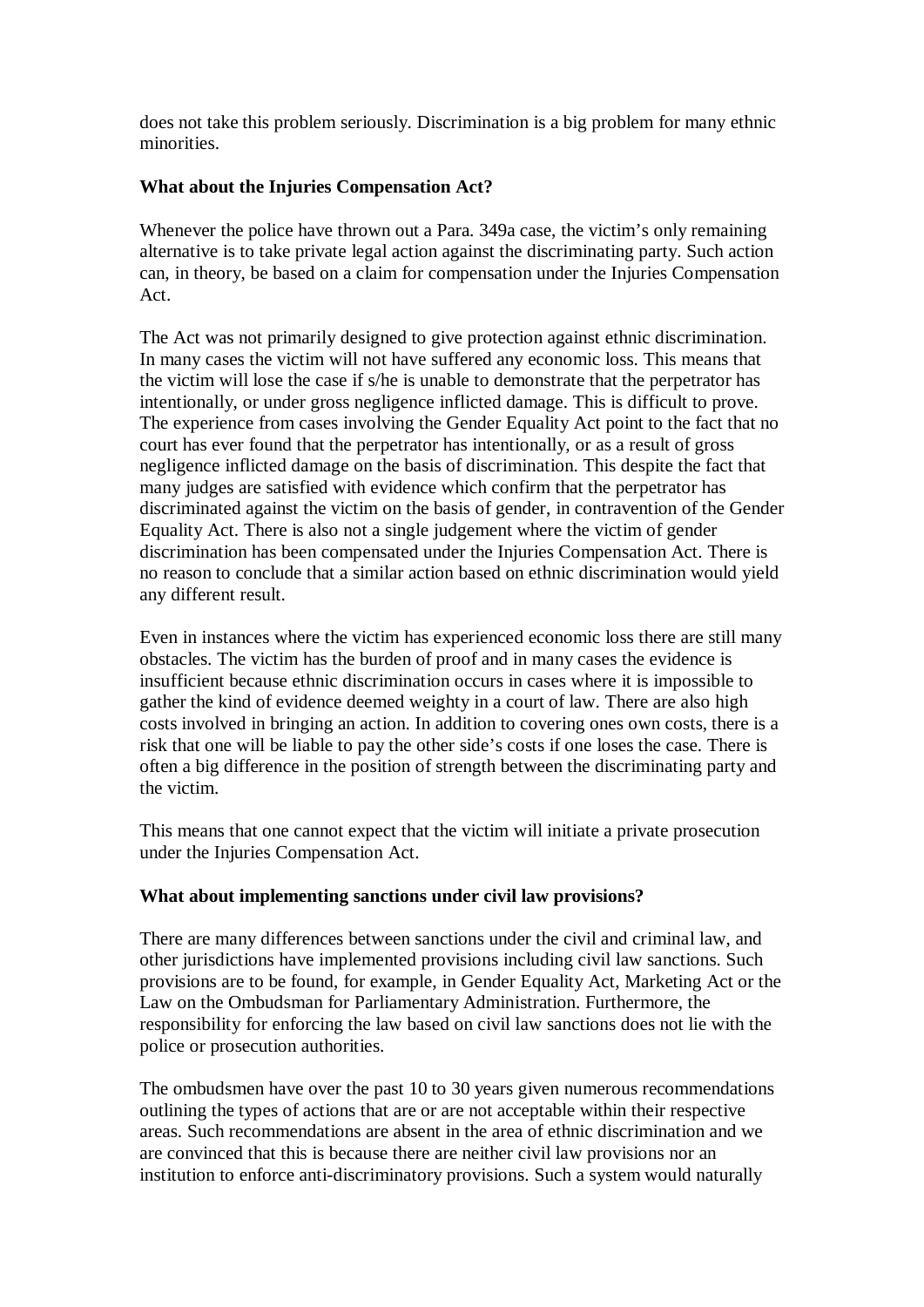does not take this problem seriously. Discrimination is a big problem for many ethnic minorities.

### **What about the Injuries Compensation Act?**

Whenever the police have thrown out a Para. 349a case, the victim's only remaining alternative is to take private legal action against the discriminating party. Such action can, in theory, be based on a claim for compensation under the Injuries Compensation Act.

The Act was not primarily designed to give protection against ethnic discrimination. In many cases the victim will not have suffered any economic loss. This means that the victim will lose the case if s/he is unable to demonstrate that the perpetrator has intentionally, or under gross negligence inflicted damage. This is difficult to prove. The experience from cases involving the Gender Equality Act point to the fact that no court has ever found that the perpetrator has intentionally, or as a result of gross negligence inflicted damage on the basis of discrimination. This despite the fact that many judges are satisfied with evidence which confirm that the perpetrator has discriminated against the victim on the basis of gender, in contravention of the Gender Equality Act. There is also not a single judgement where the victim of gender discrimination has been compensated under the Injuries Compensation Act. There is no reason to conclude that a similar action based on ethnic discrimination would yield any different result.

Even in instances where the victim has experienced economic loss there are still many obstacles. The victim has the burden of proof and in many cases the evidence is insufficient because ethnic discrimination occurs in cases where it is impossible to gather the kind of evidence deemed weighty in a court of law. There are also high costs involved in bringing an action. In addition to covering ones own costs, there is a risk that one will be liable to pay the other side's costs if one loses the case. There is often a big difference in the position of strength between the discriminating party and the victim.

This means that one cannot expect that the victim will initiate a private prosecution under the Injuries Compensation Act.

#### **What about implementing sanctions under civil law provisions?**

There are many differences between sanctions under the civil and criminal law, and other jurisdictions have implemented provisions including civil law sanctions. Such provisions are to be found, for example, in Gender Equality Act, Marketing Act or the Law on the Ombudsman for Parliamentary Administration. Furthermore, the responsibility for enforcing the law based on civil law sanctions does not lie with the police or prosecution authorities.

The ombudsmen have over the past 10 to 30 years given numerous recommendations outlining the types of actions that are or are not acceptable within their respective areas. Such recommendations are absent in the area of ethnic discrimination and we are convinced that this is because there are neither civil law provisions nor an institution to enforce anti-discriminatory provisions. Such a system would naturally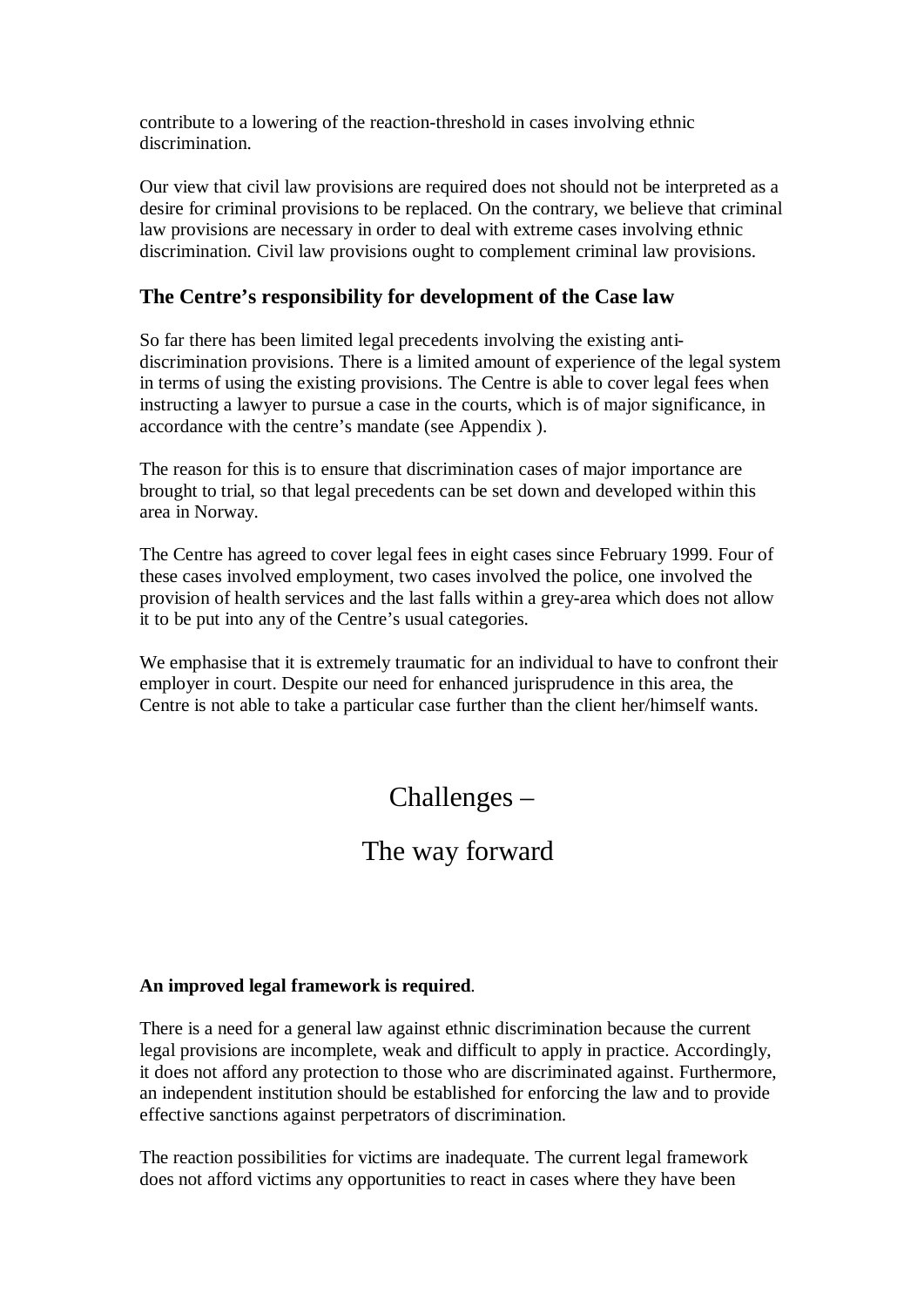contribute to a lowering of the reaction-threshold in cases involving ethnic discrimination.

Our view that civil law provisions are required does not should not be interpreted as a desire for criminal provisions to be replaced. On the contrary, we believe that criminal law provisions are necessary in order to deal with extreme cases involving ethnic discrimination. Civil law provisions ought to complement criminal law provisions.

### **The Centre's responsibility for development of the Case law**

So far there has been limited legal precedents involving the existing antidiscrimination provisions. There is a limited amount of experience of the legal system in terms of using the existing provisions. The Centre is able to cover legal fees when instructing a lawyer to pursue a case in the courts, which is of major significance, in accordance with the centre's mandate (see Appendix ).

The reason for this is to ensure that discrimination cases of major importance are brought to trial, so that legal precedents can be set down and developed within this area in Norway.

The Centre has agreed to cover legal fees in eight cases since February 1999. Four of these cases involved employment, two cases involved the police, one involved the provision of health services and the last falls within a grey-area which does not allow it to be put into any of the Centre's usual categories.

We emphasise that it is extremely traumatic for an individual to have to confront their employer in court. Despite our need for enhanced jurisprudence in this area, the Centre is not able to take a particular case further than the client her/himself wants.

# Challenges –

## The way forward

### **An improved legal framework is required**.

There is a need for a general law against ethnic discrimination because the current legal provisions are incomplete, weak and difficult to apply in practice. Accordingly, it does not afford any protection to those who are discriminated against. Furthermore, an independent institution should be established for enforcing the law and to provide effective sanctions against perpetrators of discrimination.

The reaction possibilities for victims are inadequate. The current legal framework does not afford victims any opportunities to react in cases where they have been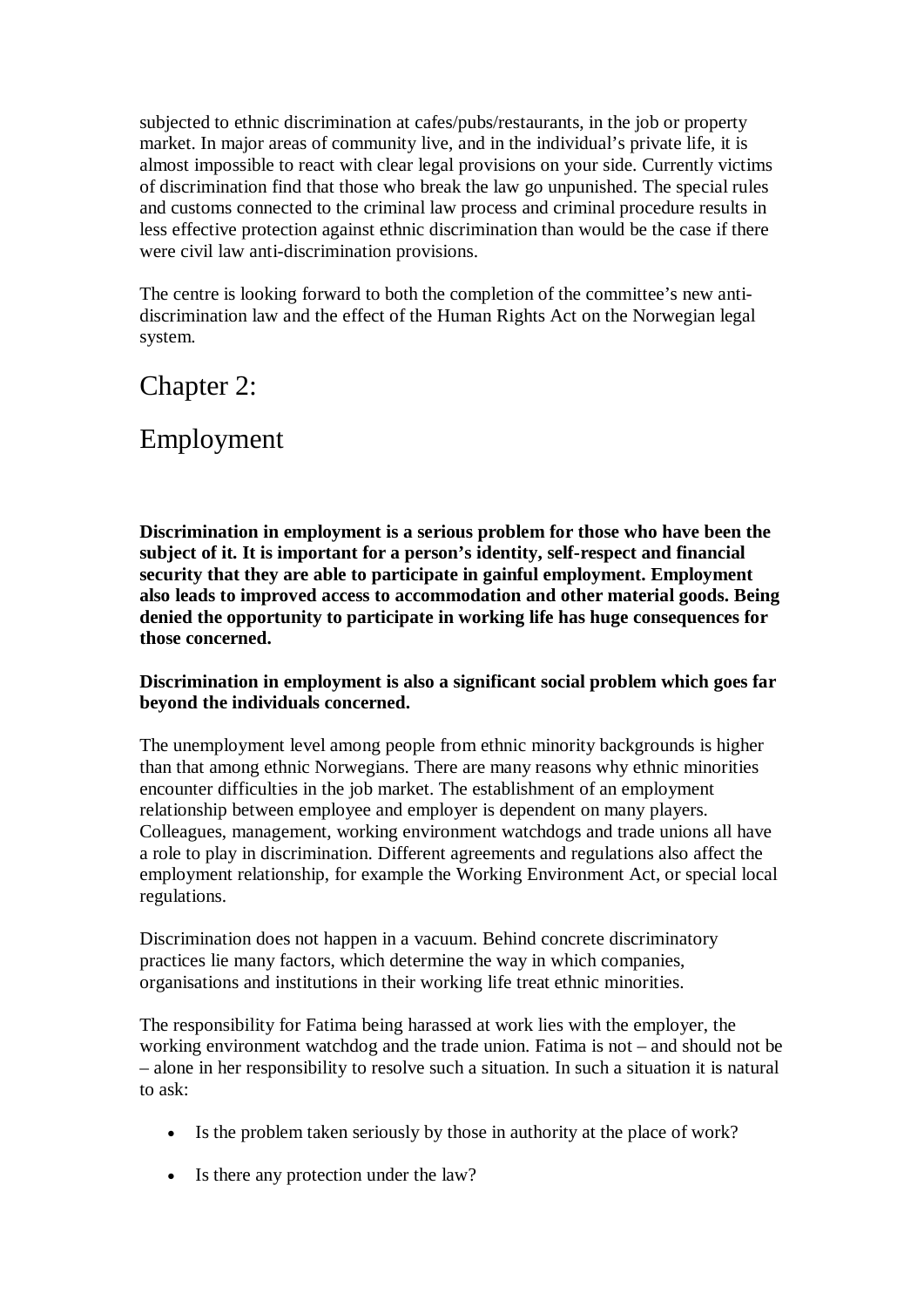subjected to ethnic discrimination at cafes/pubs/restaurants, in the job or property market. In major areas of community live, and in the individual's private life, it is almost impossible to react with clear legal provisions on your side. Currently victims of discrimination find that those who break the law go unpunished. The special rules and customs connected to the criminal law process and criminal procedure results in less effective protection against ethnic discrimination than would be the case if there were civil law anti-discrimination provisions.

The centre is looking forward to both the completion of the committee's new antidiscrimination law and the effect of the Human Rights Act on the Norwegian legal system.

Chapter 2:

## Employment

**Discrimination in employment is a serious problem for those who have been the subject of it. It is important for a person's identity, self-respect and financial security that they are able to participate in gainful employment. Employment also leads to improved access to accommodation and other material goods. Being denied the opportunity to participate in working life has huge consequences for those concerned.**

### **Discrimination in employment is also a significant social problem which goes far beyond the individuals concerned.**

The unemployment level among people from ethnic minority backgrounds is higher than that among ethnic Norwegians. There are many reasons why ethnic minorities encounter difficulties in the job market. The establishment of an employment relationship between employee and employer is dependent on many players. Colleagues, management, working environment watchdogs and trade unions all have a role to play in discrimination. Different agreements and regulations also affect the employment relationship, for example the Working Environment Act, or special local regulations.

Discrimination does not happen in a vacuum. Behind concrete discriminatory practices lie many factors, which determine the way in which companies, organisations and institutions in their working life treat ethnic minorities.

The responsibility for Fatima being harassed at work lies with the employer, the working environment watchdog and the trade union. Fatima is not – and should not be – alone in her responsibility to resolve such a situation. In such a situation it is natural to ask:

- Is the problem taken seriously by those in authority at the place of work?
- Is there any protection under the law?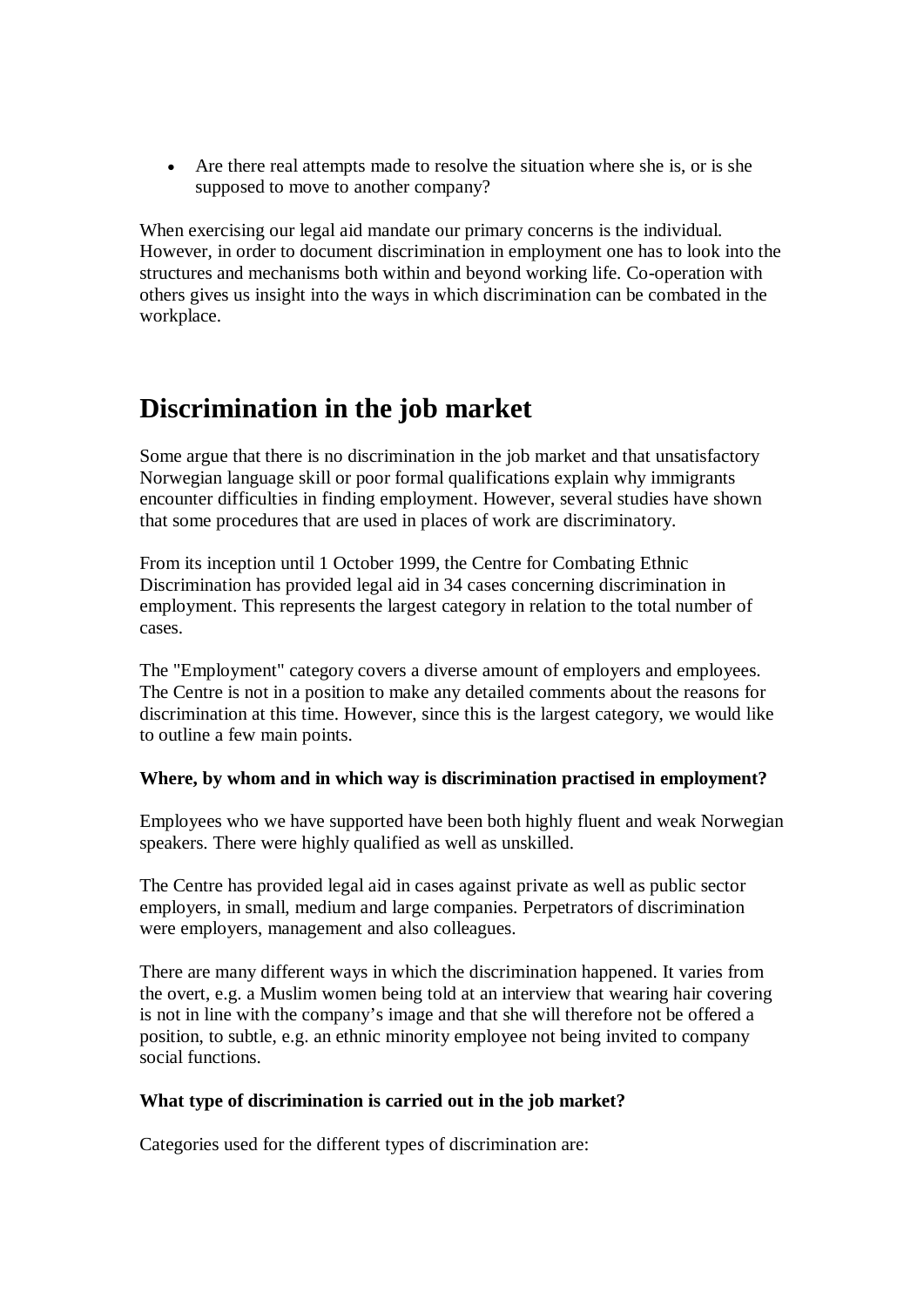• Are there real attempts made to resolve the situation where she is, or is she supposed to move to another company?

When exercising our legal aid mandate our primary concerns is the individual. However, in order to document discrimination in employment one has to look into the structures and mechanisms both within and beyond working life. Co-operation with others gives us insight into the ways in which discrimination can be combated in the workplace.

## **Discrimination in the job market**

Some argue that there is no discrimination in the job market and that unsatisfactory Norwegian language skill or poor formal qualifications explain why immigrants encounter difficulties in finding employment. However, several studies have shown that some procedures that are used in places of work are discriminatory.

From its inception until 1 October 1999, the Centre for Combating Ethnic Discrimination has provided legal aid in 34 cases concerning discrimination in employment. This represents the largest category in relation to the total number of cases.

The "Employment" category covers a diverse amount of employers and employees. The Centre is not in a position to make any detailed comments about the reasons for discrimination at this time. However, since this is the largest category, we would like to outline a few main points.

### **Where, by whom and in which way is discrimination practised in employment?**

Employees who we have supported have been both highly fluent and weak Norwegian speakers. There were highly qualified as well as unskilled.

The Centre has provided legal aid in cases against private as well as public sector employers, in small, medium and large companies. Perpetrators of discrimination were employers, management and also colleagues.

There are many different ways in which the discrimination happened. It varies from the overt, e.g. a Muslim women being told at an interview that wearing hair covering is not in line with the company's image and that she will therefore not be offered a position, to subtle, e.g. an ethnic minority employee not being invited to company social functions.

#### **What type of discrimination is carried out in the job market?**

Categories used for the different types of discrimination are: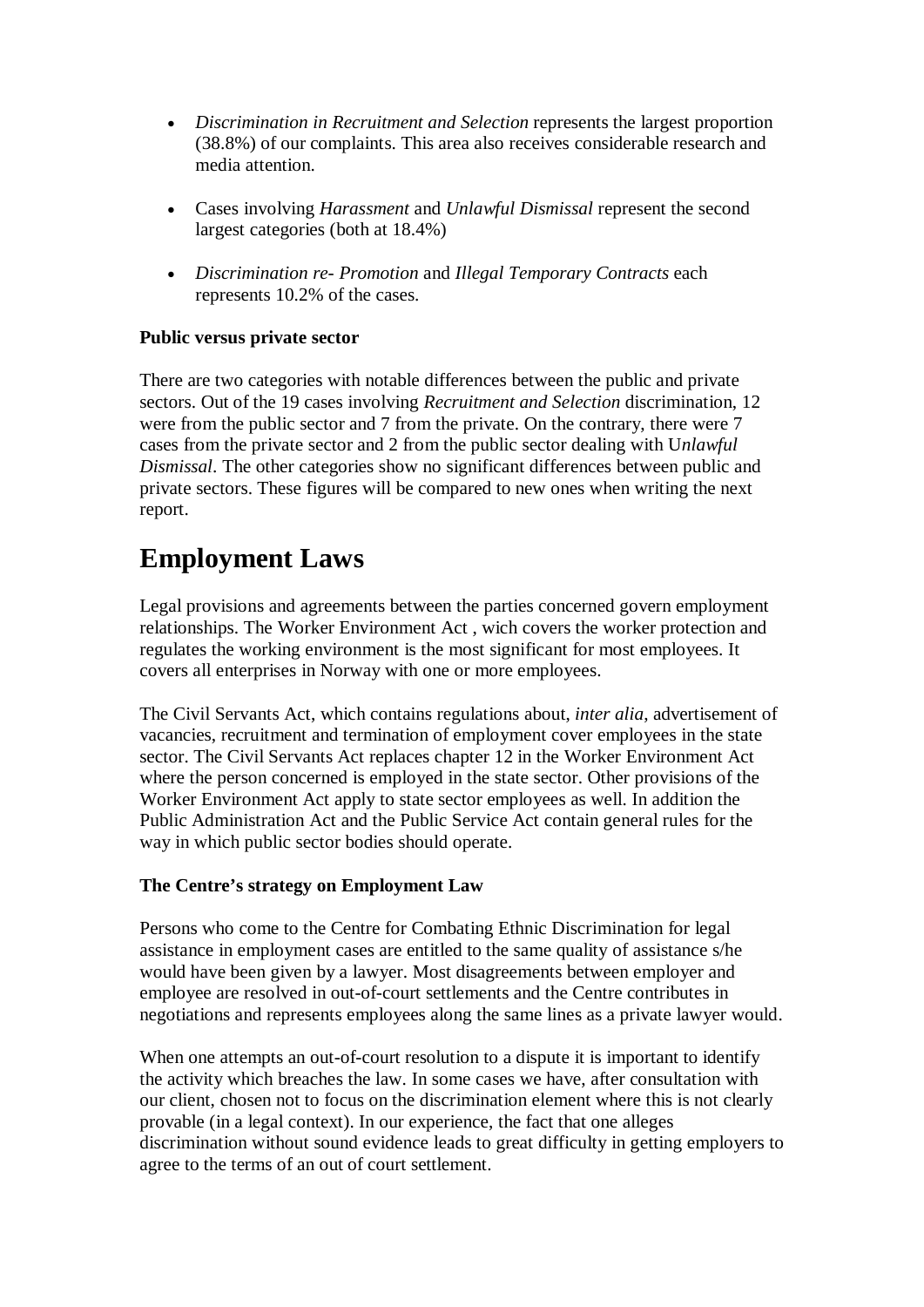- · *Discrimination in Recruitment and Selection* represents the largest proportion (38.8%) of our complaints. This area also receives considerable research and media attention.
- · Cases involving *Harassment* and *Unlawful Dismissal* represent the second largest categories (both at 18.4%)
- · *Discrimination re- Promotion* and *Illegal Temporary Contracts* each represents 10.2% of the cases.

### **Public versus private sector**

There are two categories with notable differences between the public and private sectors. Out of the 19 cases involving *Recruitment and Selection* discrimination, 12 were from the public sector and 7 from the private. On the contrary, there were 7 cases from the private sector and 2 from the public sector dealing with U*nlawful Dismissal*. The other categories show no significant differences between public and private sectors. These figures will be compared to new ones when writing the next report.

# **Employment Laws**

Legal provisions and agreements between the parties concerned govern employment relationships. The Worker Environment Act , wich covers the worker protection and regulates the working environment is the most significant for most employees. It covers all enterprises in Norway with one or more employees.

The Civil Servants Act, which contains regulations about, *inter alia*, advertisement of vacancies, recruitment and termination of employment cover employees in the state sector. The Civil Servants Act replaces chapter 12 in the Worker Environment Act where the person concerned is employed in the state sector. Other provisions of the Worker Environment Act apply to state sector employees as well. In addition the Public Administration Act and the Public Service Act contain general rules for the way in which public sector bodies should operate.

### **The Centre's strategy on Employment Law**

Persons who come to the Centre for Combating Ethnic Discrimination for legal assistance in employment cases are entitled to the same quality of assistance s/he would have been given by a lawyer. Most disagreements between employer and employee are resolved in out-of-court settlements and the Centre contributes in negotiations and represents employees along the same lines as a private lawyer would.

When one attempts an out-of-court resolution to a dispute it is important to identify the activity which breaches the law. In some cases we have, after consultation with our client, chosen not to focus on the discrimination element where this is not clearly provable (in a legal context). In our experience, the fact that one alleges discrimination without sound evidence leads to great difficulty in getting employers to agree to the terms of an out of court settlement.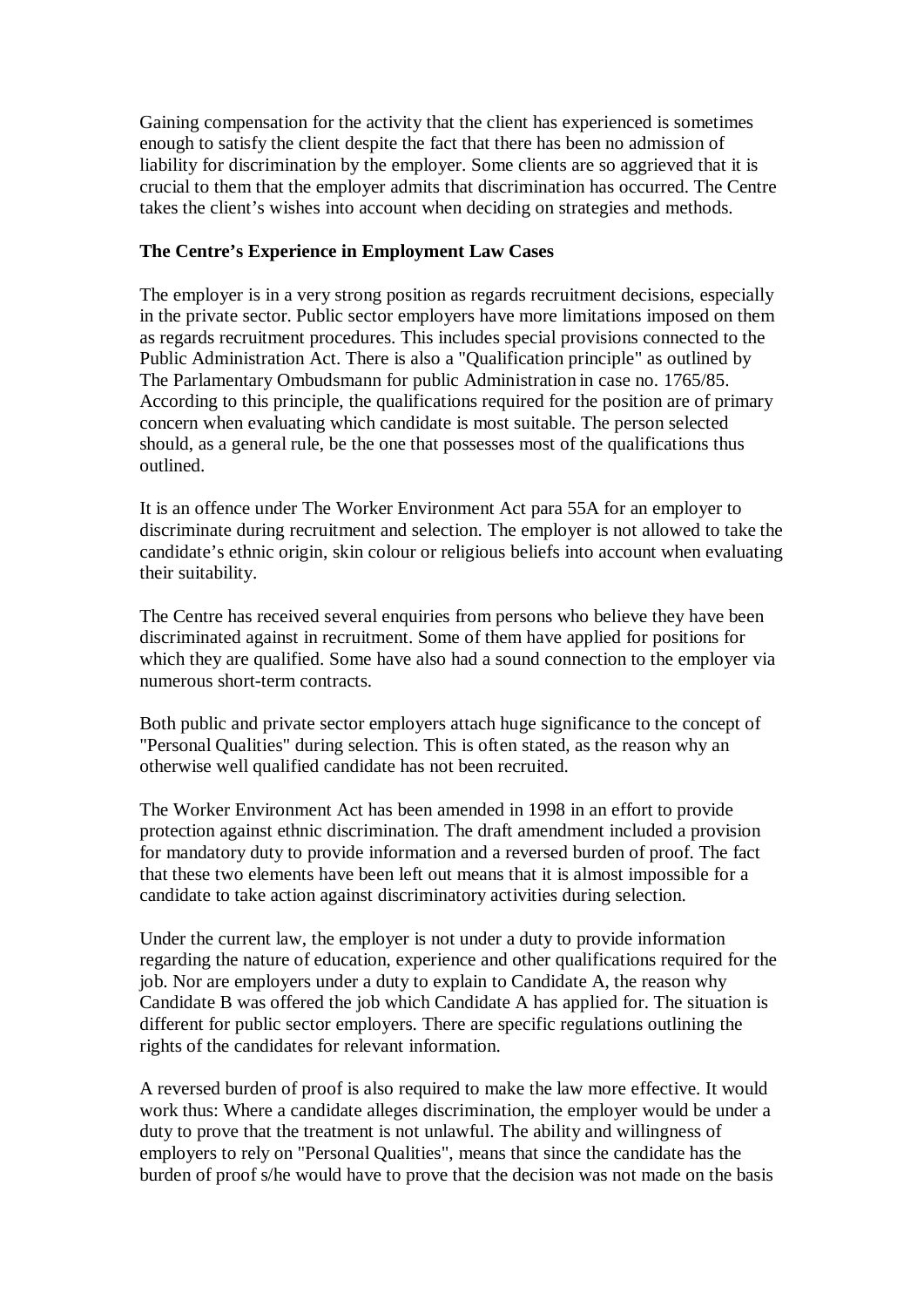Gaining compensation for the activity that the client has experienced is sometimes enough to satisfy the client despite the fact that there has been no admission of liability for discrimination by the employer. Some clients are so aggrieved that it is crucial to them that the employer admits that discrimination has occurred. The Centre takes the client's wishes into account when deciding on strategies and methods.

### **The Centre's Experience in Employment Law Cases**

The employer is in a very strong position as regards recruitment decisions, especially in the private sector. Public sector employers have more limitations imposed on them as regards recruitment procedures. This includes special provisions connected to the Public Administration Act. There is also a "Qualification principle" as outlined by The Parlamentary Ombudsmann for public Administration in case no. 1765/85. According to this principle, the qualifications required for the position are of primary concern when evaluating which candidate is most suitable. The person selected should, as a general rule, be the one that possesses most of the qualifications thus outlined.

It is an offence under The Worker Environment Act para 55A for an employer to discriminate during recruitment and selection. The employer is not allowed to take the candidate's ethnic origin, skin colour or religious beliefs into account when evaluating their suitability.

The Centre has received several enquiries from persons who believe they have been discriminated against in recruitment. Some of them have applied for positions for which they are qualified. Some have also had a sound connection to the employer via numerous short-term contracts.

Both public and private sector employers attach huge significance to the concept of "Personal Qualities" during selection. This is often stated, as the reason why an otherwise well qualified candidate has not been recruited.

The Worker Environment Act has been amended in 1998 in an effort to provide protection against ethnic discrimination. The draft amendment included a provision for mandatory duty to provide information and a reversed burden of proof. The fact that these two elements have been left out means that it is almost impossible for a candidate to take action against discriminatory activities during selection.

Under the current law, the employer is not under a duty to provide information regarding the nature of education, experience and other qualifications required for the job. Nor are employers under a duty to explain to Candidate A, the reason why Candidate B was offered the job which Candidate A has applied for. The situation is different for public sector employers. There are specific regulations outlining the rights of the candidates for relevant information.

A reversed burden of proof is also required to make the law more effective. It would work thus: Where a candidate alleges discrimination, the employer would be under a duty to prove that the treatment is not unlawful. The ability and willingness of employers to rely on "Personal Qualities", means that since the candidate has the burden of proof s/he would have to prove that the decision was not made on the basis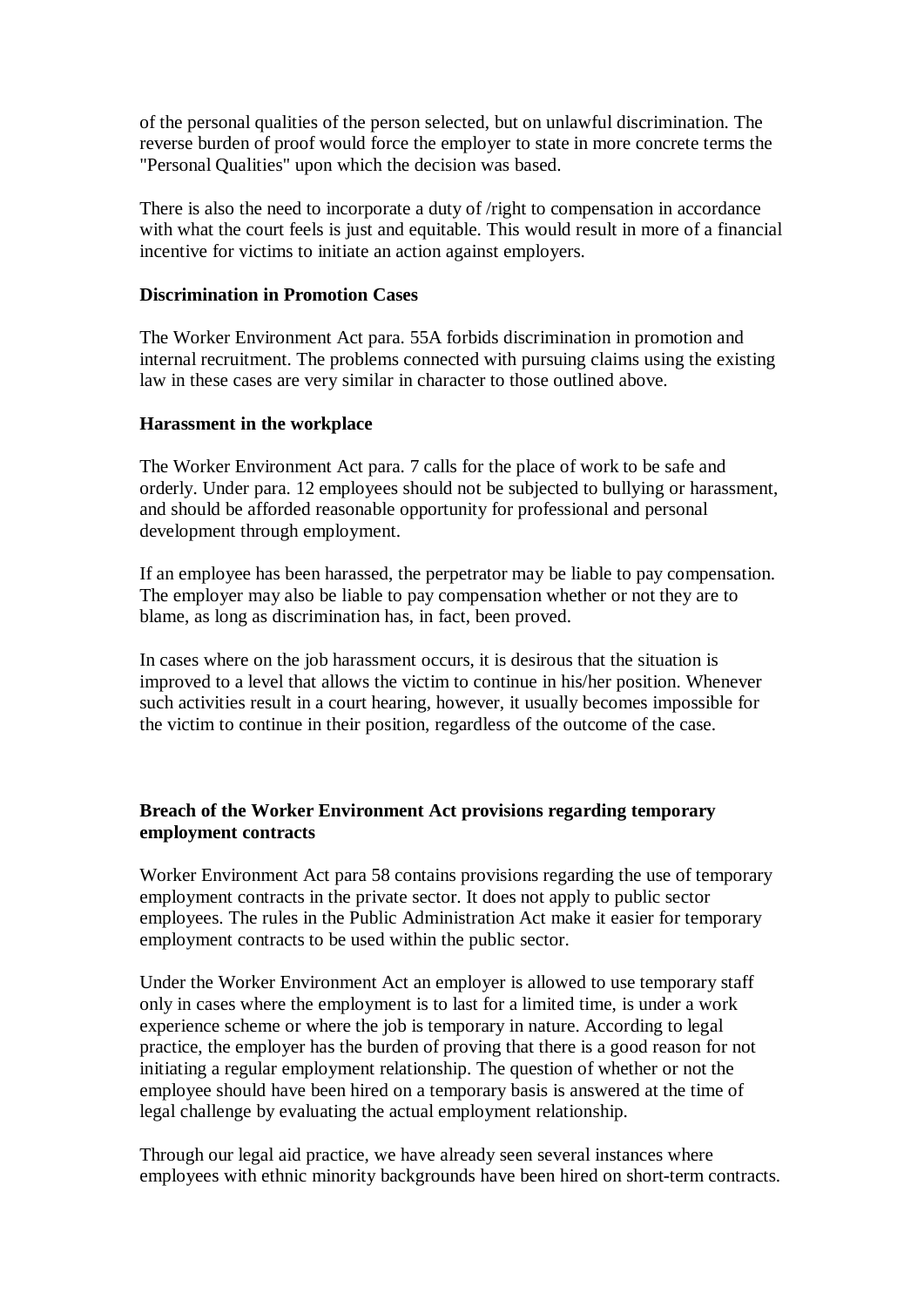of the personal qualities of the person selected, but on unlawful discrimination. The reverse burden of proof would force the employer to state in more concrete terms the "Personal Qualities" upon which the decision was based.

There is also the need to incorporate a duty of /right to compensation in accordance with what the court feels is just and equitable. This would result in more of a financial incentive for victims to initiate an action against employers.

#### **Discrimination in Promotion Cases**

The Worker Environment Act para. 55A forbids discrimination in promotion and internal recruitment. The problems connected with pursuing claims using the existing law in these cases are very similar in character to those outlined above.

#### **Harassment in the workplace**

The Worker Environment Act para. 7 calls for the place of work to be safe and orderly. Under para. 12 employees should not be subjected to bullying or harassment, and should be afforded reasonable opportunity for professional and personal development through employment.

If an employee has been harassed, the perpetrator may be liable to pay compensation. The employer may also be liable to pay compensation whether or not they are to blame, as long as discrimination has, in fact, been proved.

In cases where on the job harassment occurs, it is desirous that the situation is improved to a level that allows the victim to continue in his/her position. Whenever such activities result in a court hearing, however, it usually becomes impossible for the victim to continue in their position, regardless of the outcome of the case.

### **Breach of the Worker Environment Act provisions regarding temporary employment contracts**

Worker Environment Act para 58 contains provisions regarding the use of temporary employment contracts in the private sector. It does not apply to public sector employees. The rules in the Public Administration Act make it easier for temporary employment contracts to be used within the public sector.

Under the Worker Environment Act an employer is allowed to use temporary staff only in cases where the employment is to last for a limited time, is under a work experience scheme or where the job is temporary in nature. According to legal practice, the employer has the burden of proving that there is a good reason for not initiating a regular employment relationship. The question of whether or not the employee should have been hired on a temporary basis is answered at the time of legal challenge by evaluating the actual employment relationship.

Through our legal aid practice, we have already seen several instances where employees with ethnic minority backgrounds have been hired on short-term contracts.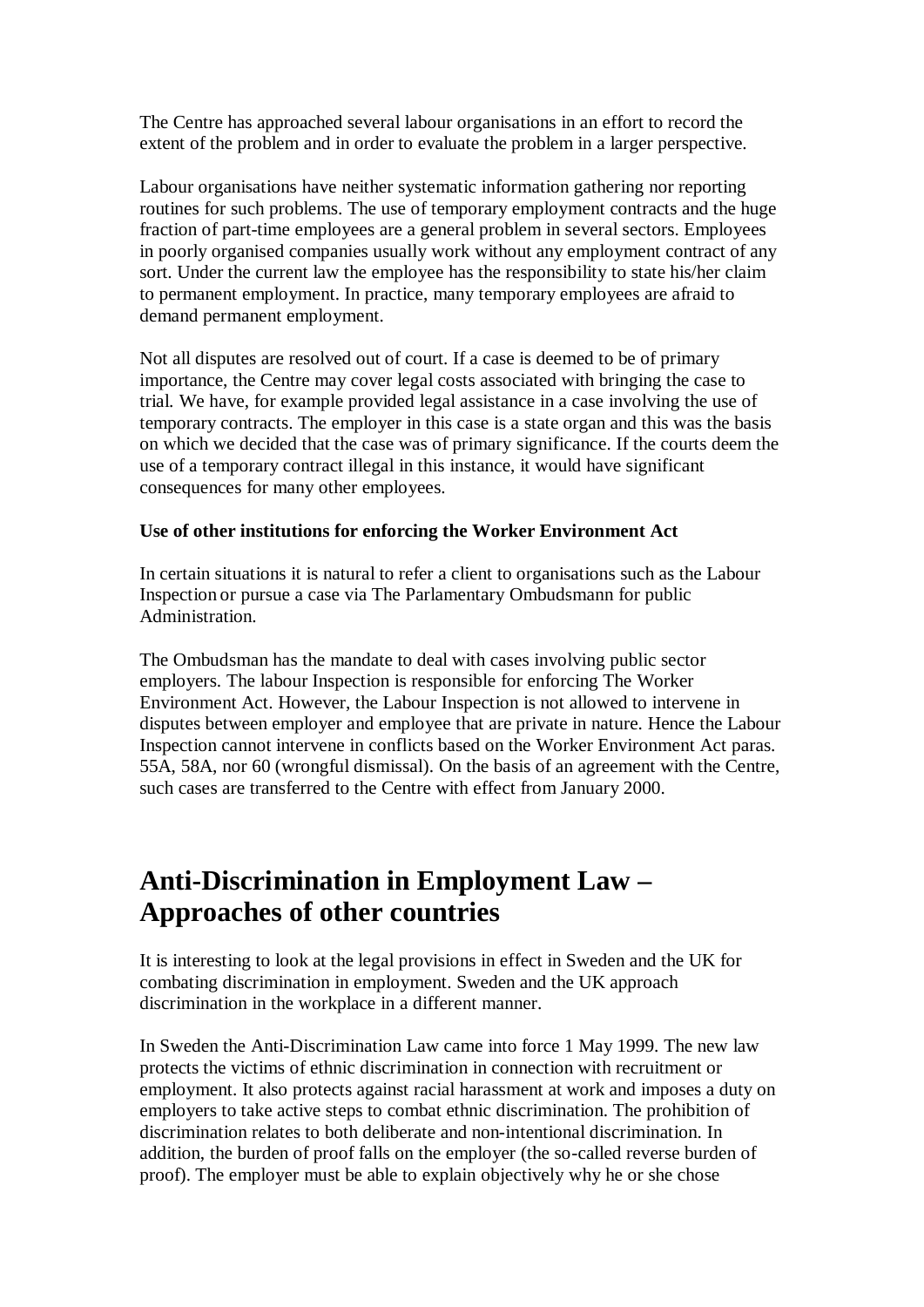The Centre has approached several labour organisations in an effort to record the extent of the problem and in order to evaluate the problem in a larger perspective.

Labour organisations have neither systematic information gathering nor reporting routines for such problems. The use of temporary employment contracts and the huge fraction of part-time employees are a general problem in several sectors. Employees in poorly organised companies usually work without any employment contract of any sort. Under the current law the employee has the responsibility to state his/her claim to permanent employment. In practice, many temporary employees are afraid to demand permanent employment.

Not all disputes are resolved out of court. If a case is deemed to be of primary importance, the Centre may cover legal costs associated with bringing the case to trial. We have, for example provided legal assistance in a case involving the use of temporary contracts. The employer in this case is a state organ and this was the basis on which we decided that the case was of primary significance. If the courts deem the use of a temporary contract illegal in this instance, it would have significant consequences for many other employees.

#### **Use of other institutions for enforcing the Worker Environment Act**

In certain situations it is natural to refer a client to organisations such as the Labour Inspection or pursue a case via The Parlamentary Ombudsmann for public Administration.

The Ombudsman has the mandate to deal with cases involving public sector employers. The labour Inspection is responsible for enforcing The Worker Environment Act. However, the Labour Inspection is not allowed to intervene in disputes between employer and employee that are private in nature. Hence the Labour Inspection cannot intervene in conflicts based on the Worker Environment Act paras. 55A, 58A, nor 60 (wrongful dismissal). On the basis of an agreement with the Centre, such cases are transferred to the Centre with effect from January 2000.

## **Anti-Discrimination in Employment Law – Approaches of other countries**

It is interesting to look at the legal provisions in effect in Sweden and the UK for combating discrimination in employment. Sweden and the UK approach discrimination in the workplace in a different manner.

In Sweden the Anti-Discrimination Law came into force 1 May 1999. The new law protects the victims of ethnic discrimination in connection with recruitment or employment. It also protects against racial harassment at work and imposes a duty on employers to take active steps to combat ethnic discrimination. The prohibition of discrimination relates to both deliberate and non-intentional discrimination. In addition, the burden of proof falls on the employer (the so-called reverse burden of proof). The employer must be able to explain objectively why he or she chose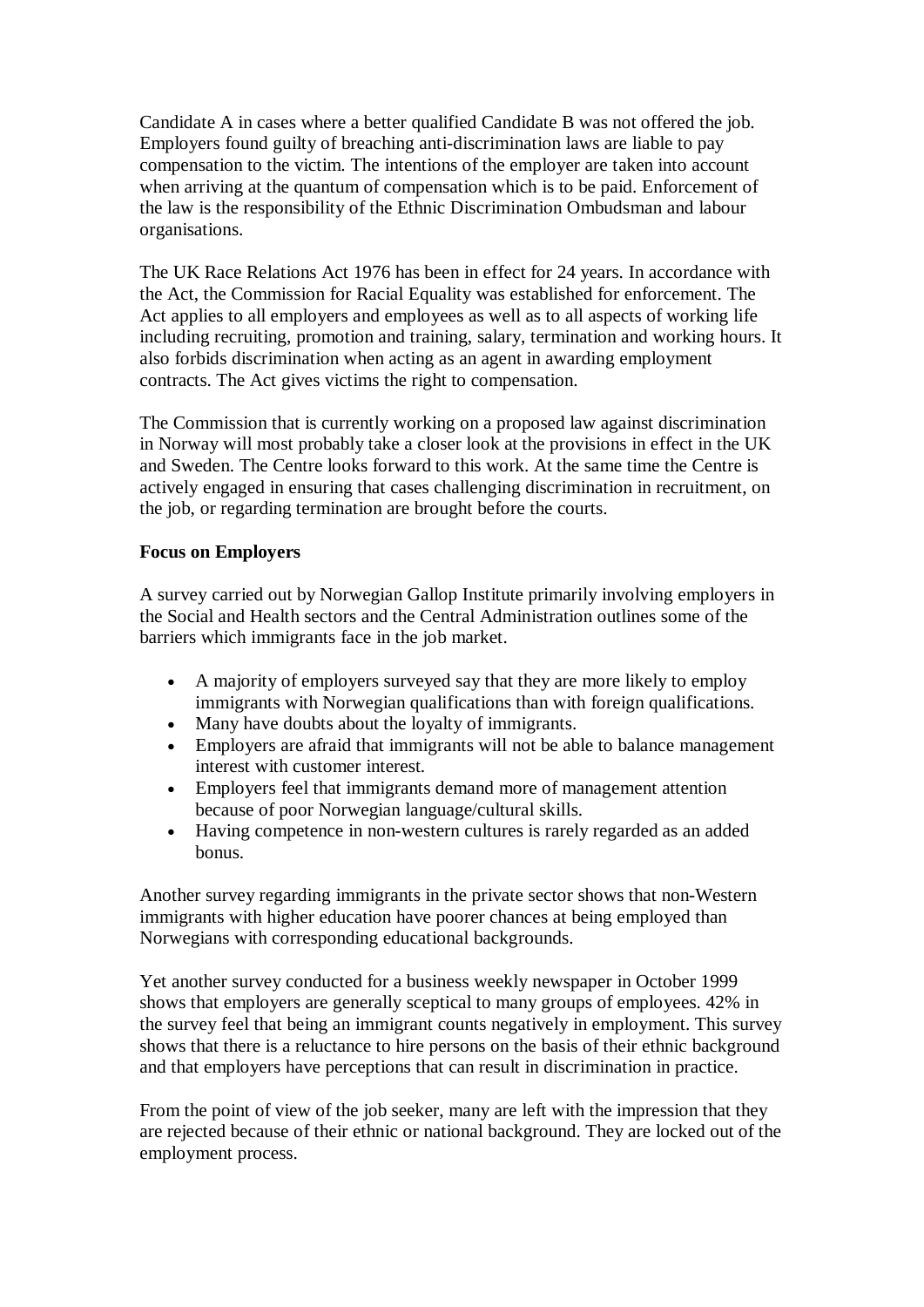Candidate A in cases where a better qualified Candidate B was not offered the job. Employers found guilty of breaching anti-discrimination laws are liable to pay compensation to the victim. The intentions of the employer are taken into account when arriving at the quantum of compensation which is to be paid. Enforcement of the law is the responsibility of the Ethnic Discrimination Ombudsman and labour organisations.

The UK Race Relations Act 1976 has been in effect for 24 years. In accordance with the Act, the Commission for Racial Equality was established for enforcement. The Act applies to all employers and employees as well as to all aspects of working life including recruiting, promotion and training, salary, termination and working hours. It also forbids discrimination when acting as an agent in awarding employment contracts. The Act gives victims the right to compensation.

The Commission that is currently working on a proposed law against discrimination in Norway will most probably take a closer look at the provisions in effect in the UK and Sweden. The Centre looks forward to this work. At the same time the Centre is actively engaged in ensuring that cases challenging discrimination in recruitment, on the job, or regarding termination are brought before the courts.

### **Focus on Employers**

A survey carried out by Norwegian Gallop Institute primarily involving employers in the Social and Health sectors and the Central Administration outlines some of the barriers which immigrants face in the job market.

- A majority of employers surveyed say that they are more likely to employ immigrants with Norwegian qualifications than with foreign qualifications.
- · Many have doubts about the loyalty of immigrants.
- · Employers are afraid that immigrants will not be able to balance management interest with customer interest.
- · Employers feel that immigrants demand more of management attention because of poor Norwegian language/cultural skills.
- · Having competence in non-western cultures is rarely regarded as an added bonus.

Another survey regarding immigrants in the private sector shows that non-Western immigrants with higher education have poorer chances at being employed than Norwegians with corresponding educational backgrounds.

Yet another survey conducted for a business weekly newspaper in October 1999 shows that employers are generally sceptical to many groups of employees. 42% in the survey feel that being an immigrant counts negatively in employment. This survey shows that there is a reluctance to hire persons on the basis of their ethnic background and that employers have perceptions that can result in discrimination in practice.

From the point of view of the job seeker, many are left with the impression that they are rejected because of their ethnic or national background. They are locked out of the employment process.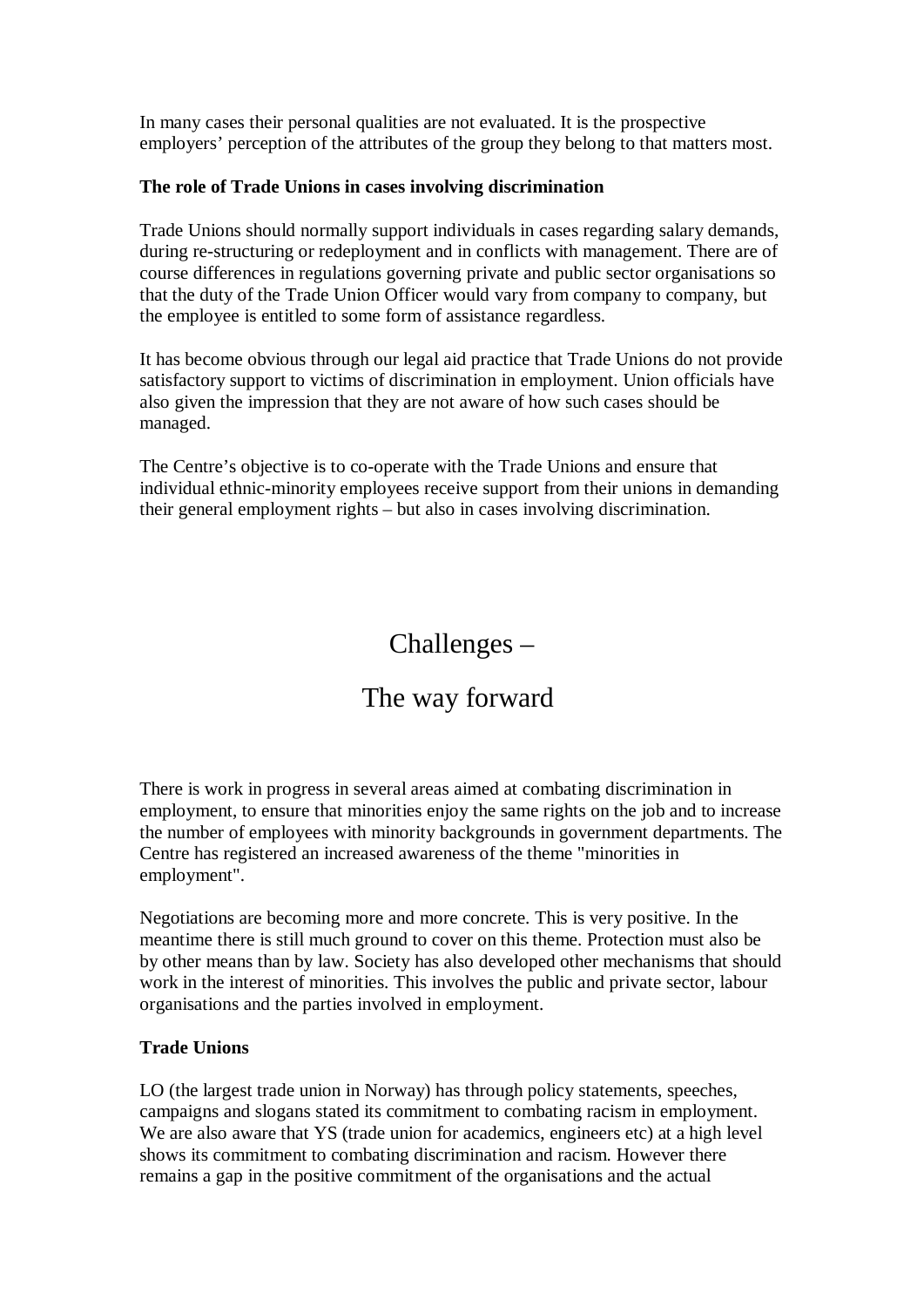In many cases their personal qualities are not evaluated. It is the prospective employers' perception of the attributes of the group they belong to that matters most.

### **The role of Trade Unions in cases involving discrimination**

Trade Unions should normally support individuals in cases regarding salary demands, during re-structuring or redeployment and in conflicts with management. There are of course differences in regulations governing private and public sector organisations so that the duty of the Trade Union Officer would vary from company to company, but the employee is entitled to some form of assistance regardless.

It has become obvious through our legal aid practice that Trade Unions do not provide satisfactory support to victims of discrimination in employment. Union officials have also given the impression that they are not aware of how such cases should be managed.

The Centre's objective is to co-operate with the Trade Unions and ensure that individual ethnic-minority employees receive support from their unions in demanding their general employment rights – but also in cases involving discrimination.

## Challenges –

### The way forward

There is work in progress in several areas aimed at combating discrimination in employment, to ensure that minorities enjoy the same rights on the job and to increase the number of employees with minority backgrounds in government departments. The Centre has registered an increased awareness of the theme "minorities in employment".

Negotiations are becoming more and more concrete. This is very positive. In the meantime there is still much ground to cover on this theme. Protection must also be by other means than by law. Society has also developed other mechanisms that should work in the interest of minorities. This involves the public and private sector, labour organisations and the parties involved in employment.

### **Trade Unions**

LO (the largest trade union in Norway) has through policy statements, speeches, campaigns and slogans stated its commitment to combating racism in employment. We are also aware that YS (trade union for academics, engineers etc) at a high level shows its commitment to combating discrimination and racism. However there remains a gap in the positive commitment of the organisations and the actual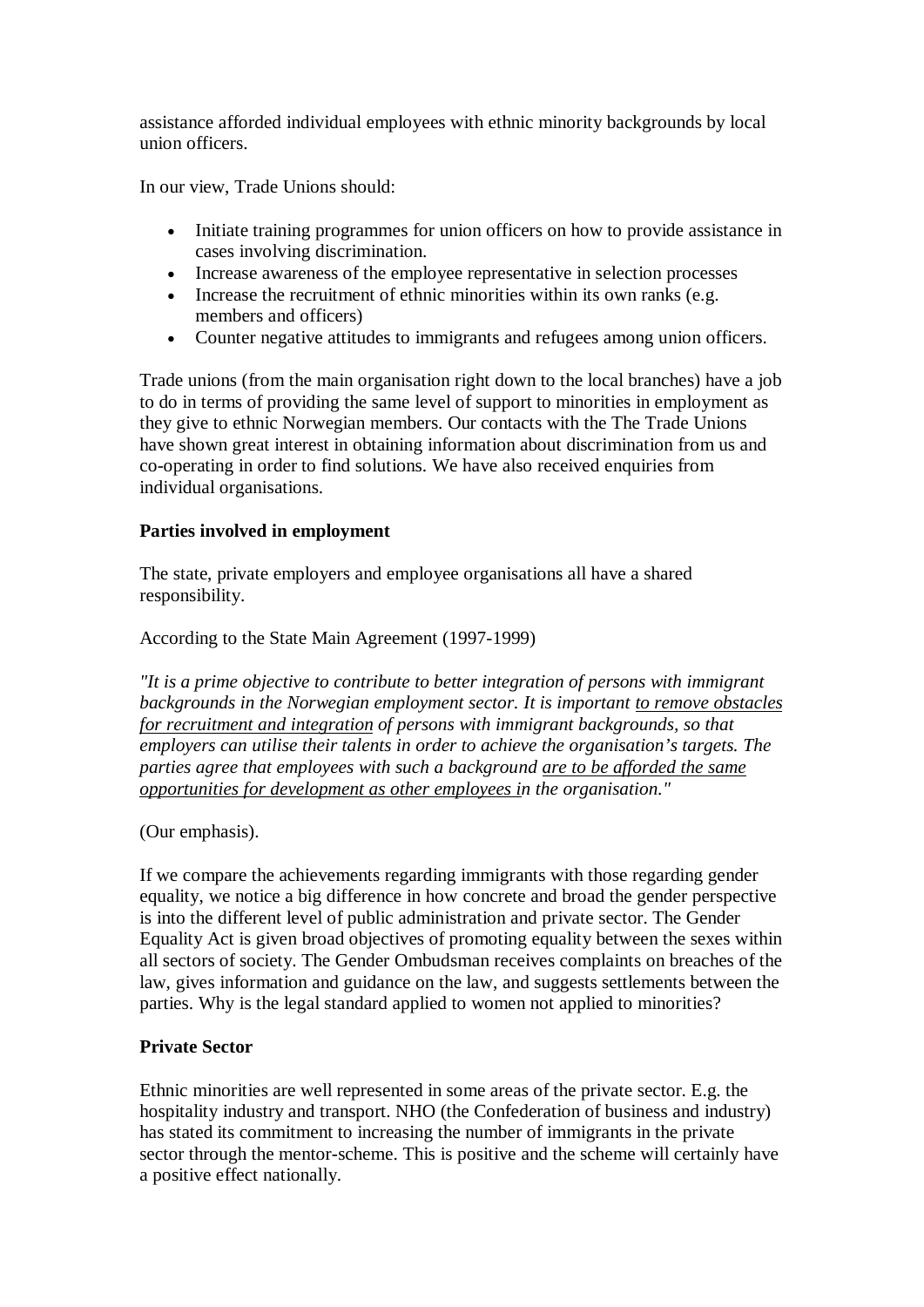assistance afforded individual employees with ethnic minority backgrounds by local union officers.

In our view, Trade Unions should:

- · Initiate training programmes for union officers on how to provide assistance in cases involving discrimination.
- · Increase awareness of the employee representative in selection processes
- Increase the recruitment of ethnic minorities within its own ranks (e.g. members and officers)
- · Counter negative attitudes to immigrants and refugees among union officers.

Trade unions (from the main organisation right down to the local branches) have a job to do in terms of providing the same level of support to minorities in employment as they give to ethnic Norwegian members. Our contacts with the The Trade Unions have shown great interest in obtaining information about discrimination from us and co-operating in order to find solutions. We have also received enquiries from individual organisations.

### **Parties involved in employment**

The state, private employers and employee organisations all have a shared responsibility.

### According to the State Main Agreement (1997-1999)

*"It is a prime objective to contribute to better integration of persons with immigrant backgrounds in the Norwegian employment sector. It is important to remove obstacles for recruitment and integration of persons with immigrant backgrounds, so that employers can utilise their talents in order to achieve the organisation's targets. The parties agree that employees with such a background are to be afforded the same opportunities for development as other employees in the organisation."*

#### (Our emphasis).

If we compare the achievements regarding immigrants with those regarding gender equality, we notice a big difference in how concrete and broad the gender perspective is into the different level of public administration and private sector. The Gender Equality Act is given broad objectives of promoting equality between the sexes within all sectors of society. The Gender Ombudsman receives complaints on breaches of the law, gives information and guidance on the law, and suggests settlements between the parties. Why is the legal standard applied to women not applied to minorities?

### **Private Sector**

Ethnic minorities are well represented in some areas of the private sector. E.g. the hospitality industry and transport. NHO (the Confederation of business and industry) has stated its commitment to increasing the number of immigrants in the private sector through the mentor-scheme. This is positive and the scheme will certainly have a positive effect nationally.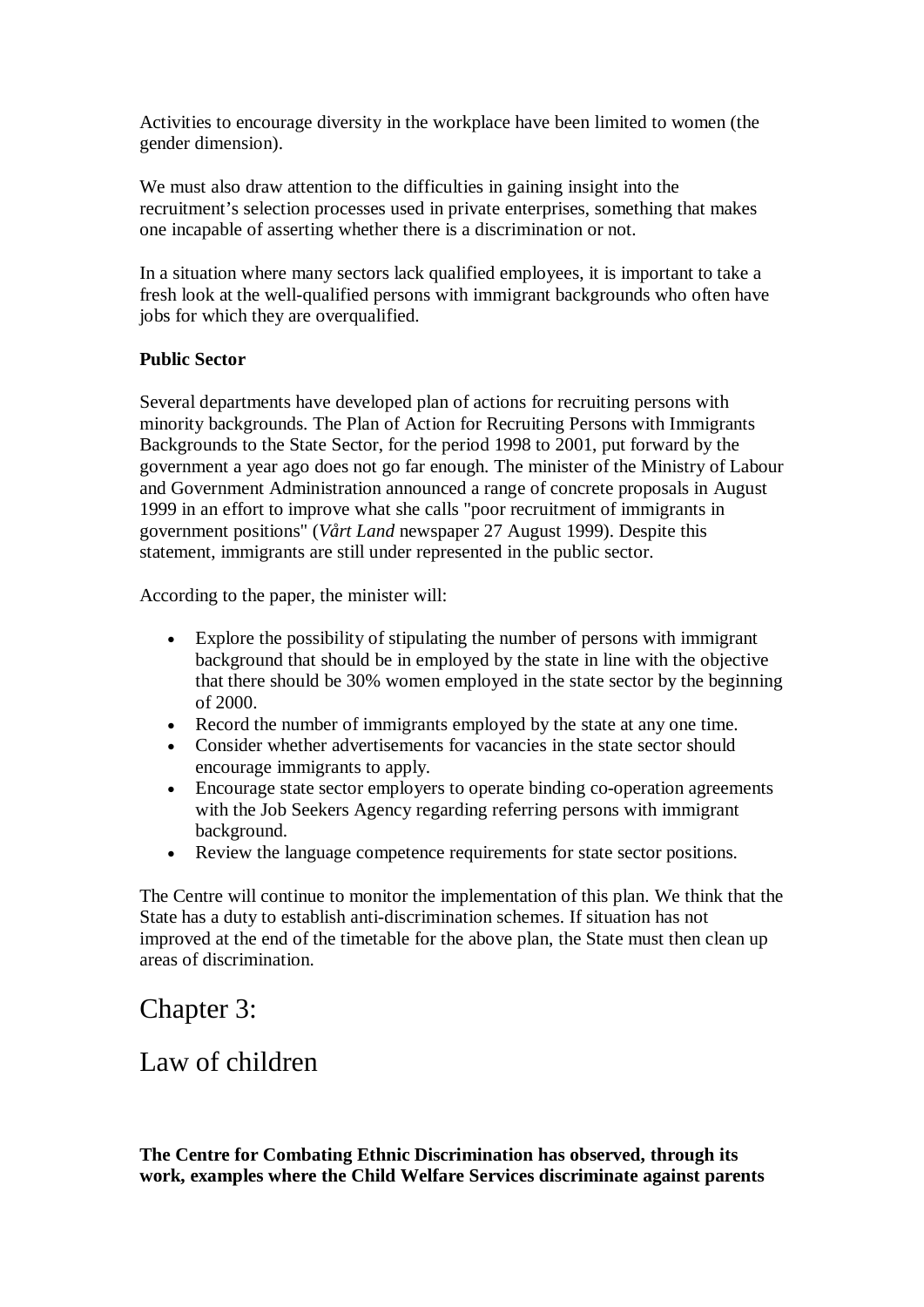Activities to encourage diversity in the workplace have been limited to women (the gender dimension).

We must also draw attention to the difficulties in gaining insight into the recruitment's selection processes used in private enterprises, something that makes one incapable of asserting whether there is a discrimination or not.

In a situation where many sectors lack qualified employees, it is important to take a fresh look at the well-qualified persons with immigrant backgrounds who often have jobs for which they are overqualified.

### **Public Sector**

Several departments have developed plan of actions for recruiting persons with minority backgrounds. The Plan of Action for Recruiting Persons with Immigrants Backgrounds to the State Sector, for the period 1998 to 2001, put forward by the government a year ago does not go far enough. The minister of the Ministry of Labour and Government Administration announced a range of concrete proposals in August 1999 in an effort to improve what she calls "poor recruitment of immigrants in government positions" (*Vårt Land* newspaper 27 August 1999). Despite this statement, immigrants are still under represented in the public sector.

According to the paper, the minister will:

- · Explore the possibility of stipulating the number of persons with immigrant background that should be in employed by the state in line with the objective that there should be 30% women employed in the state sector by the beginning of 2000.
- · Record the number of immigrants employed by the state at any one time.
- · Consider whether advertisements for vacancies in the state sector should encourage immigrants to apply.
- · Encourage state sector employers to operate binding co-operation agreements with the Job Seekers Agency regarding referring persons with immigrant background.
- · Review the language competence requirements for state sector positions.

The Centre will continue to monitor the implementation of this plan. We think that the State has a duty to establish anti-discrimination schemes. If situation has not improved at the end of the timetable for the above plan, the State must then clean up areas of discrimination.

## Chapter 3:

### Law of children

**The Centre for Combating Ethnic Discrimination has observed, through its work, examples where the Child Welfare Services discriminate against parents**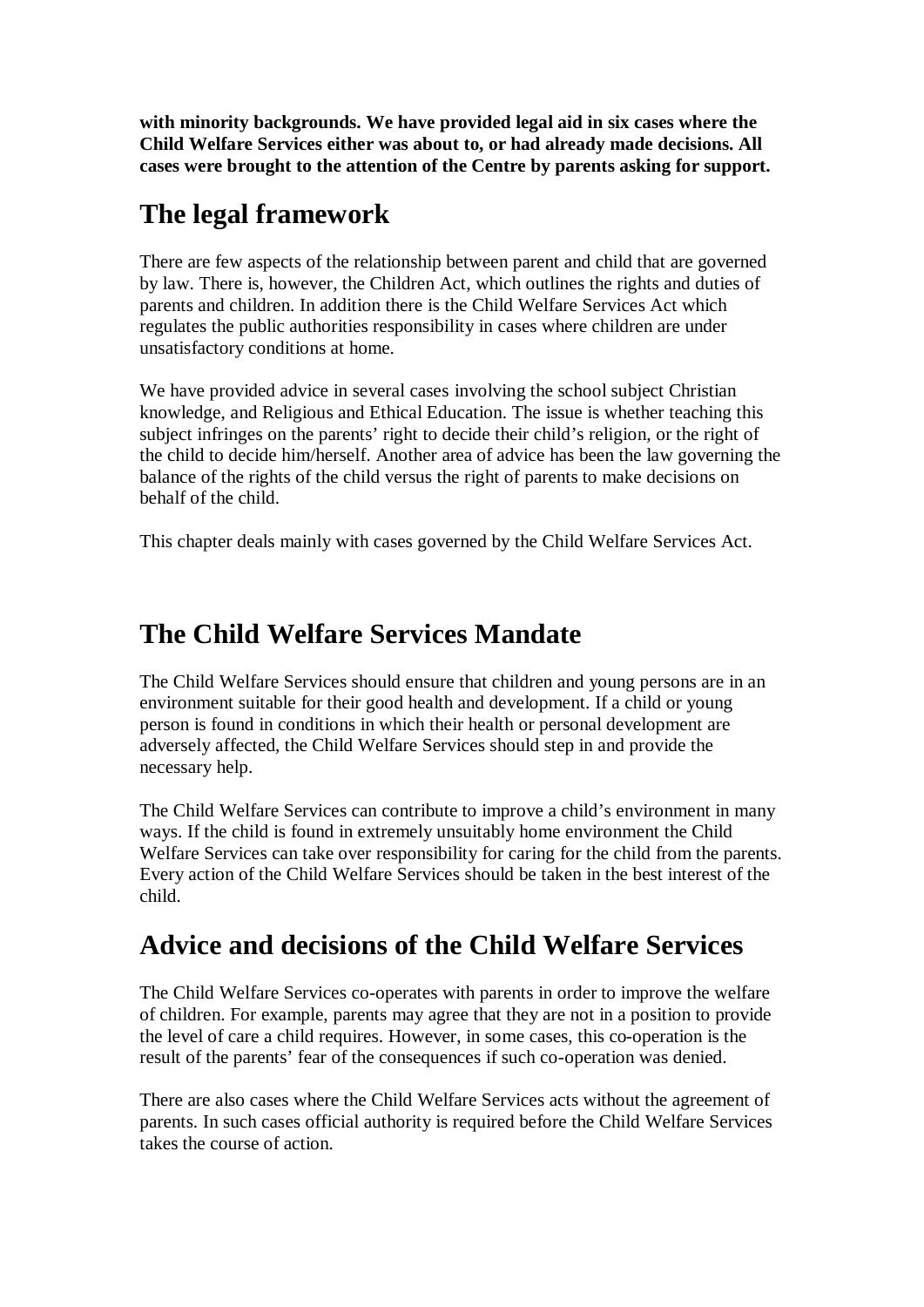**with minority backgrounds. We have provided legal aid in six cases where the Child Welfare Services either was about to, or had already made decisions. All cases were brought to the attention of the Centre by parents asking for support.**

# **The legal framework**

There are few aspects of the relationship between parent and child that are governed by law. There is, however, the Children Act, which outlines the rights and duties of parents and children. In addition there is the Child Welfare Services Act which regulates the public authorities responsibility in cases where children are under unsatisfactory conditions at home.

We have provided advice in several cases involving the school subject Christian knowledge, and Religious and Ethical Education. The issue is whether teaching this subject infringes on the parents' right to decide their child's religion, or the right of the child to decide him/herself. Another area of advice has been the law governing the balance of the rights of the child versus the right of parents to make decisions on behalf of the child.

This chapter deals mainly with cases governed by the Child Welfare Services Act.

# **The Child Welfare Services Mandate**

The Child Welfare Services should ensure that children and young persons are in an environment suitable for their good health and development. If a child or young person is found in conditions in which their health or personal development are adversely affected, the Child Welfare Services should step in and provide the necessary help.

The Child Welfare Services can contribute to improve a child's environment in many ways. If the child is found in extremely unsuitably home environment the Child Welfare Services can take over responsibility for caring for the child from the parents. Every action of the Child Welfare Services should be taken in the best interest of the child.

# **Advice and decisions of the Child Welfare Services**

The Child Welfare Services co-operates with parents in order to improve the welfare of children. For example, parents may agree that they are not in a position to provide the level of care a child requires. However, in some cases, this co-operation is the result of the parents' fear of the consequences if such co-operation was denied.

There are also cases where the Child Welfare Services acts without the agreement of parents. In such cases official authority is required before the Child Welfare Services takes the course of action.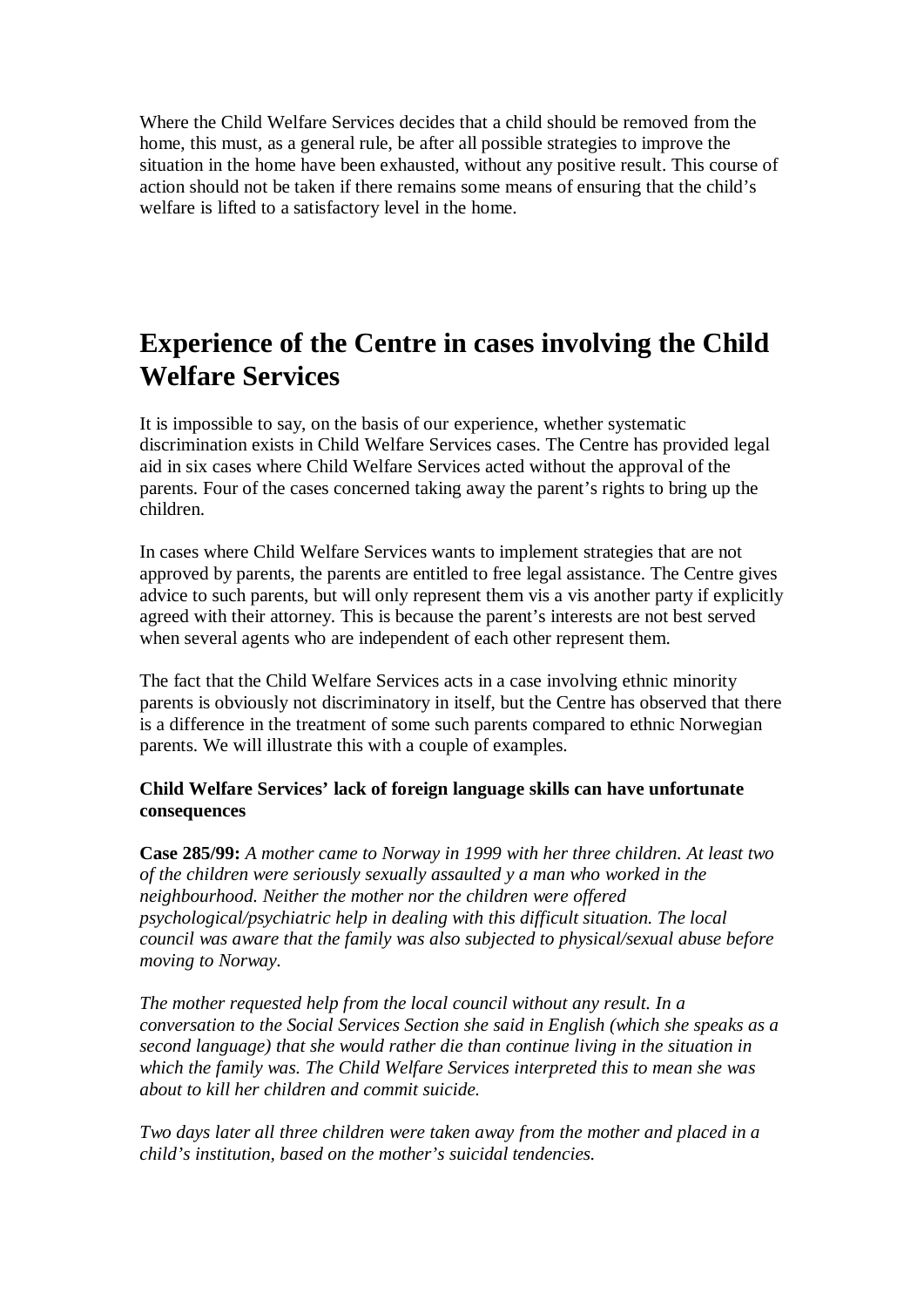Where the Child Welfare Services decides that a child should be removed from the home, this must, as a general rule, be after all possible strategies to improve the situation in the home have been exhausted, without any positive result. This course of action should not be taken if there remains some means of ensuring that the child's welfare is lifted to a satisfactory level in the home.

# **Experience of the Centre in cases involving the Child Welfare Services**

It is impossible to say, on the basis of our experience, whether systematic discrimination exists in Child Welfare Services cases. The Centre has provided legal aid in six cases where Child Welfare Services acted without the approval of the parents. Four of the cases concerned taking away the parent's rights to bring up the children.

In cases where Child Welfare Services wants to implement strategies that are not approved by parents, the parents are entitled to free legal assistance. The Centre gives advice to such parents, but will only represent them vis a vis another party if explicitly agreed with their attorney. This is because the parent's interests are not best served when several agents who are independent of each other represent them.

The fact that the Child Welfare Services acts in a case involving ethnic minority parents is obviously not discriminatory in itself, but the Centre has observed that there is a difference in the treatment of some such parents compared to ethnic Norwegian parents. We will illustrate this with a couple of examples.

### **Child Welfare Services' lack of foreign language skills can have unfortunate consequences**

**Case 285/99:** *A mother came to Norway in 1999 with her three children. At least two of the children were seriously sexually assaulted y a man who worked in the neighbourhood. Neither the mother nor the children were offered psychological/psychiatric help in dealing with this difficult situation. The local council was aware that the family was also subjected to physical/sexual abuse before moving to Norway.*

*The mother requested help from the local council without any result. In a conversation to the Social Services Section she said in English (which she speaks as a second language) that she would rather die than continue living in the situation in which the family was. The Child Welfare Services interpreted this to mean she was about to kill her children and commit suicide.*

*Two days later all three children were taken away from the mother and placed in a child's institution, based on the mother's suicidal tendencies.*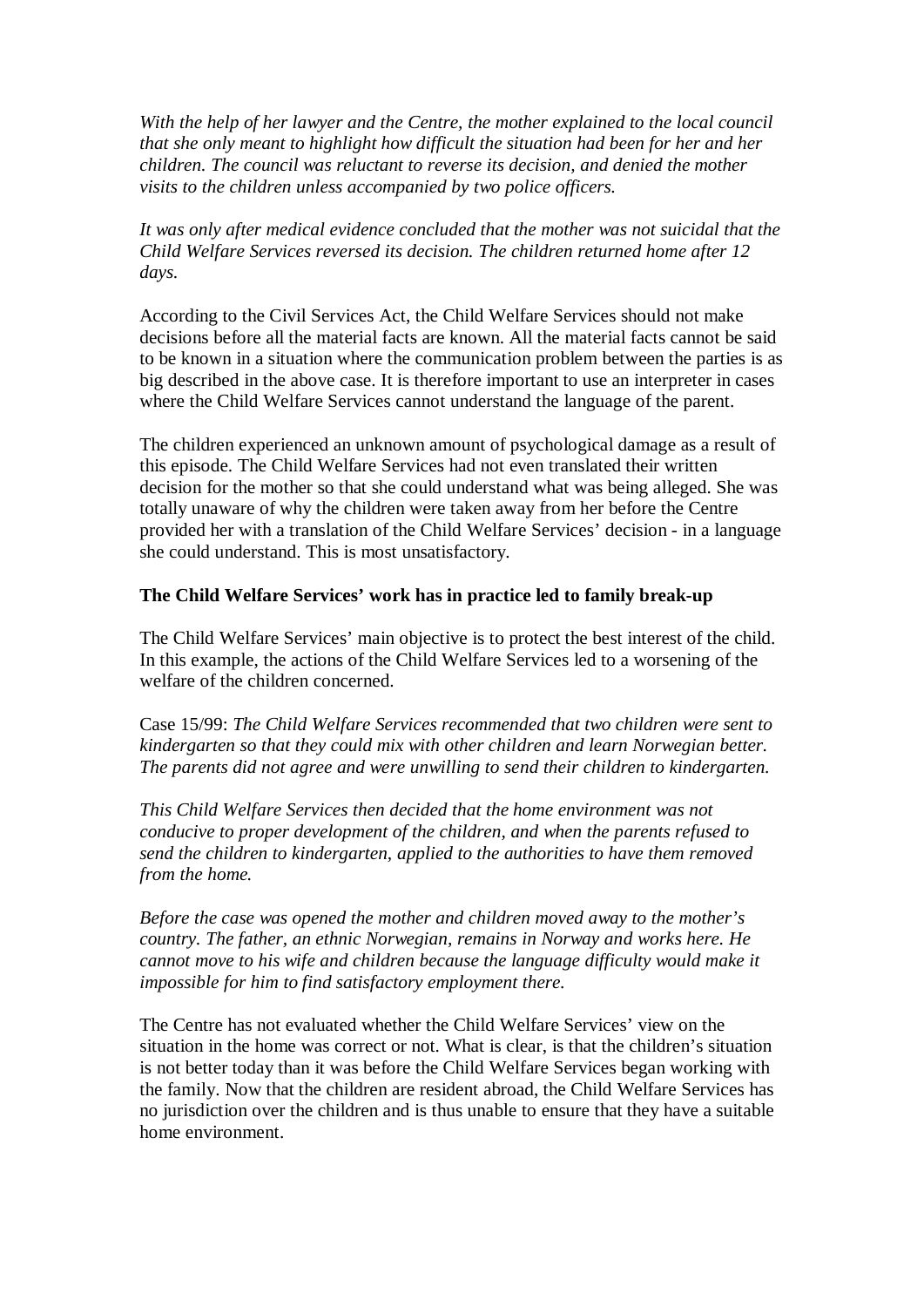*With the help of her lawyer and the Centre, the mother explained to the local council that she only meant to highlight how difficult the situation had been for her and her children. The council was reluctant to reverse its decision, and denied the mother visits to the children unless accompanied by two police officers.*

*It was only after medical evidence concluded that the mother was not suicidal that the Child Welfare Services reversed its decision. The children returned home after 12 days.*

According to the Civil Services Act, the Child Welfare Services should not make decisions before all the material facts are known. All the material facts cannot be said to be known in a situation where the communication problem between the parties is as big described in the above case. It is therefore important to use an interpreter in cases where the Child Welfare Services cannot understand the language of the parent.

The children experienced an unknown amount of psychological damage as a result of this episode. The Child Welfare Services had not even translated their written decision for the mother so that she could understand what was being alleged. She was totally unaware of why the children were taken away from her before the Centre provided her with a translation of the Child Welfare Services' decision - in a language she could understand. This is most unsatisfactory.

#### **The Child Welfare Services' work has in practice led to family break-up**

The Child Welfare Services' main objective is to protect the best interest of the child. In this example, the actions of the Child Welfare Services led to a worsening of the welfare of the children concerned.

Case 15/99: *The Child Welfare Services recommended that two children were sent to kindergarten so that they could mix with other children and learn Norwegian better. The parents did not agree and were unwilling to send their children to kindergarten.*

*This Child Welfare Services then decided that the home environment was not conducive to proper development of the children, and when the parents refused to send the children to kindergarten, applied to the authorities to have them removed from the home.*

*Before the case was opened the mother and children moved away to the mother's country. The father, an ethnic Norwegian, remains in Norway and works here. He cannot move to his wife and children because the language difficulty would make it impossible for him to find satisfactory employment there.*

The Centre has not evaluated whether the Child Welfare Services' view on the situation in the home was correct or not. What is clear, is that the children's situation is not better today than it was before the Child Welfare Services began working with the family. Now that the children are resident abroad, the Child Welfare Services has no jurisdiction over the children and is thus unable to ensure that they have a suitable home environment.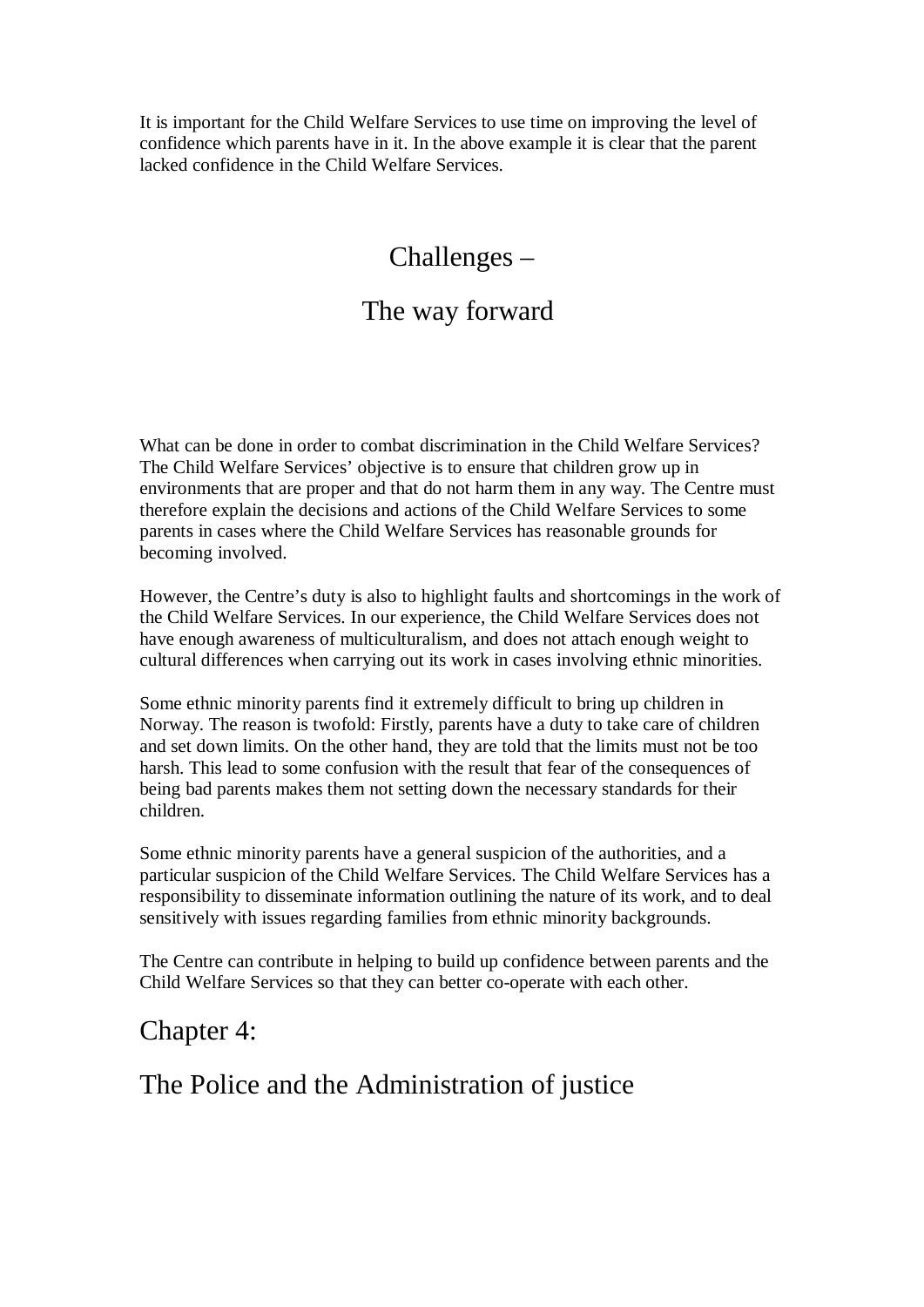It is important for the Child Welfare Services to use time on improving the level of confidence which parents have in it. In the above example it is clear that the parent lacked confidence in the Child Welfare Services.

## Challenges –

### The way forward

What can be done in order to combat discrimination in the Child Welfare Services? The Child Welfare Services' objective is to ensure that children grow up in environments that are proper and that do not harm them in any way. The Centre must therefore explain the decisions and actions of the Child Welfare Services to some parents in cases where the Child Welfare Services has reasonable grounds for becoming involved.

However, the Centre's duty is also to highlight faults and shortcomings in the work of the Child Welfare Services. In our experience, the Child Welfare Services does not have enough awareness of multiculturalism, and does not attach enough weight to cultural differences when carrying out its work in cases involving ethnic minorities.

Some ethnic minority parents find it extremely difficult to bring up children in Norway. The reason is twofold: Firstly, parents have a duty to take care of children and set down limits. On the other hand, they are told that the limits must not be too harsh. This lead to some confusion with the result that fear of the consequences of being bad parents makes them not setting down the necessary standards for their children.

Some ethnic minority parents have a general suspicion of the authorities, and a particular suspicion of the Child Welfare Services. The Child Welfare Services has a responsibility to disseminate information outlining the nature of its work, and to deal sensitively with issues regarding families from ethnic minority backgrounds.

The Centre can contribute in helping to build up confidence between parents and the Child Welfare Services so that they can better co-operate with each other.

### Chapter 4:

### The Police and the Administration of justice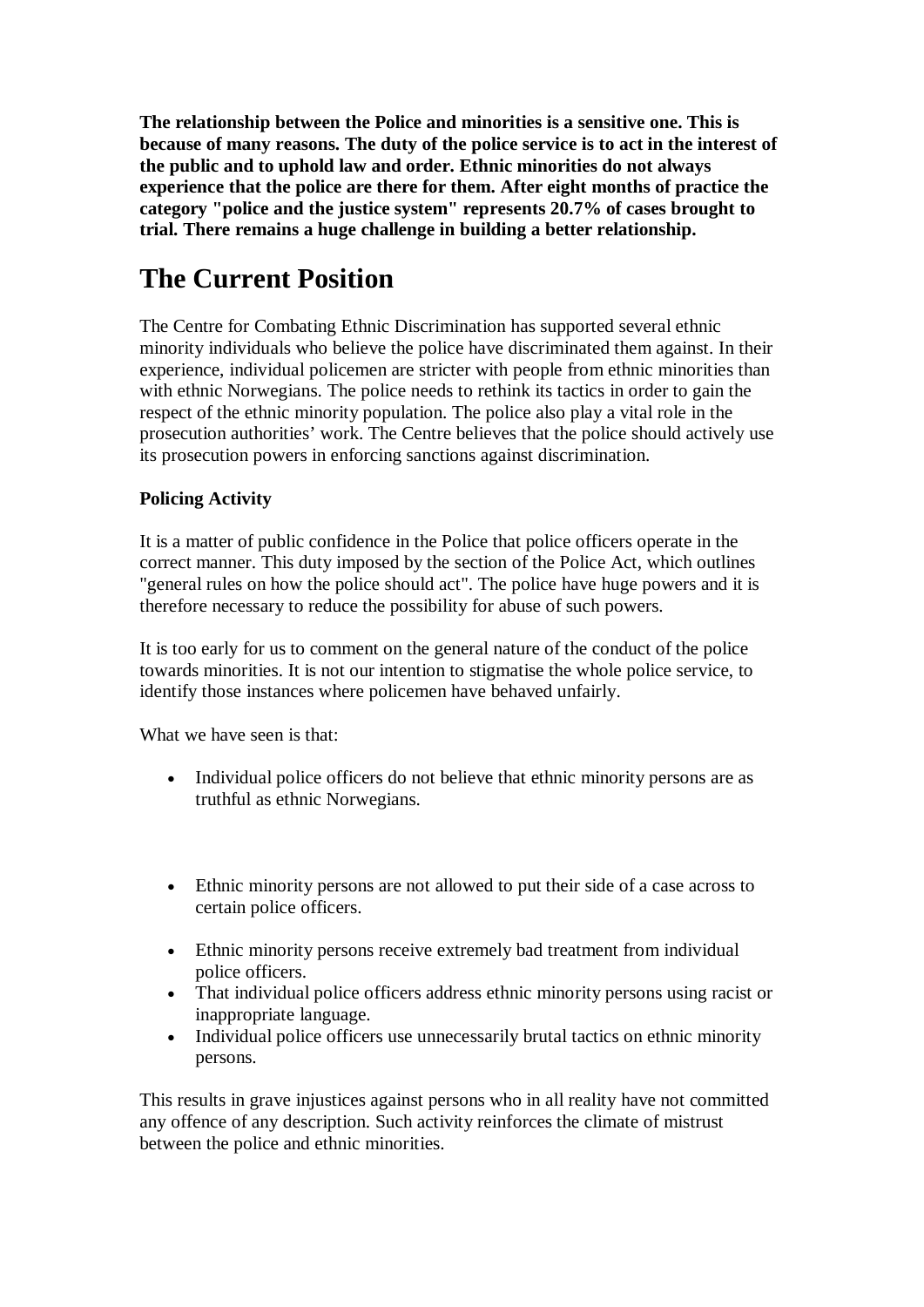**The relationship between the Police and minorities is a sensitive one. This is because of many reasons. The duty of the police service is to act in the interest of the public and to uphold law and order. Ethnic minorities do not always experience that the police are there for them. After eight months of practice the category "police and the justice system" represents 20.7% of cases brought to trial. There remains a huge challenge in building a better relationship.**

# **The Current Position**

The Centre for Combating Ethnic Discrimination has supported several ethnic minority individuals who believe the police have discriminated them against. In their experience, individual policemen are stricter with people from ethnic minorities than with ethnic Norwegians. The police needs to rethink its tactics in order to gain the respect of the ethnic minority population. The police also play a vital role in the prosecution authorities' work. The Centre believes that the police should actively use its prosecution powers in enforcing sanctions against discrimination.

### **Policing Activity**

It is a matter of public confidence in the Police that police officers operate in the correct manner. This duty imposed by the section of the Police Act, which outlines "general rules on how the police should act". The police have huge powers and it is therefore necessary to reduce the possibility for abuse of such powers.

It is too early for us to comment on the general nature of the conduct of the police towards minorities. It is not our intention to stigmatise the whole police service, to identify those instances where policemen have behaved unfairly.

What we have seen is that:

- · Individual police officers do not believe that ethnic minority persons are as truthful as ethnic Norwegians.
- · Ethnic minority persons are not allowed to put their side of a case across to certain police officers.
- Ethnic minority persons receive extremely bad treatment from individual police officers.
- That individual police officers address ethnic minority persons using racist or inappropriate language.
- · Individual police officers use unnecessarily brutal tactics on ethnic minority persons.

This results in grave injustices against persons who in all reality have not committed any offence of any description. Such activity reinforces the climate of mistrust between the police and ethnic minorities.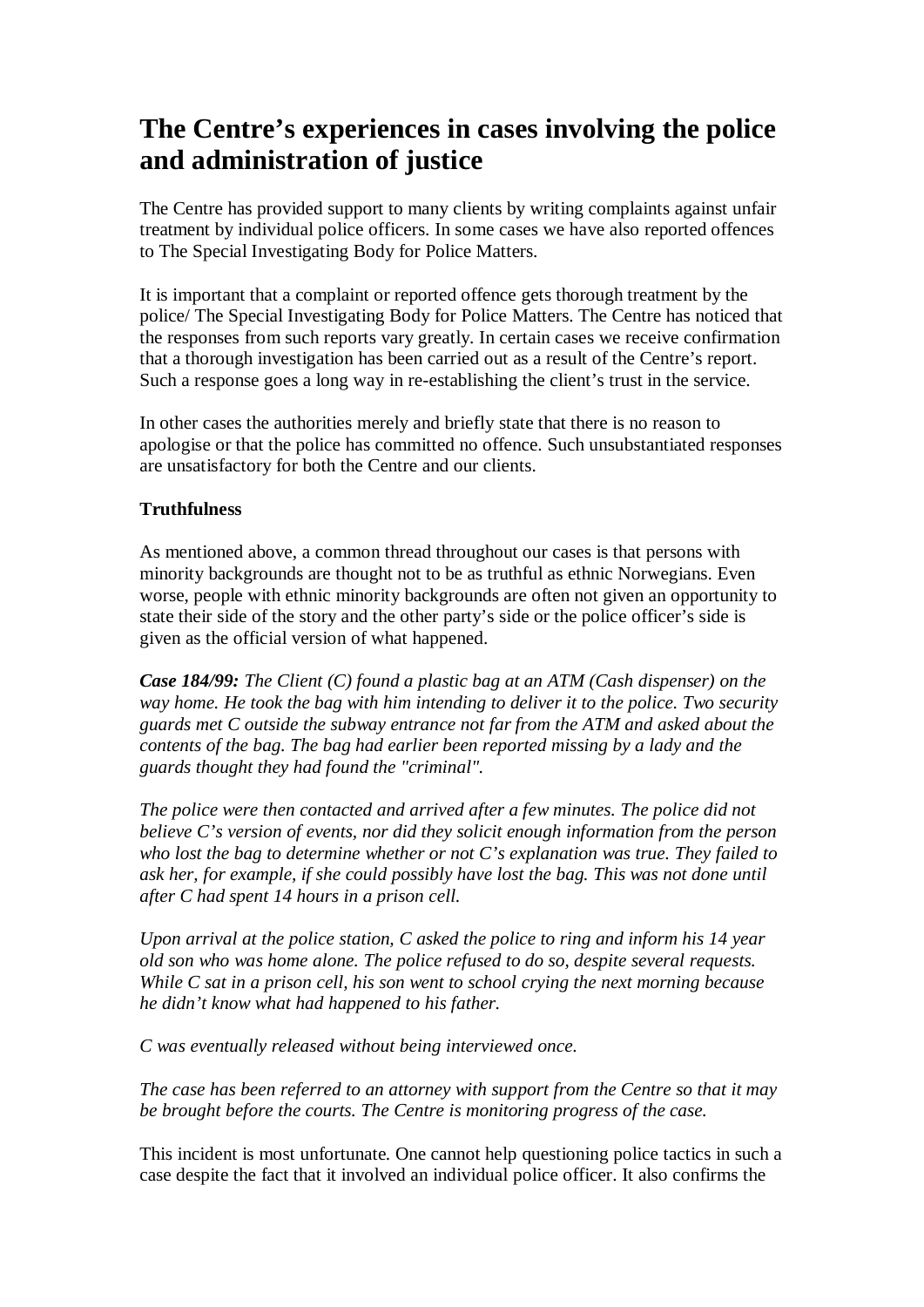# **The Centre's experiences in cases involving the police and administration of justice**

The Centre has provided support to many clients by writing complaints against unfair treatment by individual police officers. In some cases we have also reported offences to The Special Investigating Body for Police Matters.

It is important that a complaint or reported offence gets thorough treatment by the police/ The Special Investigating Body for Police Matters. The Centre has noticed that the responses from such reports vary greatly. In certain cases we receive confirmation that a thorough investigation has been carried out as a result of the Centre's report. Such a response goes a long way in re-establishing the client's trust in the service.

In other cases the authorities merely and briefly state that there is no reason to apologise or that the police has committed no offence. Such unsubstantiated responses are unsatisfactory for both the Centre and our clients.

### **Truthfulness**

As mentioned above, a common thread throughout our cases is that persons with minority backgrounds are thought not to be as truthful as ethnic Norwegians. Even worse, people with ethnic minority backgrounds are often not given an opportunity to state their side of the story and the other party's side or the police officer's side is given as the official version of what happened.

*Case 184/99: The Client (C) found a plastic bag at an ATM (Cash dispenser) on the way home. He took the bag with him intending to deliver it to the police. Two security guards met C outside the subway entrance not far from the ATM and asked about the contents of the bag. The bag had earlier been reported missing by a lady and the guards thought they had found the "criminal".*

*The police were then contacted and arrived after a few minutes. The police did not believe C's version of events, nor did they solicit enough information from the person who lost the bag to determine whether or not C's explanation was true. They failed to ask her, for example, if she could possibly have lost the bag. This was not done until after C had spent 14 hours in a prison cell.*

*Upon arrival at the police station, C asked the police to ring and inform his 14 year old son who was home alone. The police refused to do so, despite several requests. While C sat in a prison cell, his son went to school crying the next morning because he didn't know what had happened to his father.*

*C was eventually released without being interviewed once.*

*The case has been referred to an attorney with support from the Centre so that it may be brought before the courts. The Centre is monitoring progress of the case.*

This incident is most unfortunate. One cannot help questioning police tactics in such a case despite the fact that it involved an individual police officer. It also confirms the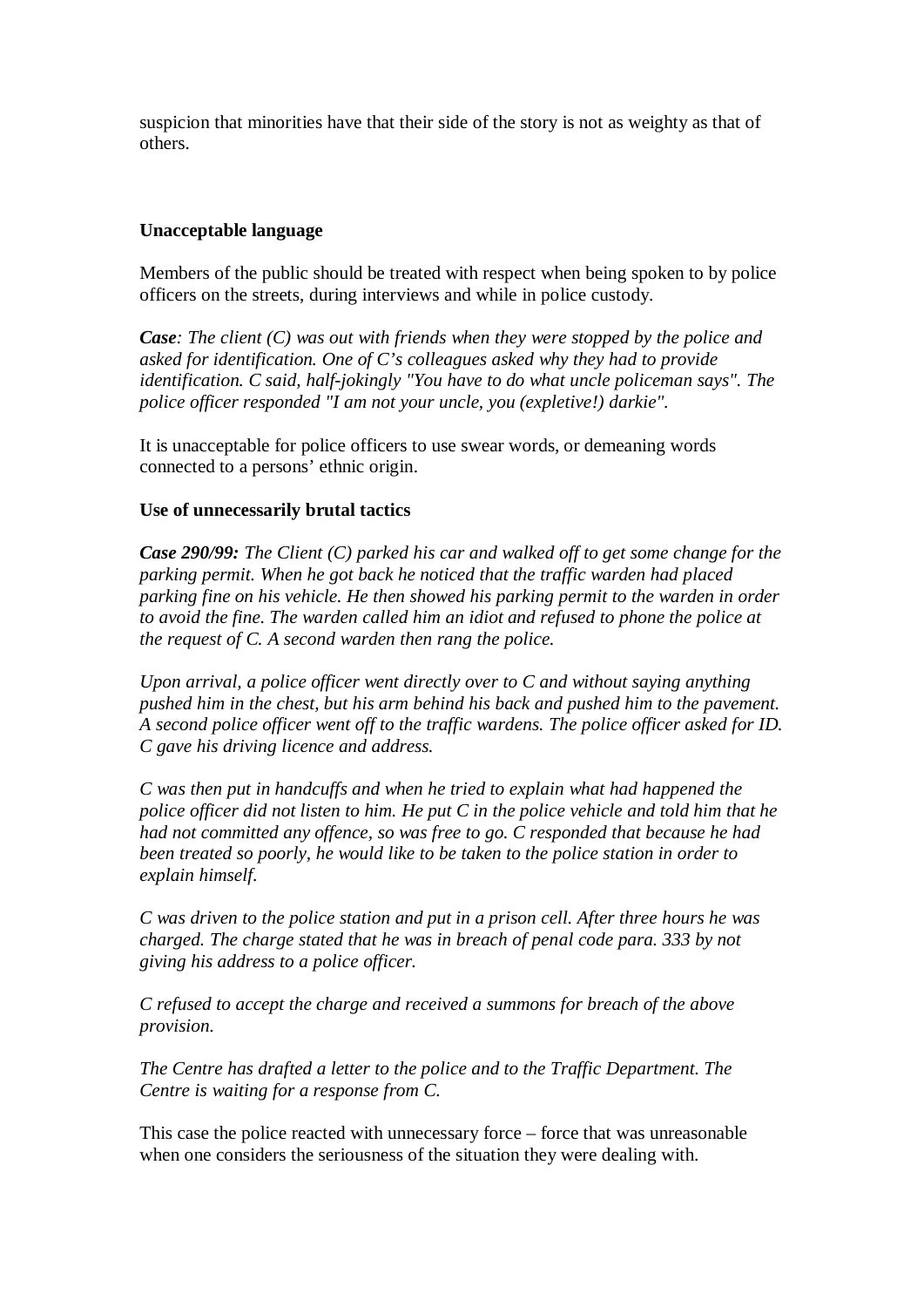suspicion that minorities have that their side of the story is not as weighty as that of others.

### **Unacceptable language**

Members of the public should be treated with respect when being spoken to by police officers on the streets, during interviews and while in police custody.

*Case: The client (C) was out with friends when they were stopped by the police and asked for identification. One of C's colleagues asked why they had to provide identification. C said, half-jokingly "You have to do what uncle policeman says". The police officer responded "I am not your uncle, you (expletive!) darkie".*

It is unacceptable for police officers to use swear words, or demeaning words connected to a persons' ethnic origin.

### **Use of unnecessarily brutal tactics**

*Case 290/99: The Client (C) parked his car and walked off to get some change for the parking permit. When he got back he noticed that the traffic warden had placed parking fine on his vehicle. He then showed his parking permit to the warden in order to avoid the fine. The warden called him an idiot and refused to phone the police at the request of C. A second warden then rang the police.*

*Upon arrival, a police officer went directly over to C and without saying anything pushed him in the chest, but his arm behind his back and pushed him to the pavement. A second police officer went off to the traffic wardens. The police officer asked for ID. C gave his driving licence and address.*

*C was then put in handcuffs and when he tried to explain what had happened the police officer did not listen to him. He put C in the police vehicle and told him that he had not committed any offence, so was free to go. C responded that because he had been treated so poorly, he would like to be taken to the police station in order to explain himself.*

*C was driven to the police station and put in a prison cell. After three hours he was charged. The charge stated that he was in breach of penal code para. 333 by not giving his address to a police officer.*

*C refused to accept the charge and received a summons for breach of the above provision.*

*The Centre has drafted a letter to the police and to the Traffic Department. The Centre is waiting for a response from C.*

This case the police reacted with unnecessary force – force that was unreasonable when one considers the seriousness of the situation they were dealing with.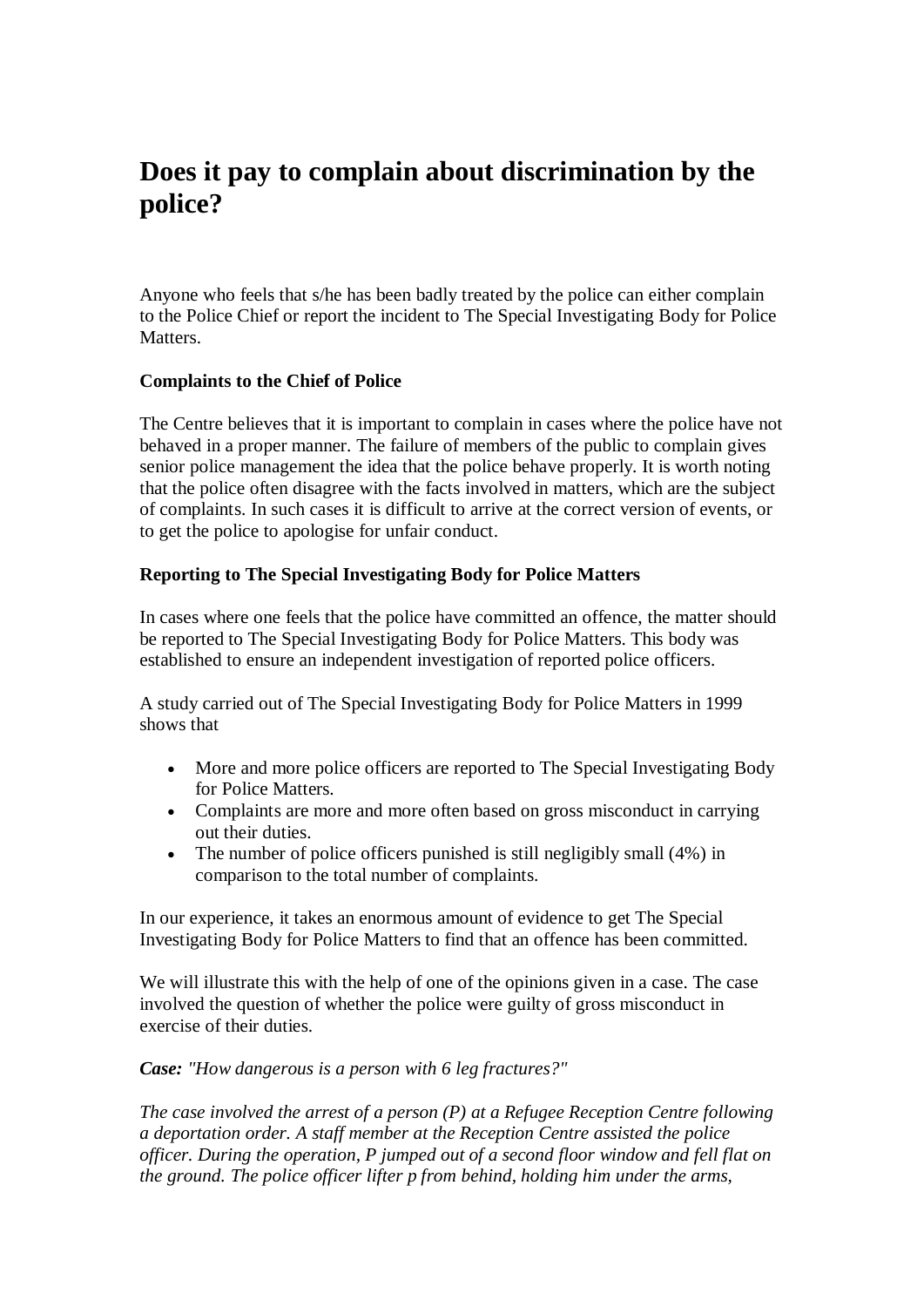## **Does it pay to complain about discrimination by the police?**

Anyone who feels that s/he has been badly treated by the police can either complain to the Police Chief or report the incident to The Special Investigating Body for Police **Matters** 

#### **Complaints to the Chief of Police**

The Centre believes that it is important to complain in cases where the police have not behaved in a proper manner. The failure of members of the public to complain gives senior police management the idea that the police behave properly. It is worth noting that the police often disagree with the facts involved in matters, which are the subject of complaints. In such cases it is difficult to arrive at the correct version of events, or to get the police to apologise for unfair conduct.

### **Reporting to The Special Investigating Body for Police Matters**

In cases where one feels that the police have committed an offence, the matter should be reported to The Special Investigating Body for Police Matters. This body was established to ensure an independent investigation of reported police officers.

A study carried out of The Special Investigating Body for Police Matters in 1999 shows that

- · More and more police officers are reported to The Special Investigating Body for Police Matters.
- · Complaints are more and more often based on gross misconduct in carrying out their duties.
- The number of police officers punished is still negligibly small (4%) in comparison to the total number of complaints.

In our experience, it takes an enormous amount of evidence to get The Special Investigating Body for Police Matters to find that an offence has been committed.

We will illustrate this with the help of one of the opinions given in a case. The case involved the question of whether the police were guilty of gross misconduct in exercise of their duties.

*Case: "How dangerous is a person with 6 leg fractures?"*

*The case involved the arrest of a person (P) at a Refugee Reception Centre following a deportation order. A staff member at the Reception Centre assisted the police officer. During the operation, P jumped out of a second floor window and fell flat on the ground. The police officer lifter p from behind, holding him under the arms,*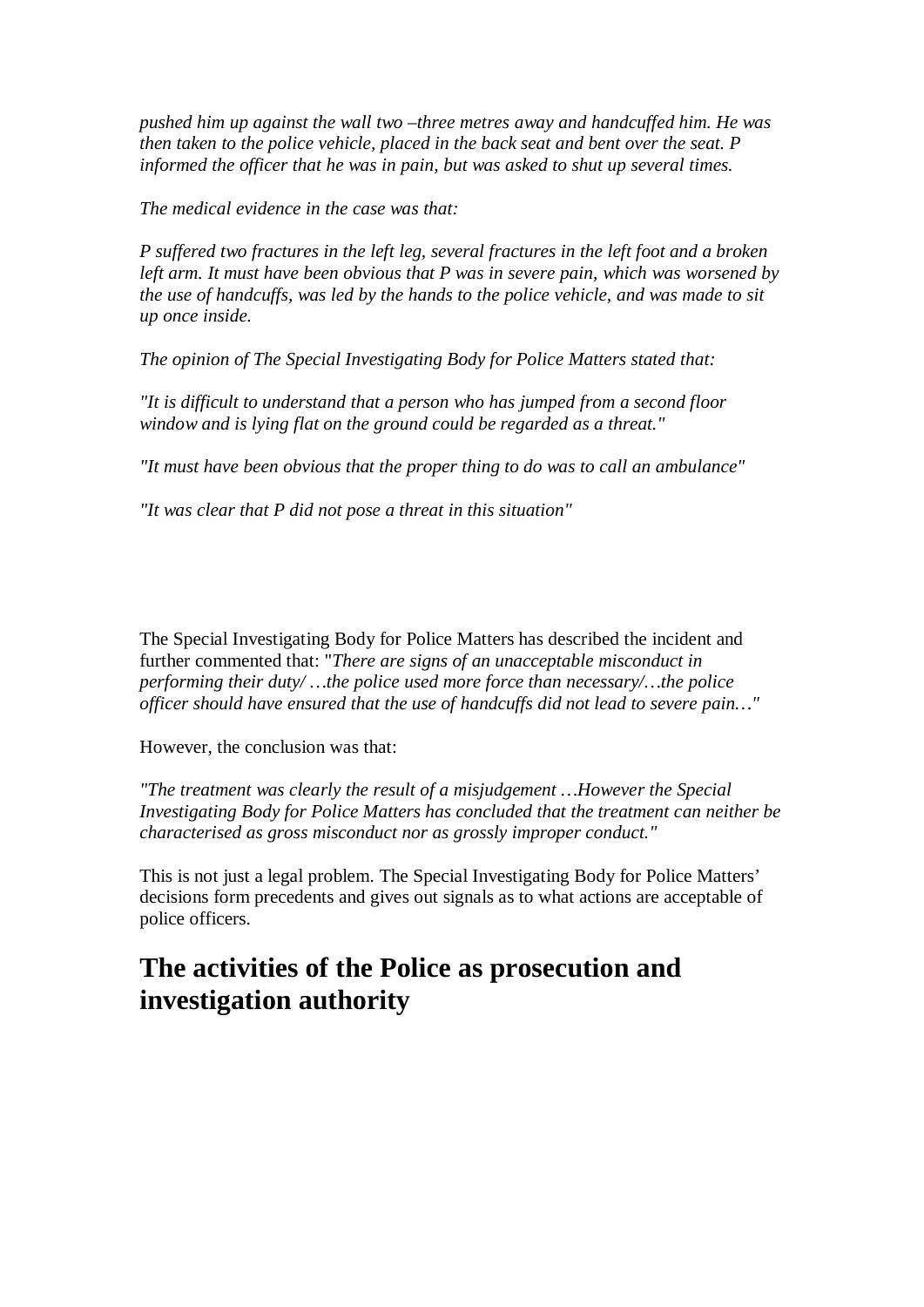*pushed him up against the wall two –three metres away and handcuffed him. He was then taken to the police vehicle, placed in the back seat and bent over the seat. P informed the officer that he was in pain, but was asked to shut up several times.*

*The medical evidence in the case was that:*

*P suffered two fractures in the left leg, several fractures in the left foot and a broken left arm. It must have been obvious that P was in severe pain, which was worsened by the use of handcuffs, was led by the hands to the police vehicle, and was made to sit up once inside.*

*The opinion of The Special Investigating Body for Police Matters stated that:*

*"It is difficult to understand that a person who has jumped from a second floor window and is lying flat on the ground could be regarded as a threat."*

*"It must have been obvious that the proper thing to do was to call an ambulance"*

*"It was clear that P did not pose a threat in this situation"*

The Special Investigating Body for Police Matters has described the incident and further commented that: "*There are signs of an unacceptable misconduct in performing their duty/ …the police used more force than necessary/…the police officer should have ensured that the use of handcuffs did not lead to severe pain…"*

However, the conclusion was that:

*"The treatment was clearly the result of a misjudgement …However the Special Investigating Body for Police Matters has concluded that the treatment can neither be characterised as gross misconduct nor as grossly improper conduct."*

This is not just a legal problem. The Special Investigating Body for Police Matters' decisions form precedents and gives out signals as to what actions are acceptable of police officers.

## **The activities of the Police as prosecution and investigation authority**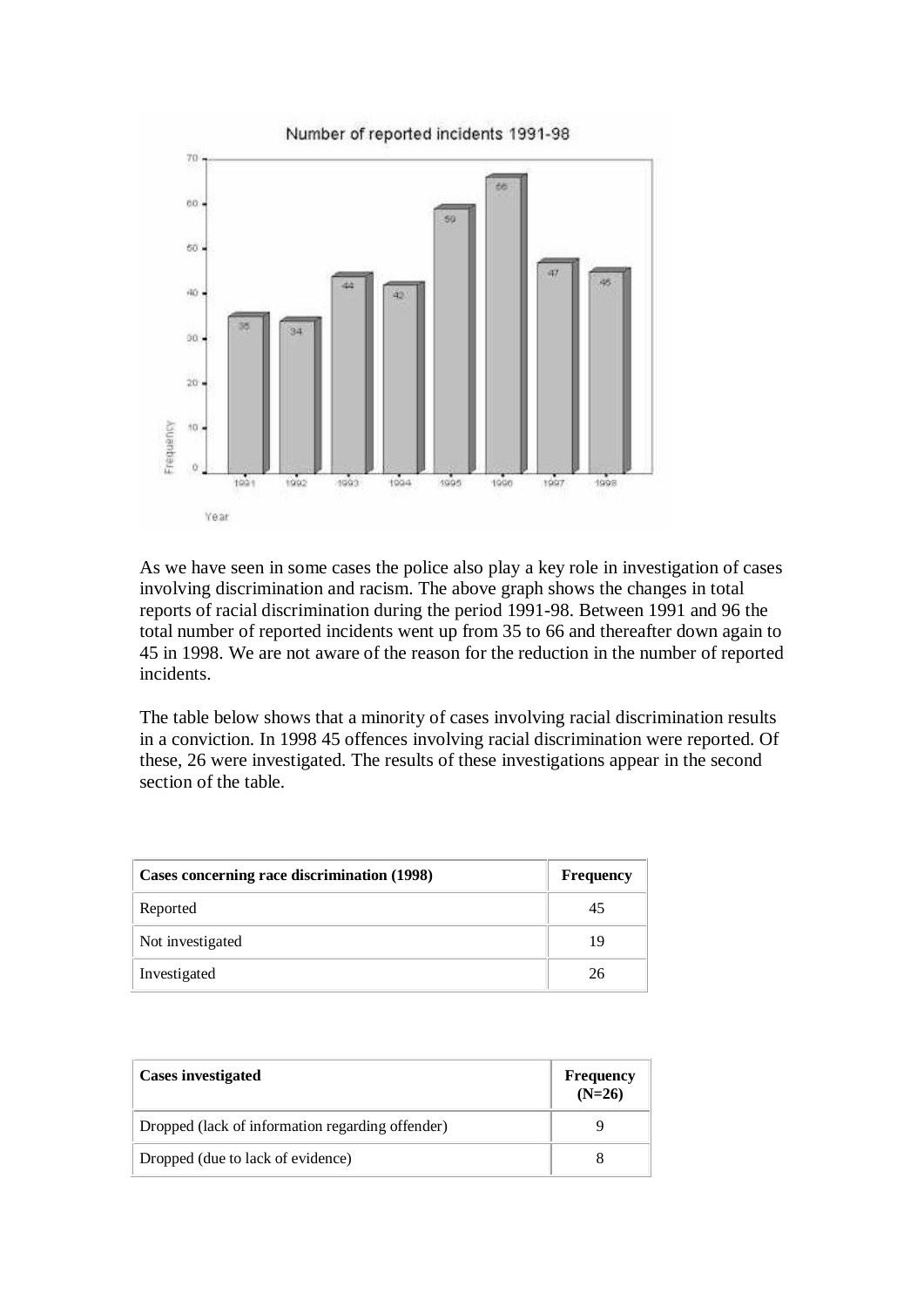

As we have seen in some cases the police also play a key role in investigation of cases involving discrimination and racism. The above graph shows the changes in total reports of racial discrimination during the period 1991-98. Between 1991 and 96 the total number of reported incidents went up from 35 to 66 and thereafter down again to 45 in 1998. We are not aware of the reason for the reduction in the number of reported incidents.

The table below shows that a minority of cases involving racial discrimination results in a conviction. In 1998 45 offences involving racial discrimination were reported. Of these, 26 were investigated. The results of these investigations appear in the second section of the table.

| Cases concerning race discrimination (1998) | <b>Frequency</b> |
|---------------------------------------------|------------------|
| Reported                                    |                  |
| Not investigated                            | 19               |
| Investigated                                | 26               |

| <b>Cases investigated</b>                        | Frequency $(N=26)$ |
|--------------------------------------------------|--------------------|
| Dropped (lack of information regarding offender) |                    |
| Dropped (due to lack of evidence)                |                    |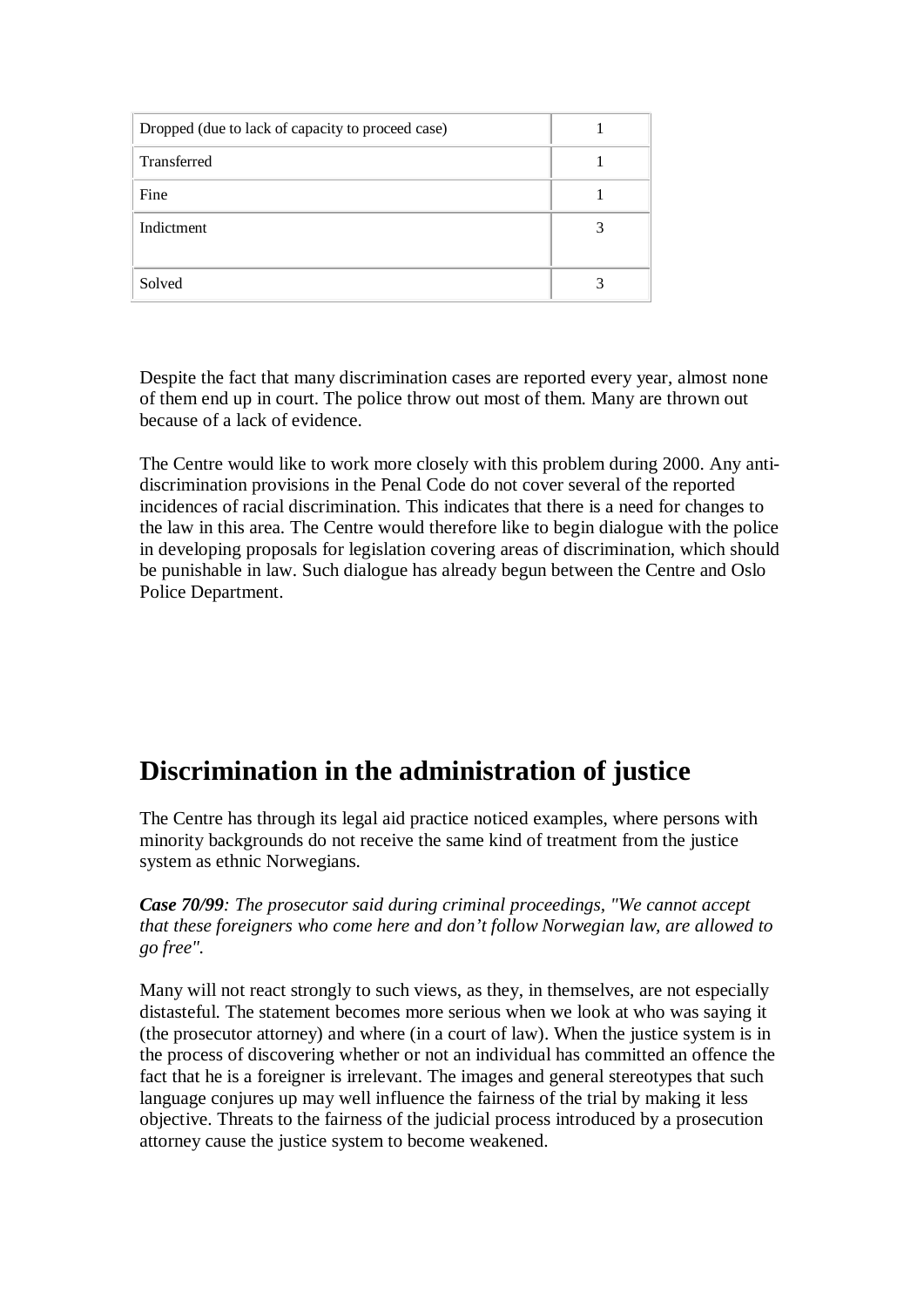| Dropped (due to lack of capacity to proceed case) |  |
|---------------------------------------------------|--|
| Transferred                                       |  |
| Fine                                              |  |
| Indictment                                        |  |
| Solved                                            |  |

Despite the fact that many discrimination cases are reported every year, almost none of them end up in court. The police throw out most of them. Many are thrown out because of a lack of evidence.

The Centre would like to work more closely with this problem during 2000. Any antidiscrimination provisions in the Penal Code do not cover several of the reported incidences of racial discrimination. This indicates that there is a need for changes to the law in this area. The Centre would therefore like to begin dialogue with the police in developing proposals for legislation covering areas of discrimination, which should be punishable in law. Such dialogue has already begun between the Centre and Oslo Police Department.

# **Discrimination in the administration of justice**

The Centre has through its legal aid practice noticed examples, where persons with minority backgrounds do not receive the same kind of treatment from the justice system as ethnic Norwegians.

*Case 70/99: The prosecutor said during criminal proceedings, "We cannot accept that these foreigners who come here and don't follow Norwegian law, are allowed to go free".*

Many will not react strongly to such views, as they, in themselves, are not especially distasteful. The statement becomes more serious when we look at who was saying it (the prosecutor attorney) and where (in a court of law). When the justice system is in the process of discovering whether or not an individual has committed an offence the fact that he is a foreigner is irrelevant. The images and general stereotypes that such language conjures up may well influence the fairness of the trial by making it less objective. Threats to the fairness of the judicial process introduced by a prosecution attorney cause the justice system to become weakened.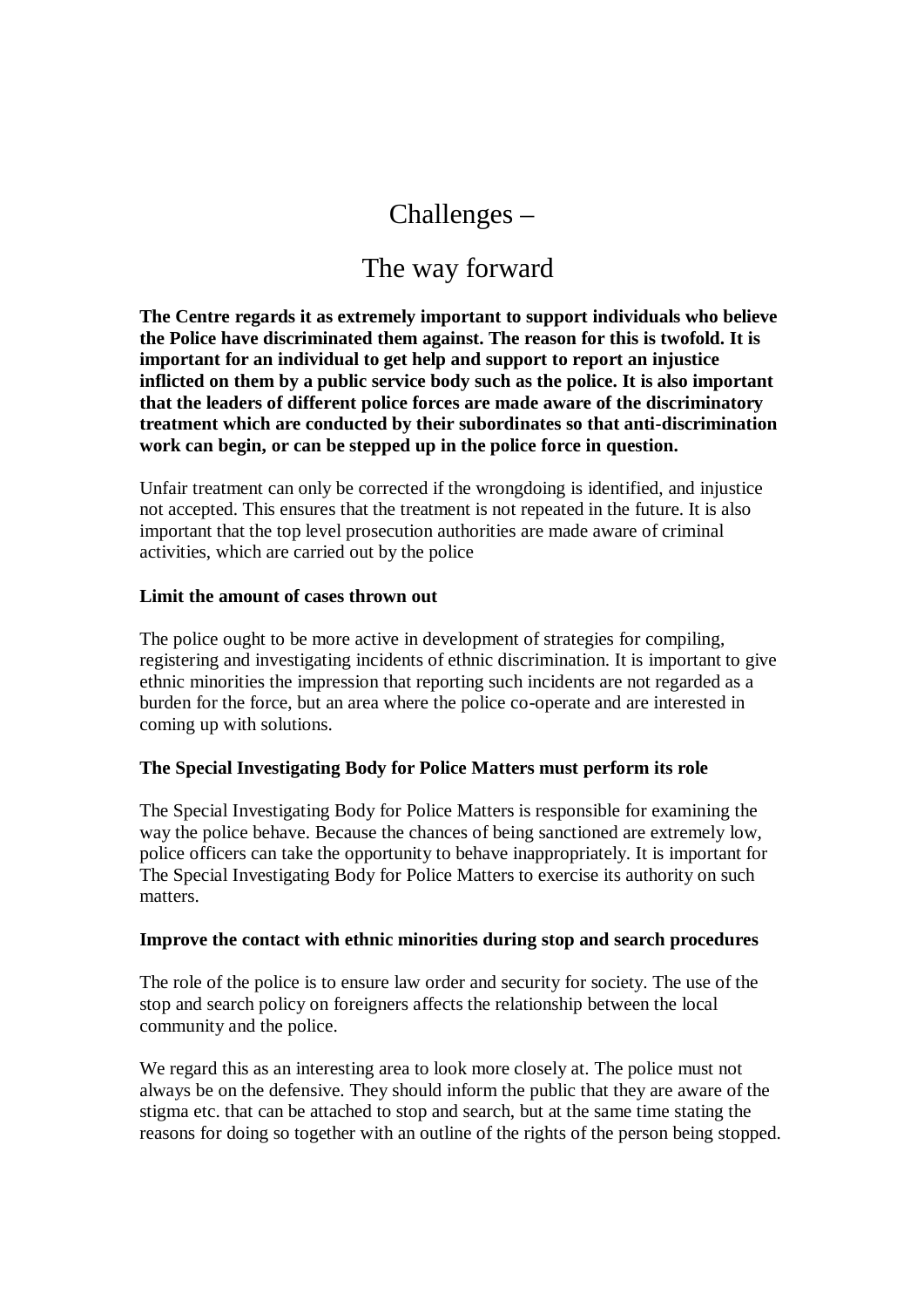## Challenges –

### The way forward

**The Centre regards it as extremely important to support individuals who believe the Police have discriminated them against. The reason for this is twofold. It is important for an individual to get help and support to report an injustice inflicted on them by a public service body such as the police. It is also important that the leaders of different police forces are made aware of the discriminatory treatment which are conducted by their subordinates so that anti-discrimination work can begin, or can be stepped up in the police force in question.**

Unfair treatment can only be corrected if the wrongdoing is identified, and injustice not accepted. This ensures that the treatment is not repeated in the future. It is also important that the top level prosecution authorities are made aware of criminal activities, which are carried out by the police

#### **Limit the amount of cases thrown out**

The police ought to be more active in development of strategies for compiling, registering and investigating incidents of ethnic discrimination. It is important to give ethnic minorities the impression that reporting such incidents are not regarded as a burden for the force, but an area where the police co-operate and are interested in coming up with solutions.

### **The Special Investigating Body for Police Matters must perform its role**

The Special Investigating Body for Police Matters is responsible for examining the way the police behave. Because the chances of being sanctioned are extremely low, police officers can take the opportunity to behave inappropriately. It is important for The Special Investigating Body for Police Matters to exercise its authority on such matters.

#### **Improve the contact with ethnic minorities during stop and search procedures**

The role of the police is to ensure law order and security for society. The use of the stop and search policy on foreigners affects the relationship between the local community and the police.

We regard this as an interesting area to look more closely at. The police must not always be on the defensive. They should inform the public that they are aware of the stigma etc. that can be attached to stop and search, but at the same time stating the reasons for doing so together with an outline of the rights of the person being stopped.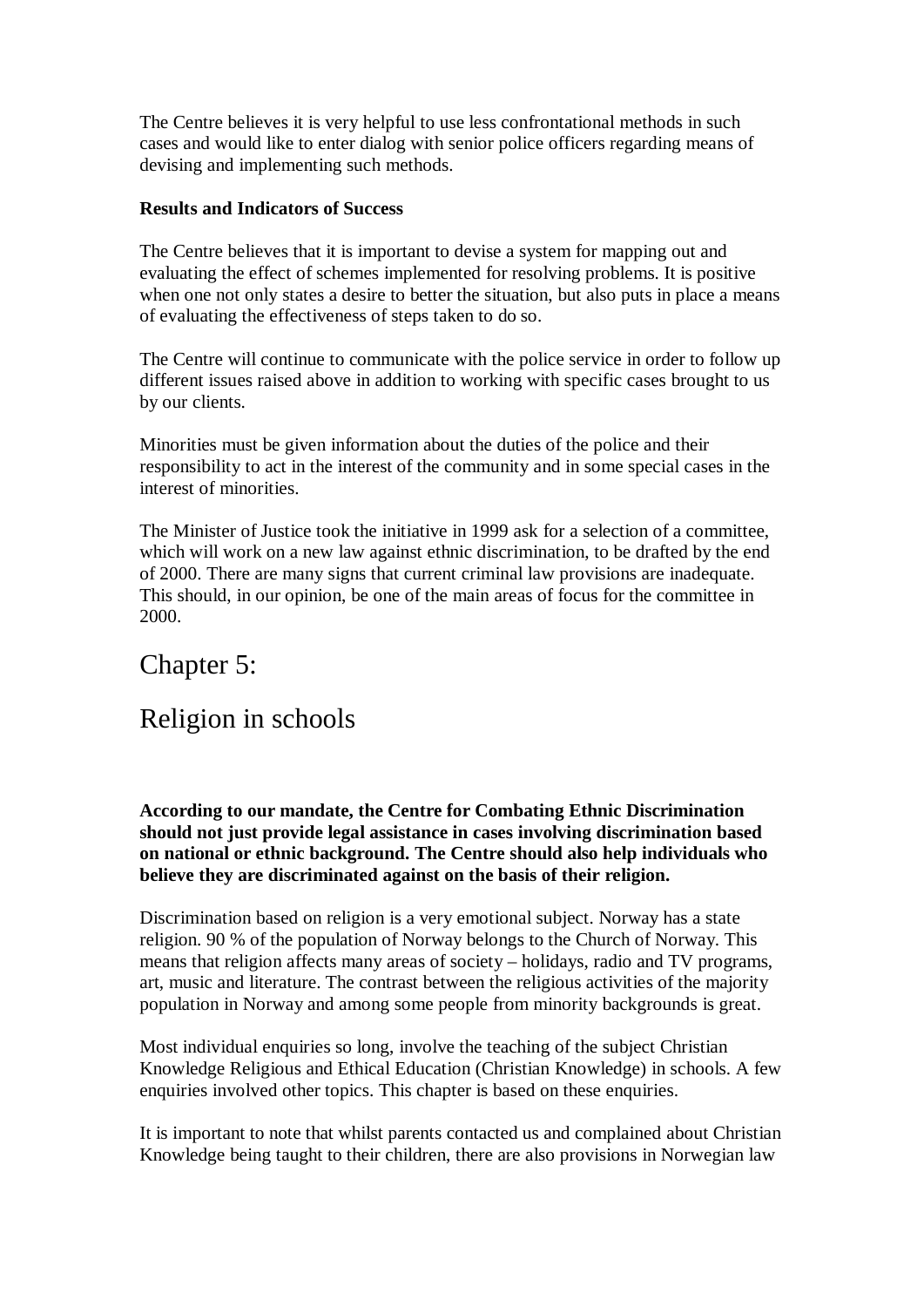The Centre believes it is very helpful to use less confrontational methods in such cases and would like to enter dialog with senior police officers regarding means of devising and implementing such methods.

#### **Results and Indicators of Success**

The Centre believes that it is important to devise a system for mapping out and evaluating the effect of schemes implemented for resolving problems. It is positive when one not only states a desire to better the situation, but also puts in place a means of evaluating the effectiveness of steps taken to do so.

The Centre will continue to communicate with the police service in order to follow up different issues raised above in addition to working with specific cases brought to us by our clients.

Minorities must be given information about the duties of the police and their responsibility to act in the interest of the community and in some special cases in the interest of minorities.

The Minister of Justice took the initiative in 1999 ask for a selection of a committee, which will work on a new law against ethnic discrimination, to be drafted by the end of 2000. There are many signs that current criminal law provisions are inadequate. This should, in our opinion, be one of the main areas of focus for the committee in 2000.

### Chapter 5:

### Religion in schools

**According to our mandate, the Centre for Combating Ethnic Discrimination should not just provide legal assistance in cases involving discrimination based on national or ethnic background. The Centre should also help individuals who believe they are discriminated against on the basis of their religion.**

Discrimination based on religion is a very emotional subject. Norway has a state religion. 90 % of the population of Norway belongs to the Church of Norway. This means that religion affects many areas of society – holidays, radio and TV programs, art, music and literature. The contrast between the religious activities of the majority population in Norway and among some people from minority backgrounds is great.

Most individual enquiries so long, involve the teaching of the subject Christian Knowledge Religious and Ethical Education (Christian Knowledge) in schools. A few enquiries involved other topics. This chapter is based on these enquiries.

It is important to note that whilst parents contacted us and complained about Christian Knowledge being taught to their children, there are also provisions in Norwegian law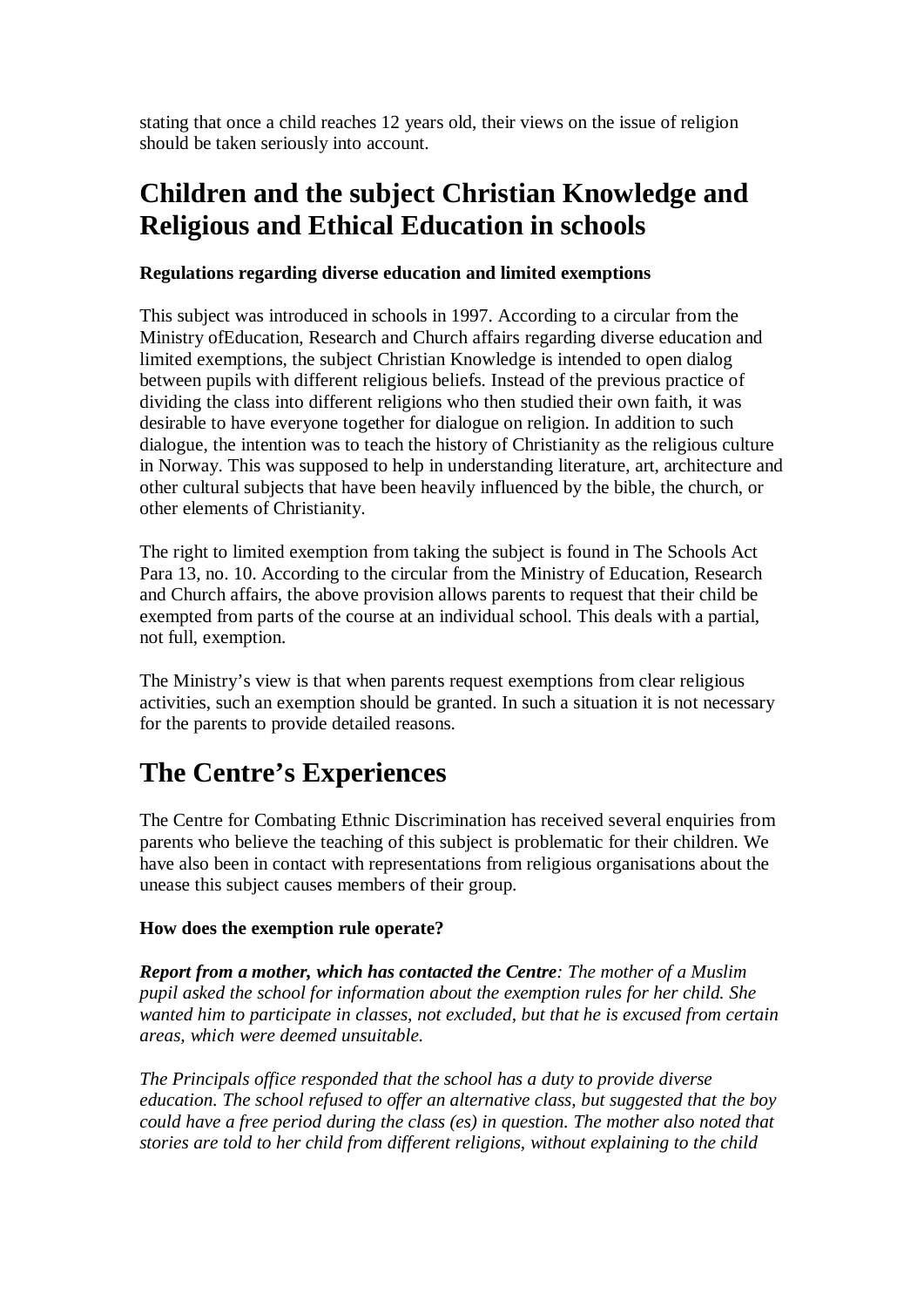stating that once a child reaches 12 years old, their views on the issue of religion should be taken seriously into account.

# **Children and the subject Christian Knowledge and Religious and Ethical Education in schools**

### **Regulations regarding diverse education and limited exemptions**

This subject was introduced in schools in 1997. According to a circular from the Ministry ofEducation, Research and Church affairs regarding diverse education and limited exemptions, the subject Christian Knowledge is intended to open dialog between pupils with different religious beliefs. Instead of the previous practice of dividing the class into different religions who then studied their own faith, it was desirable to have everyone together for dialogue on religion. In addition to such dialogue, the intention was to teach the history of Christianity as the religious culture in Norway. This was supposed to help in understanding literature, art, architecture and other cultural subjects that have been heavily influenced by the bible, the church, or other elements of Christianity.

The right to limited exemption from taking the subject is found in The Schools Act Para 13, no. 10. According to the circular from the Ministry of Education, Research and Church affairs, the above provision allows parents to request that their child be exempted from parts of the course at an individual school. This deals with a partial, not full, exemption.

The Ministry's view is that when parents request exemptions from clear religious activities, such an exemption should be granted. In such a situation it is not necessary for the parents to provide detailed reasons.

# **The Centre's Experiences**

The Centre for Combating Ethnic Discrimination has received several enquiries from parents who believe the teaching of this subject is problematic for their children. We have also been in contact with representations from religious organisations about the unease this subject causes members of their group.

### **How does the exemption rule operate?**

*Report from a mother, which has contacted the Centre: The mother of a Muslim pupil asked the school for information about the exemption rules for her child. She wanted him to participate in classes, not excluded, but that he is excused from certain areas, which were deemed unsuitable.*

*The Principals office responded that the school has a duty to provide diverse education. The school refused to offer an alternative class, but suggested that the boy could have a free period during the class (es) in question. The mother also noted that stories are told to her child from different religions, without explaining to the child*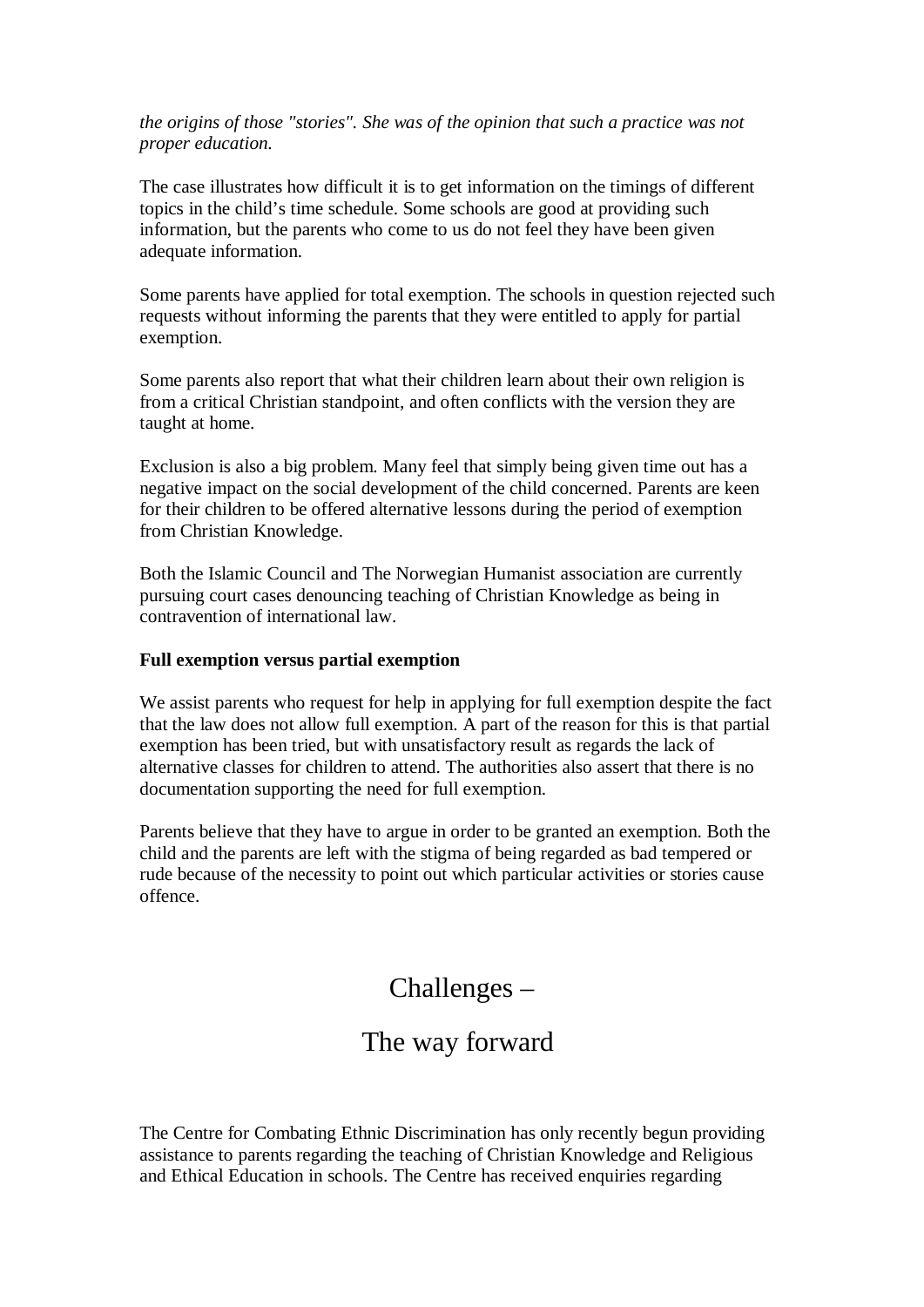*the origins of those "stories". She was of the opinion that such a practice was not proper education.*

The case illustrates how difficult it is to get information on the timings of different topics in the child's time schedule. Some schools are good at providing such information, but the parents who come to us do not feel they have been given adequate information.

Some parents have applied for total exemption. The schools in question rejected such requests without informing the parents that they were entitled to apply for partial exemption.

Some parents also report that what their children learn about their own religion is from a critical Christian standpoint, and often conflicts with the version they are taught at home.

Exclusion is also a big problem. Many feel that simply being given time out has a negative impact on the social development of the child concerned. Parents are keen for their children to be offered alternative lessons during the period of exemption from Christian Knowledge.

Both the Islamic Council and The Norwegian Humanist association are currently pursuing court cases denouncing teaching of Christian Knowledge as being in contravention of international law.

#### **Full exemption versus partial exemption**

We assist parents who request for help in applying for full exemption despite the fact that the law does not allow full exemption. A part of the reason for this is that partial exemption has been tried, but with unsatisfactory result as regards the lack of alternative classes for children to attend. The authorities also assert that there is no documentation supporting the need for full exemption.

Parents believe that they have to argue in order to be granted an exemption. Both the child and the parents are left with the stigma of being regarded as bad tempered or rude because of the necessity to point out which particular activities or stories cause offence.

### Challenges –

### The way forward

The Centre for Combating Ethnic Discrimination has only recently begun providing assistance to parents regarding the teaching of Christian Knowledge and Religious and Ethical Education in schools. The Centre has received enquiries regarding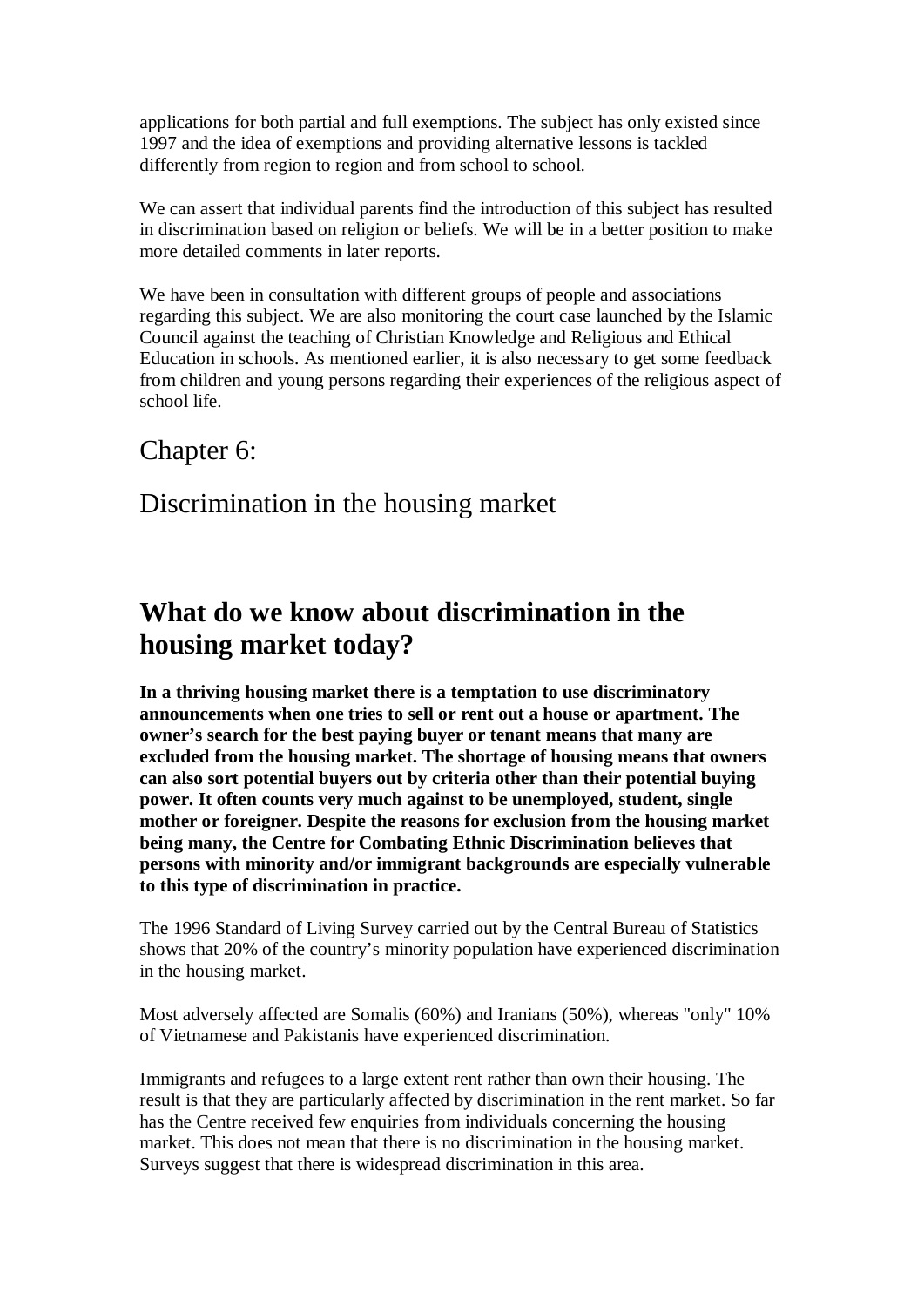applications for both partial and full exemptions. The subject has only existed since 1997 and the idea of exemptions and providing alternative lessons is tackled differently from region to region and from school to school.

We can assert that individual parents find the introduction of this subject has resulted in discrimination based on religion or beliefs. We will be in a better position to make more detailed comments in later reports.

We have been in consultation with different groups of people and associations regarding this subject. We are also monitoring the court case launched by the Islamic Council against the teaching of Christian Knowledge and Religious and Ethical Education in schools. As mentioned earlier, it is also necessary to get some feedback from children and young persons regarding their experiences of the religious aspect of school life.

### Chapter 6:

### Discrimination in the housing market

## **What do we know about discrimination in the housing market today?**

**In a thriving housing market there is a temptation to use discriminatory announcements when one tries to sell or rent out a house or apartment. The owner's search for the best paying buyer or tenant means that many are excluded from the housing market. The shortage of housing means that owners can also sort potential buyers out by criteria other than their potential buying power. It often counts very much against to be unemployed, student, single mother or foreigner. Despite the reasons for exclusion from the housing market being many, the Centre for Combating Ethnic Discrimination believes that persons with minority and/or immigrant backgrounds are especially vulnerable to this type of discrimination in practice.**

The 1996 Standard of Living Survey carried out by the Central Bureau of Statistics shows that 20% of the country's minority population have experienced discrimination in the housing market.

Most adversely affected are Somalis (60%) and Iranians (50%), whereas "only" 10% of Vietnamese and Pakistanis have experienced discrimination.

Immigrants and refugees to a large extent rent rather than own their housing. The result is that they are particularly affected by discrimination in the rent market. So far has the Centre received few enquiries from individuals concerning the housing market. This does not mean that there is no discrimination in the housing market. Surveys suggest that there is widespread discrimination in this area.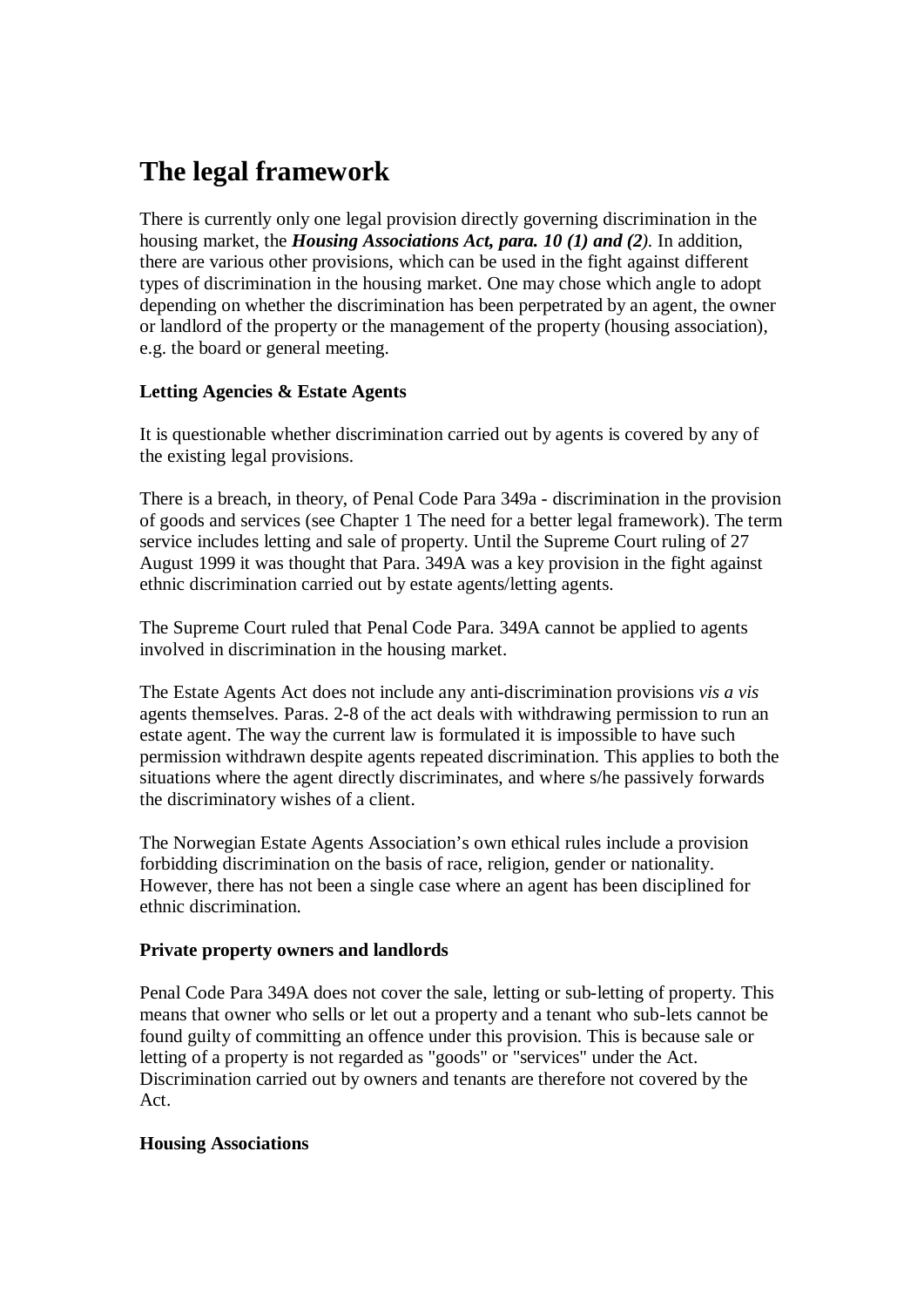# **The legal framework**

There is currently only one legal provision directly governing discrimination in the housing market, the *Housing Associations Act, para. 10 (1) and (2).* In addition, there are various other provisions, which can be used in the fight against different types of discrimination in the housing market. One may chose which angle to adopt depending on whether the discrimination has been perpetrated by an agent, the owner or landlord of the property or the management of the property (housing association), e.g. the board or general meeting.

### **Letting Agencies & Estate Agents**

It is questionable whether discrimination carried out by agents is covered by any of the existing legal provisions.

There is a breach, in theory, of Penal Code Para 349a - discrimination in the provision of goods and services (see Chapter 1 The need for a better legal framework). The term service includes letting and sale of property. Until the Supreme Court ruling of 27 August 1999 it was thought that Para. 349A was a key provision in the fight against ethnic discrimination carried out by estate agents/letting agents.

The Supreme Court ruled that Penal Code Para. 349A cannot be applied to agents involved in discrimination in the housing market.

The Estate Agents Act does not include any anti-discrimination provisions *vis a vis* agents themselves. Paras. 2-8 of the act deals with withdrawing permission to run an estate agent. The way the current law is formulated it is impossible to have such permission withdrawn despite agents repeated discrimination. This applies to both the situations where the agent directly discriminates, and where s/he passively forwards the discriminatory wishes of a client.

The Norwegian Estate Agents Association's own ethical rules include a provision forbidding discrimination on the basis of race, religion, gender or nationality. However, there has not been a single case where an agent has been disciplined for ethnic discrimination.

### **Private property owners and landlords**

Penal Code Para 349A does not cover the sale, letting or sub-letting of property. This means that owner who sells or let out a property and a tenant who sub-lets cannot be found guilty of committing an offence under this provision. This is because sale or letting of a property is not regarded as "goods" or "services" under the Act. Discrimination carried out by owners and tenants are therefore not covered by the Act.

### **Housing Associations**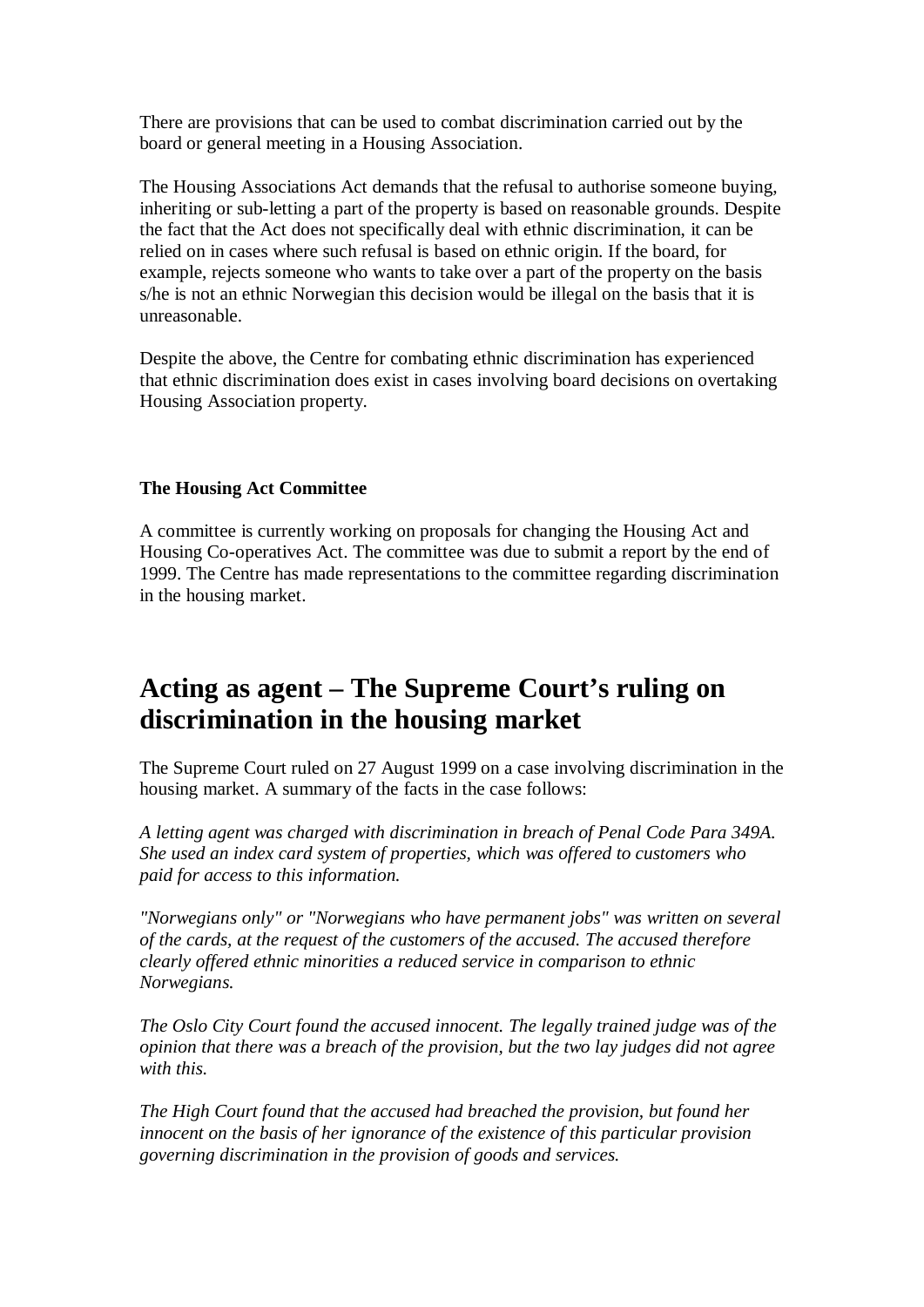There are provisions that can be used to combat discrimination carried out by the board or general meeting in a Housing Association.

The Housing Associations Act demands that the refusal to authorise someone buying, inheriting or sub-letting a part of the property is based on reasonable grounds. Despite the fact that the Act does not specifically deal with ethnic discrimination, it can be relied on in cases where such refusal is based on ethnic origin. If the board, for example, rejects someone who wants to take over a part of the property on the basis s/he is not an ethnic Norwegian this decision would be illegal on the basis that it is unreasonable.

Despite the above, the Centre for combating ethnic discrimination has experienced that ethnic discrimination does exist in cases involving board decisions on overtaking Housing Association property.

### **The Housing Act Committee**

A committee is currently working on proposals for changing the Housing Act and Housing Co-operatives Act. The committee was due to submit a report by the end of 1999. The Centre has made representations to the committee regarding discrimination in the housing market.

## **Acting as agent – The Supreme Court's ruling on discrimination in the housing market**

The Supreme Court ruled on 27 August 1999 on a case involving discrimination in the housing market. A summary of the facts in the case follows:

*A letting agent was charged with discrimination in breach of Penal Code Para 349A. She used an index card system of properties, which was offered to customers who paid for access to this information.*

*"Norwegians only" or "Norwegians who have permanent jobs" was written on several of the cards, at the request of the customers of the accused. The accused therefore clearly offered ethnic minorities a reduced service in comparison to ethnic Norwegians.*

*The Oslo City Court found the accused innocent. The legally trained judge was of the opinion that there was a breach of the provision, but the two lay judges did not agree with this.*

*The High Court found that the accused had breached the provision, but found her innocent on the basis of her ignorance of the existence of this particular provision governing discrimination in the provision of goods and services.*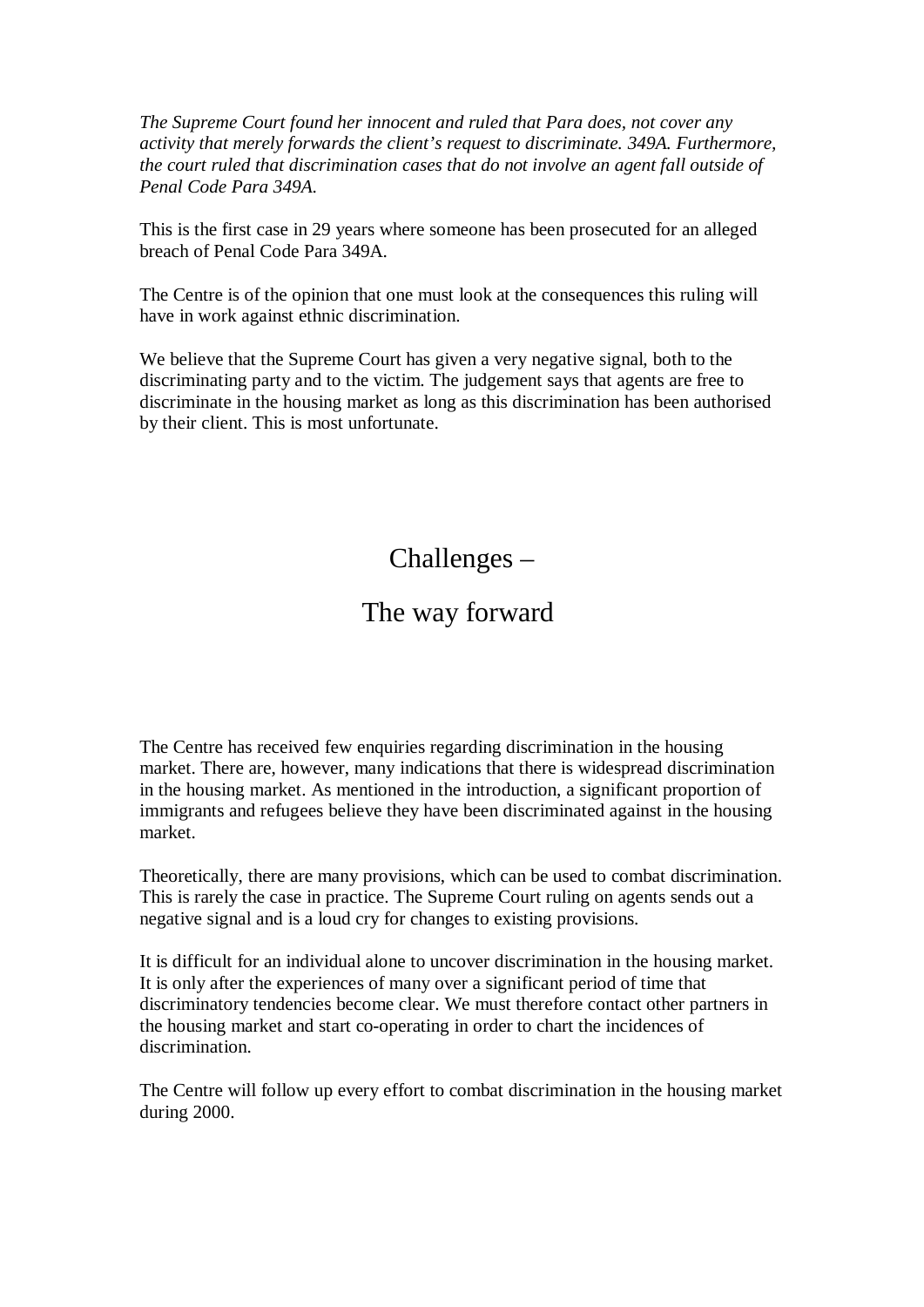*The Supreme Court found her innocent and ruled that Para does, not cover any activity that merely forwards the client's request to discriminate. 349A. Furthermore, the court ruled that discrimination cases that do not involve an agent fall outside of Penal Code Para 349A.*

This is the first case in 29 years where someone has been prosecuted for an alleged breach of Penal Code Para 349A.

The Centre is of the opinion that one must look at the consequences this ruling will have in work against ethnic discrimination.

We believe that the Supreme Court has given a very negative signal, both to the discriminating party and to the victim. The judgement says that agents are free to discriminate in the housing market as long as this discrimination has been authorised by their client. This is most unfortunate.

Challenges –

### The way forward

The Centre has received few enquiries regarding discrimination in the housing market. There are, however, many indications that there is widespread discrimination in the housing market. As mentioned in the introduction, a significant proportion of immigrants and refugees believe they have been discriminated against in the housing market.

Theoretically, there are many provisions, which can be used to combat discrimination. This is rarely the case in practice. The Supreme Court ruling on agents sends out a negative signal and is a loud cry for changes to existing provisions.

It is difficult for an individual alone to uncover discrimination in the housing market. It is only after the experiences of many over a significant period of time that discriminatory tendencies become clear. We must therefore contact other partners in the housing market and start co-operating in order to chart the incidences of discrimination.

The Centre will follow up every effort to combat discrimination in the housing market during 2000.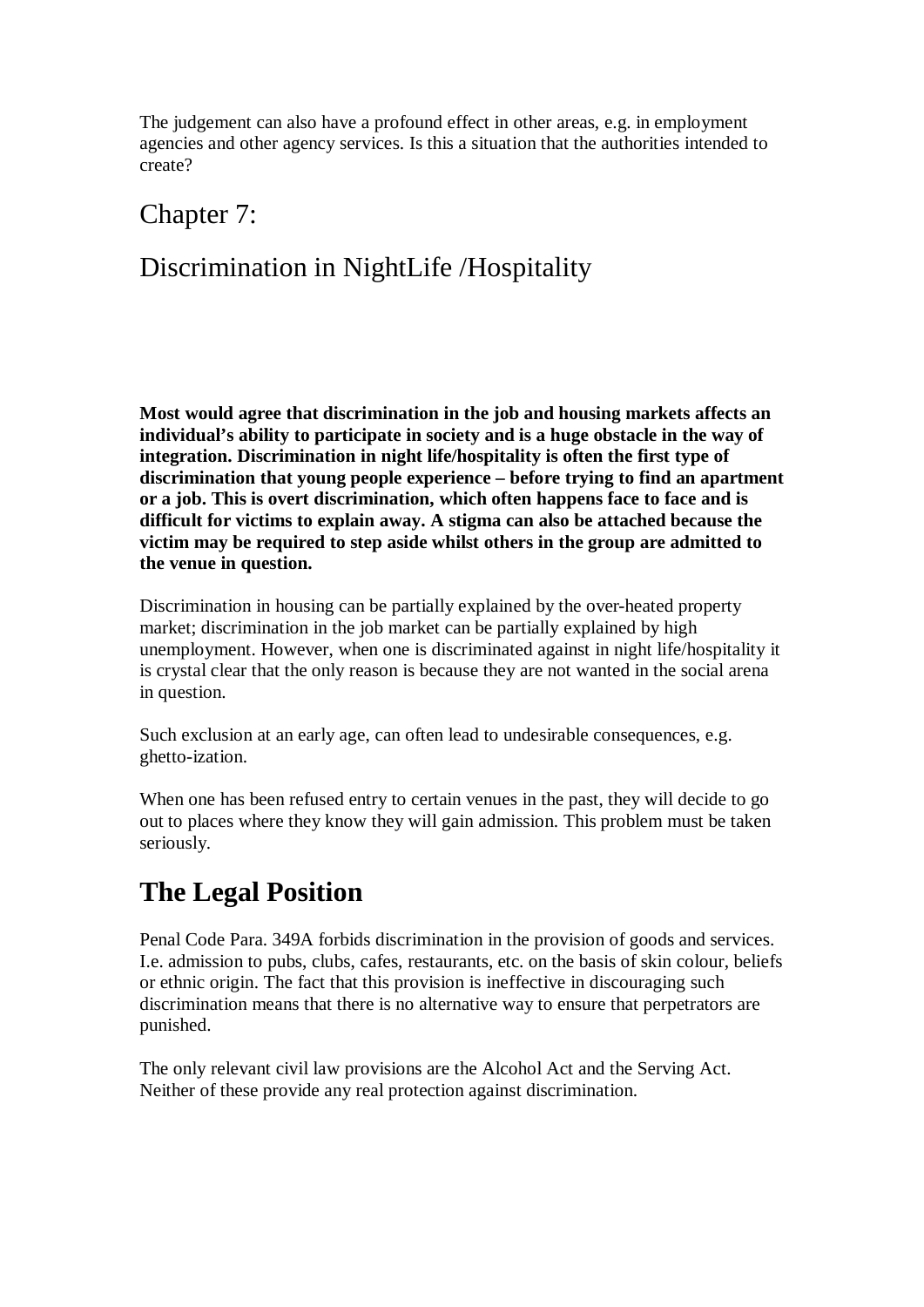The judgement can also have a profound effect in other areas, e.g. in employment agencies and other agency services. Is this a situation that the authorities intended to create?

### Chapter 7:

## Discrimination in NightLife /Hospitality

**Most would agree that discrimination in the job and housing markets affects an individual's ability to participate in society and is a huge obstacle in the way of integration. Discrimination in night life/hospitality is often the first type of discrimination that young people experience – before trying to find an apartment or a job. This is overt discrimination, which often happens face to face and is difficult for victims to explain away. A stigma can also be attached because the victim may be required to step aside whilst others in the group are admitted to the venue in question.**

Discrimination in housing can be partially explained by the over-heated property market; discrimination in the job market can be partially explained by high unemployment. However, when one is discriminated against in night life/hospitality it is crystal clear that the only reason is because they are not wanted in the social arena in question.

Such exclusion at an early age, can often lead to undesirable consequences, e.g. ghetto-ization.

When one has been refused entry to certain venues in the past, they will decide to go out to places where they know they will gain admission. This problem must be taken seriously.

# **The Legal Position**

Penal Code Para. 349A forbids discrimination in the provision of goods and services. I.e. admission to pubs, clubs, cafes, restaurants, etc. on the basis of skin colour, beliefs or ethnic origin. The fact that this provision is ineffective in discouraging such discrimination means that there is no alternative way to ensure that perpetrators are punished.

The only relevant civil law provisions are the Alcohol Act and the Serving Act. Neither of these provide any real protection against discrimination.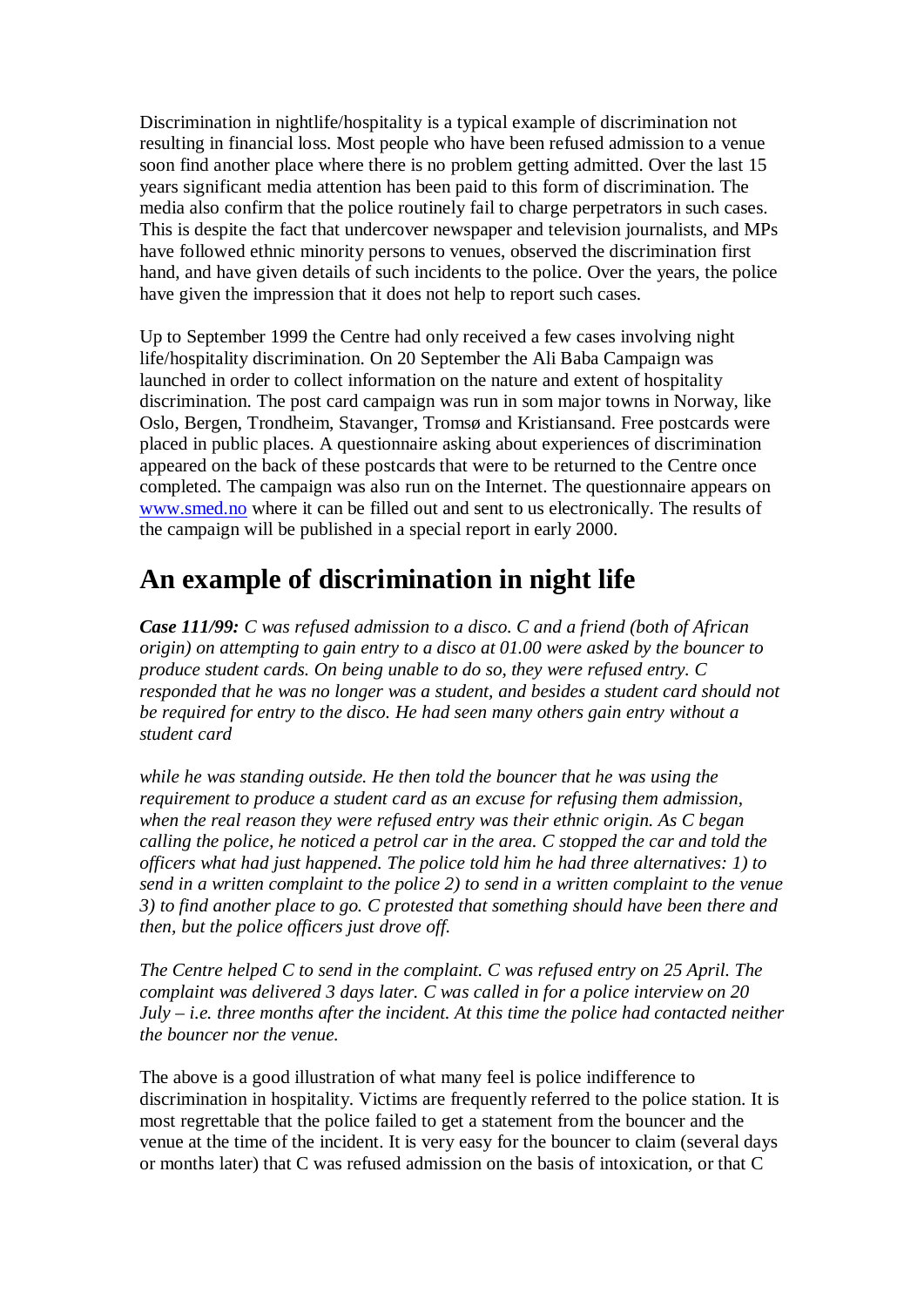Discrimination in nightlife/hospitality is a typical example of discrimination not resulting in financial loss. Most people who have been refused admission to a venue soon find another place where there is no problem getting admitted. Over the last 15 years significant media attention has been paid to this form of discrimination. The media also confirm that the police routinely fail to charge perpetrators in such cases. This is despite the fact that undercover newspaper and television journalists, and MPs have followed ethnic minority persons to venues, observed the discrimination first hand, and have given details of such incidents to the police. Over the years, the police have given the impression that it does not help to report such cases.

Up to September 1999 the Centre had only received a few cases involving night life/hospitality discrimination. On 20 September the Ali Baba Campaign was launched in order to collect information on the nature and extent of hospitality discrimination. The post card campaign was run in som major towns in Norway, like Oslo, Bergen, Trondheim, Stavanger, Tromsø and Kristiansand. Free postcards were placed in public places. A questionnaire asking about experiences of discrimination appeared on the back of these postcards that were to be returned to the Centre once completed. The campaign was also run on the Internet. The questionnaire appears on [www.smed.no](http://www.smed.no/) where it can be filled out and sent to us electronically. The results of the campaign will be published in a special report in early 2000.

## **An example of discrimination in night life**

*Case 111/99: C was refused admission to a disco. C and a friend (both of African origin) on attempting to gain entry to a disco at 01.00 were asked by the bouncer to produce student cards. On being unable to do so, they were refused entry. C responded that he was no longer was a student, and besides a student card should not be required for entry to the disco. He had seen many others gain entry without a student card*

*while he was standing outside. He then told the bouncer that he was using the requirement to produce a student card as an excuse for refusing them admission, when the real reason they were refused entry was their ethnic origin. As C began calling the police, he noticed a petrol car in the area. C stopped the car and told the officers what had just happened. The police told him he had three alternatives: 1) to send in a written complaint to the police 2) to send in a written complaint to the venue 3) to find another place to go. C protested that something should have been there and then, but the police officers just drove off.*

*The Centre helped C to send in the complaint. C was refused entry on 25 April. The complaint was delivered 3 days later. C was called in for a police interview on 20 July – i.e. three months after the incident. At this time the police had contacted neither the bouncer nor the venue.*

The above is a good illustration of what many feel is police indifference to discrimination in hospitality. Victims are frequently referred to the police station. It is most regrettable that the police failed to get a statement from the bouncer and the venue at the time of the incident. It is very easy for the bouncer to claim (several days or months later) that C was refused admission on the basis of intoxication, or that C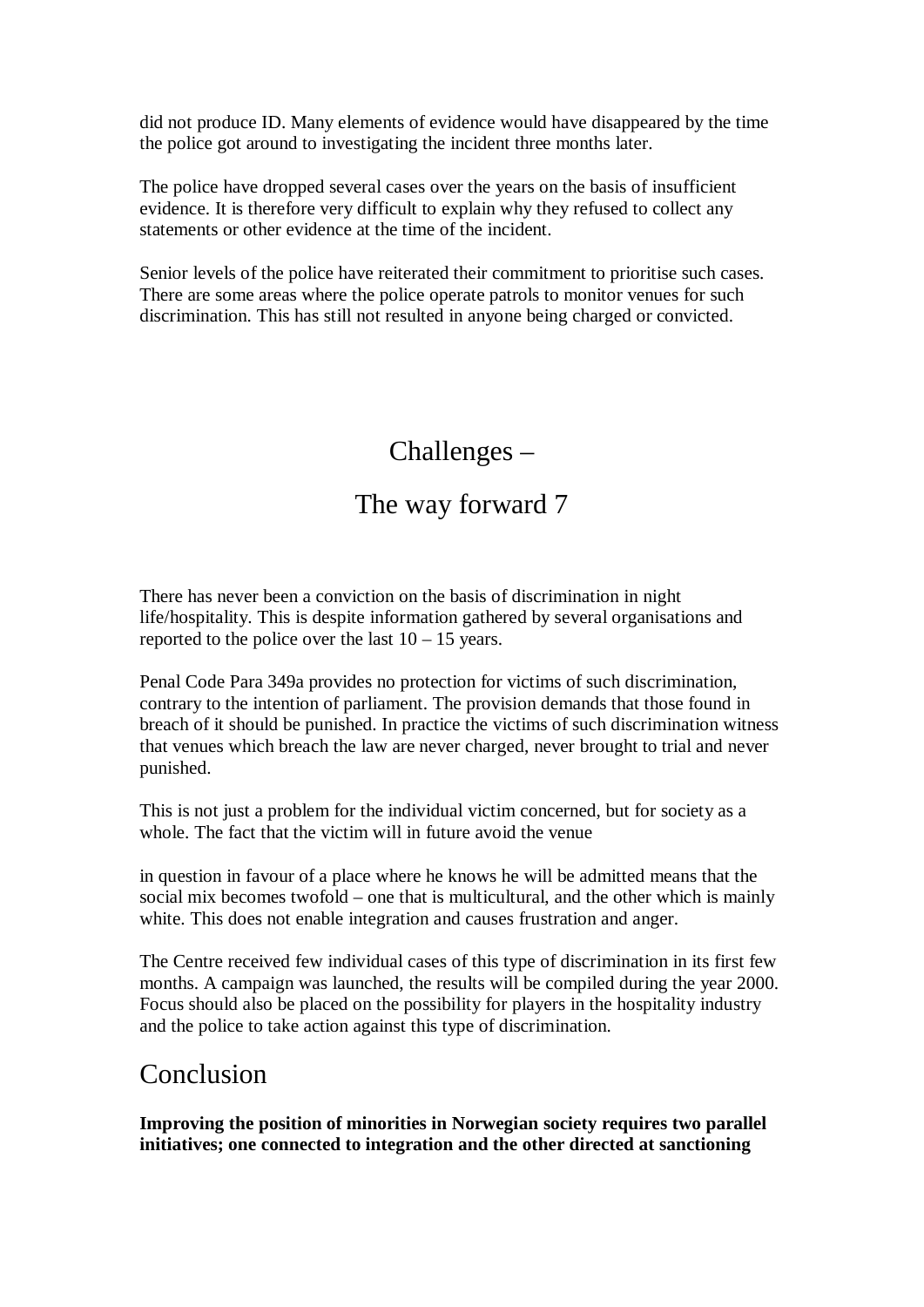did not produce ID. Many elements of evidence would have disappeared by the time the police got around to investigating the incident three months later.

The police have dropped several cases over the years on the basis of insufficient evidence. It is therefore very difficult to explain why they refused to collect any statements or other evidence at the time of the incident.

Senior levels of the police have reiterated their commitment to prioritise such cases. There are some areas where the police operate patrols to monitor venues for such discrimination. This has still not resulted in anyone being charged or convicted.

## Challenges –

## The way forward 7

There has never been a conviction on the basis of discrimination in night life/hospitality. This is despite information gathered by several organisations and reported to the police over the last  $10 - 15$  years.

Penal Code Para 349a provides no protection for victims of such discrimination, contrary to the intention of parliament. The provision demands that those found in breach of it should be punished. In practice the victims of such discrimination witness that venues which breach the law are never charged, never brought to trial and never punished.

This is not just a problem for the individual victim concerned, but for society as a whole. The fact that the victim will in future avoid the venue

in question in favour of a place where he knows he will be admitted means that the social mix becomes twofold – one that is multicultural, and the other which is mainly white. This does not enable integration and causes frustration and anger.

The Centre received few individual cases of this type of discrimination in its first few months. A campaign was launched, the results will be compiled during the year 2000. Focus should also be placed on the possibility for players in the hospitality industry and the police to take action against this type of discrimination.

### Conclusion

**Improving the position of minorities in Norwegian society requires two parallel initiatives; one connected to integration and the other directed at sanctioning**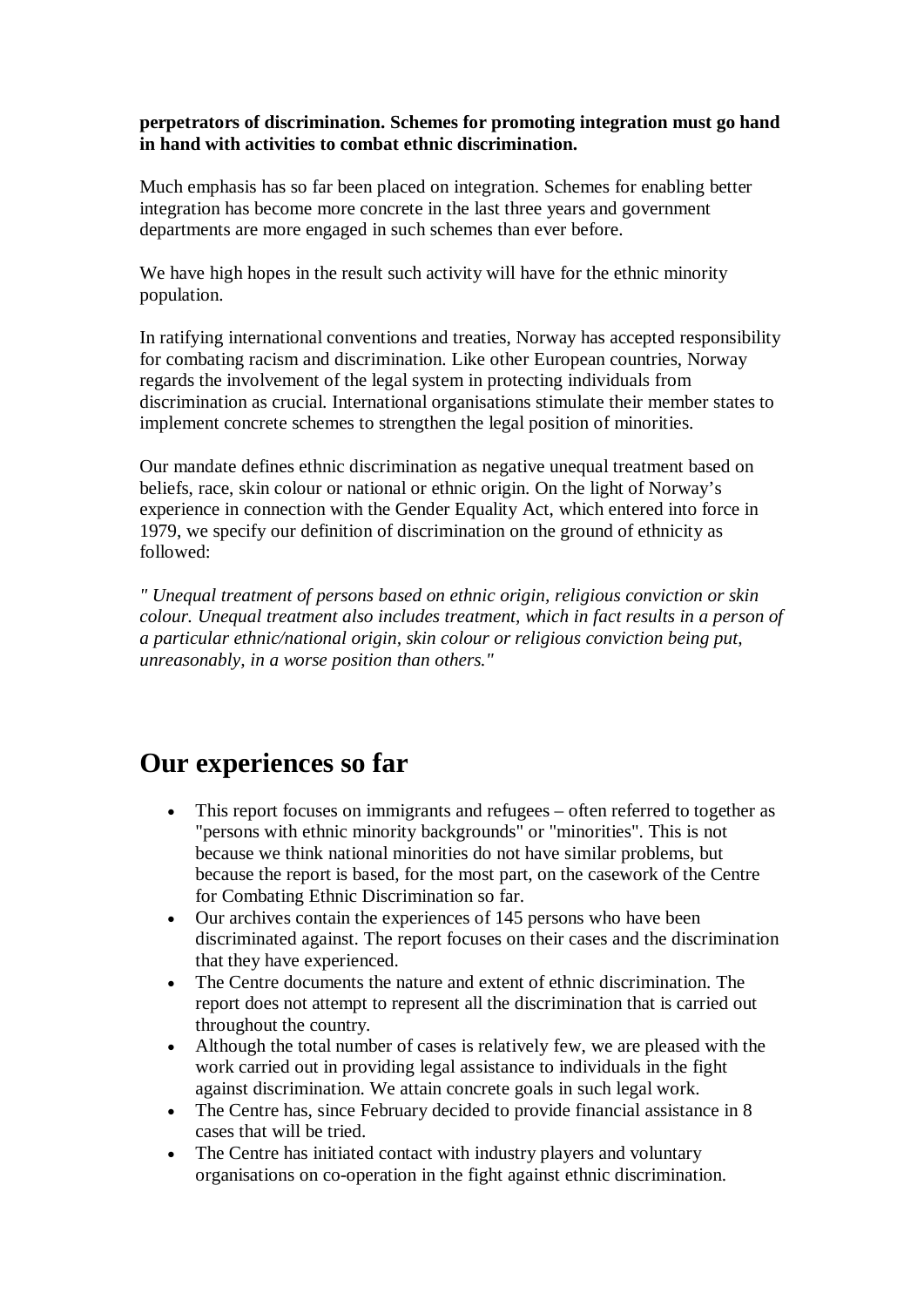**perpetrators of discrimination. Schemes for promoting integration must go hand in hand with activities to combat ethnic discrimination.**

Much emphasis has so far been placed on integration. Schemes for enabling better integration has become more concrete in the last three years and government departments are more engaged in such schemes than ever before.

We have high hopes in the result such activity will have for the ethnic minority population.

In ratifying international conventions and treaties, Norway has accepted responsibility for combating racism and discrimination. Like other European countries, Norway regards the involvement of the legal system in protecting individuals from discrimination as crucial. International organisations stimulate their member states to implement concrete schemes to strengthen the legal position of minorities.

Our mandate defines ethnic discrimination as negative unequal treatment based on beliefs, race, skin colour or national or ethnic origin. On the light of Norway's experience in connection with the Gender Equality Act, which entered into force in 1979, we specify our definition of discrimination on the ground of ethnicity as followed:

*" Unequal treatment of persons based on ethnic origin, religious conviction or skin colour. Unequal treatment also includes treatment, which in fact results in a person of a particular ethnic/national origin, skin colour or religious conviction being put, unreasonably, in a worse position than others."*

## **Our experiences so far**

- This report focuses on immigrants and refugees often referred to together as "persons with ethnic minority backgrounds" or "minorities". This is not because we think national minorities do not have similar problems, but because the report is based, for the most part, on the casework of the Centre for Combating Ethnic Discrimination so far.
- · Our archives contain the experiences of 145 persons who have been discriminated against. The report focuses on their cases and the discrimination that they have experienced.
- · The Centre documents the nature and extent of ethnic discrimination. The report does not attempt to represent all the discrimination that is carried out throughout the country.
- · Although the total number of cases is relatively few, we are pleased with the work carried out in providing legal assistance to individuals in the fight against discrimination. We attain concrete goals in such legal work.
- · The Centre has, since February decided to provide financial assistance in 8 cases that will be tried.
- · The Centre has initiated contact with industry players and voluntary organisations on co-operation in the fight against ethnic discrimination.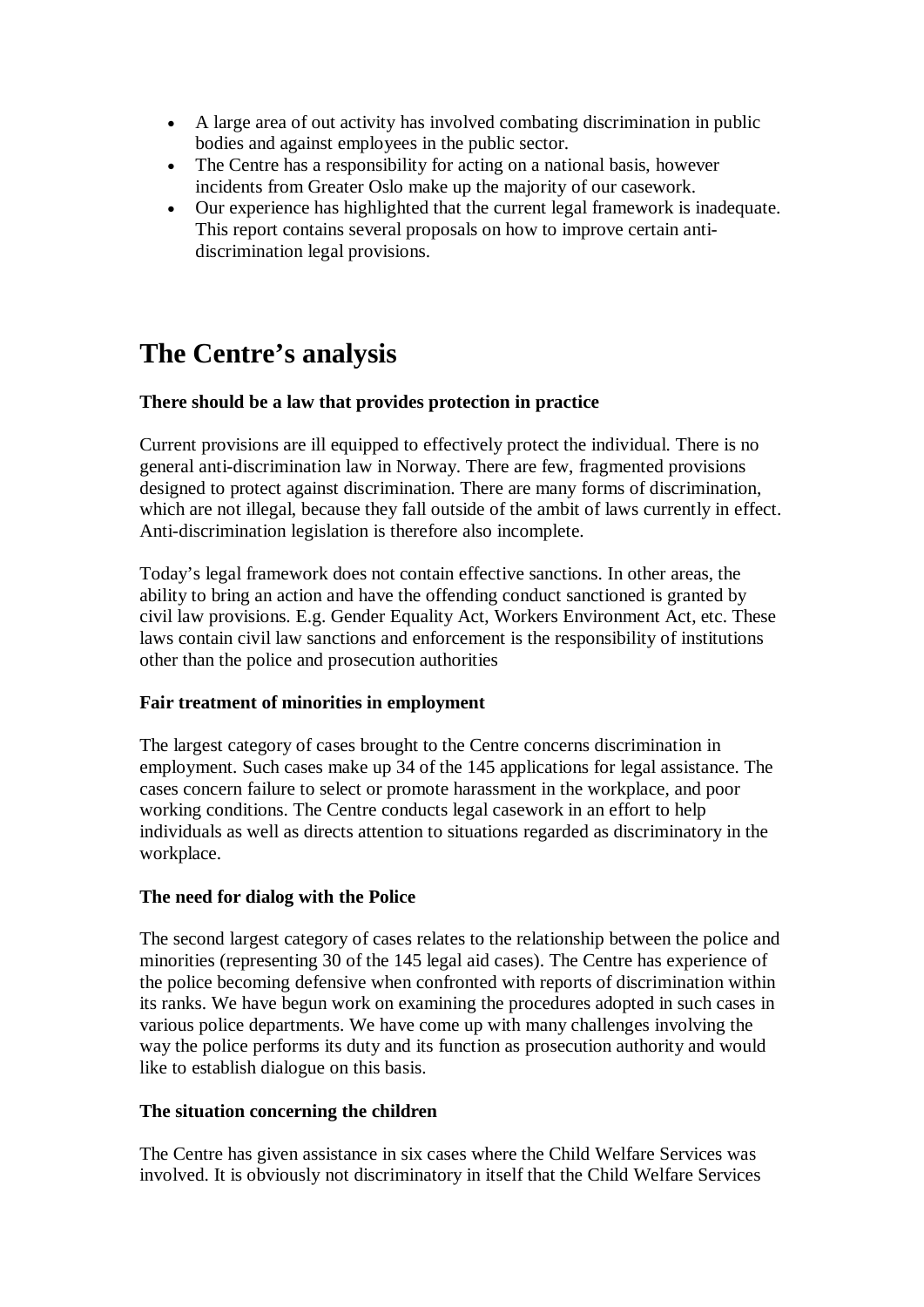- · A large area of out activity has involved combating discrimination in public bodies and against employees in the public sector.
- The Centre has a responsibility for acting on a national basis, however incidents from Greater Oslo make up the majority of our casework.
- · Our experience has highlighted that the current legal framework is inadequate. This report contains several proposals on how to improve certain antidiscrimination legal provisions.

# **The Centre's analysis**

### **There should be a law that provides protection in practice**

Current provisions are ill equipped to effectively protect the individual. There is no general anti-discrimination law in Norway. There are few, fragmented provisions designed to protect against discrimination. There are many forms of discrimination, which are not illegal, because they fall outside of the ambit of laws currently in effect. Anti-discrimination legislation is therefore also incomplete.

Today's legal framework does not contain effective sanctions. In other areas, the ability to bring an action and have the offending conduct sanctioned is granted by civil law provisions. E.g. Gender Equality Act, Workers Environment Act, etc. These laws contain civil law sanctions and enforcement is the responsibility of institutions other than the police and prosecution authorities

### **Fair treatment of minorities in employment**

The largest category of cases brought to the Centre concerns discrimination in employment. Such cases make up 34 of the 145 applications for legal assistance. The cases concern failure to select or promote harassment in the workplace, and poor working conditions. The Centre conducts legal casework in an effort to help individuals as well as directs attention to situations regarded as discriminatory in the workplace.

### **The need for dialog with the Police**

The second largest category of cases relates to the relationship between the police and minorities (representing 30 of the 145 legal aid cases). The Centre has experience of the police becoming defensive when confronted with reports of discrimination within its ranks. We have begun work on examining the procedures adopted in such cases in various police departments. We have come up with many challenges involving the way the police performs its duty and its function as prosecution authority and would like to establish dialogue on this basis.

#### **The situation concerning the children**

The Centre has given assistance in six cases where the Child Welfare Services was involved. It is obviously not discriminatory in itself that the Child Welfare Services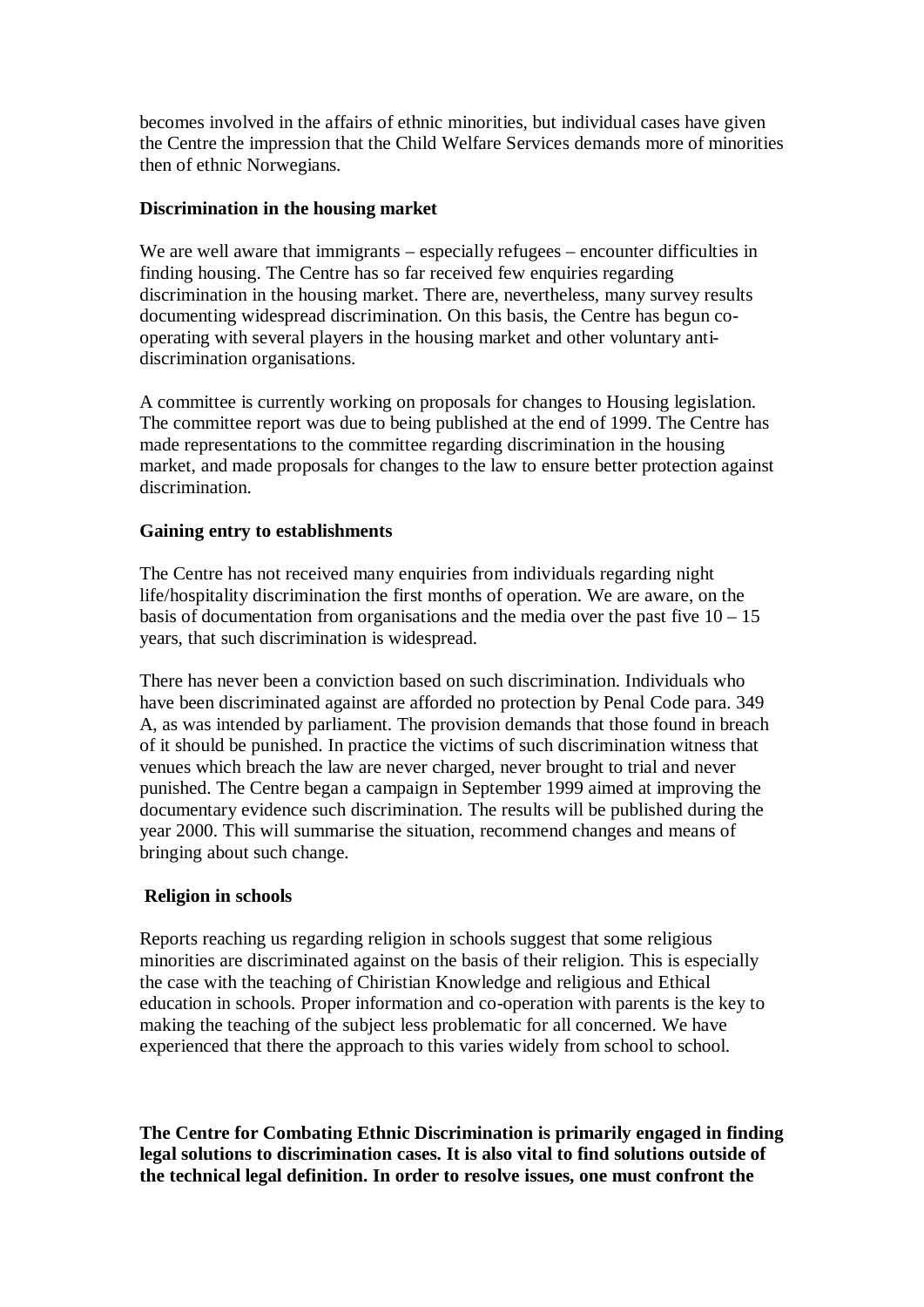becomes involved in the affairs of ethnic minorities, but individual cases have given the Centre the impression that the Child Welfare Services demands more of minorities then of ethnic Norwegians.

#### **Discrimination in the housing market**

We are well aware that immigrants – especially refugees – encounter difficulties in finding housing. The Centre has so far received few enquiries regarding discrimination in the housing market. There are, nevertheless, many survey results documenting widespread discrimination. On this basis, the Centre has begun cooperating with several players in the housing market and other voluntary antidiscrimination organisations.

A committee is currently working on proposals for changes to Housing legislation. The committee report was due to being published at the end of 1999. The Centre has made representations to the committee regarding discrimination in the housing market, and made proposals for changes to the law to ensure better protection against discrimination.

### **Gaining entry to establishments**

The Centre has not received many enquiries from individuals regarding night life/hospitality discrimination the first months of operation. We are aware, on the basis of documentation from organisations and the media over the past five  $10 - 15$ years, that such discrimination is widespread.

There has never been a conviction based on such discrimination. Individuals who have been discriminated against are afforded no protection by Penal Code para. 349 A, as was intended by parliament. The provision demands that those found in breach of it should be punished. In practice the victims of such discrimination witness that venues which breach the law are never charged, never brought to trial and never punished. The Centre began a campaign in September 1999 aimed at improving the documentary evidence such discrimination. The results will be published during the year 2000. This will summarise the situation, recommend changes and means of bringing about such change.

### **Religion in schools**

Reports reaching us regarding religion in schools suggest that some religious minorities are discriminated against on the basis of their religion. This is especially the case with the teaching of Chiristian Knowledge and religious and Ethical education in schools. Proper information and co-operation with parents is the key to making the teaching of the subject less problematic for all concerned. We have experienced that there the approach to this varies widely from school to school.

**The Centre for Combating Ethnic Discrimination is primarily engaged in finding legal solutions to discrimination cases. It is also vital to find solutions outside of the technical legal definition. In order to resolve issues, one must confront the**